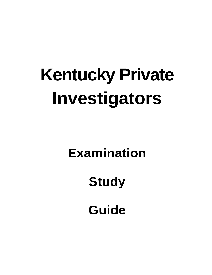# **Kentucky Private Investigators**

# **Examination**

# **Study**

# **Guide**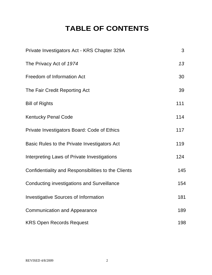### **TABLE OF CONTENTS**

| Private Investigators Act - KRS Chapter 329A        | 3   |
|-----------------------------------------------------|-----|
| The Privacy Act of 1974                             | 13  |
| Freedom of Information Act                          | 30  |
| The Fair Credit Reporting Act                       | 39  |
| <b>Bill of Rights</b>                               | 111 |
| <b>Kentucky Penal Code</b>                          | 114 |
| Private Investigators Board: Code of Ethics         | 117 |
| Basic Rules to the Private Investigators Act        | 119 |
| Interpreting Laws of Private Investigations         | 124 |
| Confidentiality and Responsibilities to the Clients | 145 |
| <b>Conducting investigations and Surveillance</b>   | 154 |
| <b>Investigative Sources of Information</b>         | 181 |
| <b>Communication and Appearance</b>                 | 189 |
| <b>KRS Open Records Request</b>                     | 198 |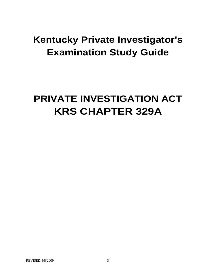### **Kentucky Private Investigator's Examination Study Guide**

### **PRIVATE INVESTIGATION ACT KRS CHAPTER 329A**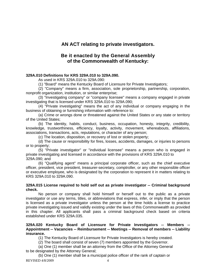#### **AN ACT relating to private investigators.**

#### **Be it enacted by the General Assembly of the Commonwealth of Kentucky:**

#### **329A.010 Definitions for KRS 329A.010 to 329A.090.**

As used in KRS 329A.010 to 329A.090:

(1) "Board" means the Kentucky Board of Licensure for Private Investigators;

(2) "Company" means a firm, association, sole proprietorship, partnership, corporation, nonprofit organization, institution, or similar enterprise;

(3) "Investigating company" or "company licensee" means a company engaged in private investigating that is licensed under KRS 329A.010 to 329A.090;

(4) "Private investigating" means the act of any individual or company engaging in the business of obtaining or furnishing information with reference to:

(a) Crime or wrongs done or threatened against the United States or any state or territory of the United States;

(b) The identity, habits, conduct, business, occupation, honesty, integrity, credibility, knowledge, trustworthiness, efficiency, loyalty, activity, movement, whereabouts, affiliations, associations, transactions, acts, reputations, or character of any person;

(c) The location, disposition, or recovery of lost or stolen property;

(d) The cause or responsibility for fires, losses, accidents, damages, or injuries to persons or to property;

(5) "Private investigator" or "individual licensee" means a person who is engaged in private investigating and licensed in accordance with the provisions of KRS 329A.010 to 329A.090; and

(6) "Qualifying agent" means a principal corporate officer, such as the chief executive officer, president, vice president, treasurer-secretary, comptroller, or any other responsible officer or executive employee, who is designated by the corporation to represent it in matters relating to KRS 329A.010 to 329A.090.

#### **329A.015 License required to hold self out as private investigator -- Criminal background check.**

No person or company shall hold himself or herself out to the public as a private investigator or use any terms, titles, or abbreviations that express, infer, or imply that the person is licensed as a private investigator unless the person at the time holds a license to practice private investigating issued and validly existing under the laws of this Commonwealth as provided in this chapter. All applicants shall pass a criminal background check based on criteria established under KRS 329A.035.

#### **329A.020 Kentucky Board of Licensure for Private Investigators -- Members -- Appointment -- Vacancies -- Reimbursement -- Meetings -- Removal of members -- Liability insurance.**

(1) The Kentucky Board of Licensure for Private Investigators is hereby created.

(2) The board shall consist of seven (7) members appointed by the Governor.

(a) One (1) member shall be an attorney from the Office of the Attorney General to be designated by the Attorney General;

REVISED 4/8/2009 4 (b) One (1) member shall be a municipal police officer of the rank of captain or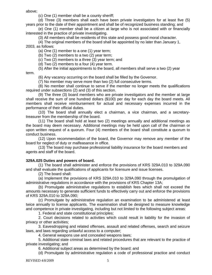above;

(c) One (1) member shall be a county sheriff;

(d) Three (3) members shall each have been private investigators for at least five (5) years prior to the date of their appointment and shall be of recognized business standing; and

(e) One (1) member shall be a citizen at large who is not associated with or financially interested in the practice of private investigating.

(3) All members shall be residents of this state and possess good moral character.

(4) The original members of the board shall be appointed by no later than January 1,

2003, as follows:

(a) One (1) member to a one (1) year term;

(b) Two (2) members to a two (2) year term;

(c) Two (2) members to a three (3) year term; and

(d) Two (2) members to a four (4) year term.

(5) After the initial appointments to the board, all members shall serve a two (2) year term.

(6) Any vacancy occurring on the board shall be filled by the Governor.

(7) No member may serve more than two (2) full consecutive terms.

(8) No member shall continue to serve if the member no longer meets the qualifications required under subsections (2) and (3) of this section.

(9) The three (3) board members who are private investigators and the member at large shall receive the sum of one hundred dollars (\$100) per day for each day the board meets. All members shall receive reimbursement for actual and necessary expenses incurred in the performance of their official duties.

(10) The board shall annually elect a chairman, a vice chairman, and a secretarytreasurer from the membership of the board.

(11) The board shall hold at least two (2) meetings annually and additional meetings as the board may deem necessary. Additional meetings may be held upon call of the chairman or upon written request of a quorum. Four (4) members of the board shall constitute a quorum to conduct business.

(12) Upon recommendation of the board, the Governor may remove any member of the board for neglect of duty or malfeasance in office.

(13) The board may purchase professional liability insurance for the board members and agents and staff of the board.

#### **329A.025 Duties and powers of board.**

(1) The board shall administer and enforce the provisions of KRS 329A.010 to 329A.090 and shall evaluate the qualifications of applicants for licensure and issue licenses.

(2) The board shall:

(a) Implement the provisions of KRS 329A.010 to 329A.090 through the promulgation of administrative regulations in accordance with the provisions of KRS Chapter 13A;

(b) Promulgate administrative regulations to establish fees which shall not exceed the amounts necessary to generate sufficient funds to effectively carry out and enforce the provisions of KRS 329A.010 to 329A.090;

(c) Promulgate by administrative regulation an examination to be administered at least twice annually to license applicants. The examination shall be designed to measure knowledge and competence in private investigating, including but not limited to the following subject areas:

1. Federal and state constitutional principles;

2. Court decisions related to activities which could result in liability for the invasion of privacy or other activities;

3. Eavesdropping and related offenses, assault and related offenses, search and seizure laws, and laws regarding unlawful access to a computer;

4. General weapons use and concealed weapons laws;

5. Additional state criminal laws and related procedures that are relevant to the practice of private investigating; and

6. Additional subject areas as determined by the board; and

(d) Promulgate by administrative regulation a code of professional practice and conduct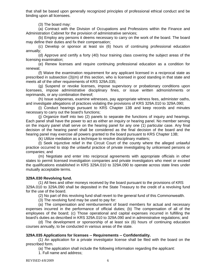that shall be based upon generally recognized principles of professional ethical conduct and be binding upon all licensees.

(3) The board may:

(a) Contract with the Division of Occupations and Professions within the Finance and Administration Cabinet for the provision of administrative services;

(b) Employ any persons it deems necessary to carry on the work of the board. The board may define their duties and fix their compensation;

(c) Develop or sponsor at least six (6) hours of continuing professional education annually;

(d) Approve and certify a forty (40) hour training class covering the subject areas of the licensing examination;

(e) Renew licenses and require continuing professional education as a condition for renewal;

(f) Waive the examination requirement for any applicant licensed in a reciprocal state as prescribed in subsection (3)(m) of this section, who is licensed in good standing in that state and meets all of the other requirements of KRS 329A.035;

(g) Suspend or revoke licenses, impose supervisory or probationary conditions upon licensees, impose administrative disciplinary fines, or issue written admonishments or reprimands, or any combination thereof;

(h) Issue subpoenas, examine witnesses, pay appropriate witness fees, administer oaths, and investigate allegations of practices violating the provisions of KRS 329A.010 to 329A.090;

(i) Conduct hearings pursuant to KRS Chapter 13B and keep records and minutes necessary to carry out the board's functions;

(j) Organize itself into two (2) panels to separate the functions of inquiry and hearings. Each panel shall have the power to act as either an inquiry or hearing panel. No member serving on the inquiry panel shall serve on the hearing panel for any one (1) particular case. Any final decision of the hearing panel shall be considered as the final decision of the board and the hearing panel may exercise all powers granted to the board pursuant to KRS Chapter 13B;

(k) Utilize mediation as a technique to resolve disciplinary matters;

(l) Seek injunctive relief in the Circuit Court of the county where the alleged unlawful practice occurred to stop the unlawful practice of private investigating by unlicensed persons or companies; and

(m) Negotiate and enter into reciprocal agreements with appropriate officials in other states to permit licensed investigation companies and private investigators who meet or exceed the qualifications established in KRS 329A.010 to 329A.090 to operate across state lines under mutually acceptable terms.

#### **329A.030 Revolving fund.**

(1) All fees and other moneys received by the board pursuant to the provisions of KRS 329A.010 to 329A.090 shall be deposited in the State Treasury to the credit of a revolving fund for the use of the board.

(2) No part of this revolving fund shall revert to the general fund of this Commonwealth.

(3) The revolving fund may be used to pay for:

(a) The compensation and reimbursement of board members for actual and necessary expenses incurred in the performance of official duties; (b) The compensation of all of the employees of the board; (c) Those operational and capital expenses incurred in fulfilling the board's duties as described in KRS 329A.010 to 329A.090 and in administrative regulations; and

(d) The development or sponsorship of at least six (6) hours of continuing education courses annually, to be conducted in various areas of the state.

#### **329A.035 Applications for licenses -- Requirements -- Confidentiality.**

(1) An application for a private investigator license shall be filed with the board on the prescribed form.

(a) The application shall include the following information regarding the applicant:

1. Full name and address;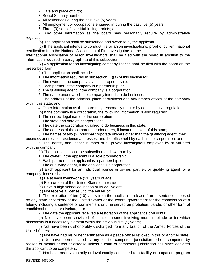2. Date and place of birth;

3. Social Security number;

4. All residences during the past five (5) years;

5. All employment or occupations engaged in during the past five (5) years;

6. Three (3) sets of classifiable fingerprints; and

7. Any other information as the board may reasonably require by administrative regulation.

(b) The application shall be subscribed and sworn to by the applicant.

(c) If the applicant intends to conduct fire or arson investigations, proof of current national certification from the National Association of Fire Investigators or the

International Association of Arson Investigators shall be filed with the board in addition to the information required in paragraph (a) of this subsection.

(2) An application for an investigating company license shall be filed with the board on the prescribed form.

(a) The application shall include:

1. The information required in subsection (1)(a) of this section for:

a. The owner, if the company is a sole proprietorship;

b. Each partner, if the company is a partnership; or

c. The qualifying agent, if the company is a corporation;

2. The name under which the company intends to do business;

3. The address of the principal place of business and any branch offices of the company within this state; and

4. Other information as the board may reasonably require by administrative regulation.

(b) If the company is a corporation, the following information is also required:

1. The correct legal name of the corporation;

2. The state and date of incorporation;

3. The date the corporation qualified to do business in this state;

4. The address of the corporate headquarters, if located outside of this state;

5. The names of two (2) principal corporate officers other than the qualifying agent, their

business addresses, residence addresses, and the office held by each in the corporation; and

6. The identity and license number of all private investigators employed by or affiliated with the company.

(c) The application shall be subscribed and sworn to by:

1. The owner, if the applicant is a sole proprietorship;

2. Each partner, if the applicant is a partnership; or

3. The qualifying agent, if the applicant is a corporation.

(3) Each applicant for an individual license or owner, partner, or qualifying agent for a company license shall:

(a) Be at least twenty-one (21) years of age;

(b) Be a citizen of the United States or a resident alien;

(c) Have a high school education or its equivalent;

(d) Not receive a license until the earlier of:

1. The expiration of ten (10) years from the applicant's release from a sentence imposed by any state or territory of the United States or the federal government for the commission of a felony, including a sentence of confinement or time served on probation, parole, or other form of conditional release or discharge; or

2. The date the applicant received a restoration of the applicant's civil rights;

(e) Not have been convicted of a misdemeanor involving moral turpitude or for which dishonesty is a necessary element within the previous five (5) years;

(f) Not have been dishonorably discharged from any branch of the Armed Forces of the United States;

(g) Not have had his or her certification as a peace officer revoked in this or another state;

(h) Not have been declared by any court of competent jurisdiction to be incompetent by reason of mental defect or disease unless a court of competent jurisdiction has since declared the applicant to be competent;

(i) Not have been voluntarily or involuntarily committed to a facility or outpatient program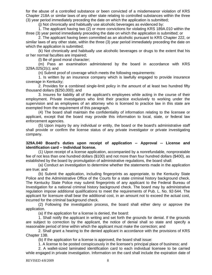for the abuse of a controlled substance or been convicted of a misdemeanor violation of KRS Chapter 218A or similar laws of any other state relating to controlled substances within the three (3) year period immediately preceding the date on which the application is submitted;

(j) Not chronically and habitually use alcoholic beverages as evidenced by:

1. The applicant having two (2) or more convictions for violating KRS 189A.010 within the three (3) year period immediately preceding the date on which the application is submitted; or

2. The applicant having been committed as an alcoholic pursuant to KRS Chapter 222, or similar laws of any other state, within the three (3) year period immediately preceding the date on which the application is submitted;

(k) Not chronically and habitually use alcoholic beverages or drugs to the extent that his or her normal faculties are impaired;

(l) Be of good moral character;

(m) Pass an examination administered by the board in accordance with KRS 329A.025(2(c); and

(n) Submit proof of coverage which meets the following requirements:

1. Is written by an insurance company which is lawfully engaged to provide insurance coverage in Kentucky;

2. Provides for a combined single-limit policy in the amount of at least two hundred fifty thousand dollars (\$250,000); and

3. Insures for liability all of the applicant's employees while acting in the course of their employment. Private investigators who limit their practice exclusively to working under the supervision and as employees of an attorney who is licensed to practice law in this state are exempted from the requirement of this paragraph.

(4) The board shall maintain the confidentiality of information relating to the licensee or applicant, except that the board may provide this information to local, state, or federal law enforcement agencies.

(5) Upon inquiry by any individual or entity, the board or the board's administrative staff shall provide or confirm the license status of any private investigator or private investigating company.

#### **329A.040 Board's duties upon receipt of application -- Approval -- License and identification card -- Individual license.**

(1) Upon receipt of a license application, accompanied by a nonrefundable, nonproratable fee of not less than one hundred dollars (\$100) and not more than four hundred dollars (\$400), as established by the board by promulgation of administrative regulations, the board shall:

(a) Conduct an investigation to determine whether the statements made in the application are true; and

(b) Submit the application, including fingerprints as appropriate, to the Kentucky State Police and the Administrative Office of the Courts for a state criminal history background check. The Kentucky State Police may submit fingerprints of any applicant to the Federal Bureau of Investigation for a national criminal history background check. The board may by administrative regulation impose additional qualifications to meet the requirements of Pub. L. No. 92-544. The applicant for licensure shall bear the additional cost, in an amount not to exceed the actual cost, incurred for the criminal background check.

(2) Following the investigation process, the board shall either deny or approve the application.

(a) If the application for a license is denied, the board:

1. Shall notify the applicant in writing and set forth the grounds for denial. If the grounds are subject to correction by the applicant, the notice of denial shall so state and specify a reasonable period of time within which the applicant must make the correction; and

2. Shall grant a hearing to the denied applicant in accordance with the provisions of KRS Chapter 13B.

(b) If the application for a license is approved, the board shall issue:

1. A license to be posted conspicuously in the licensee's principal place of business; and

2. A wallet-sized laminated identification card to each individual licensee to be carried while engaged in private investigation. Information on the card shall include the expiration date of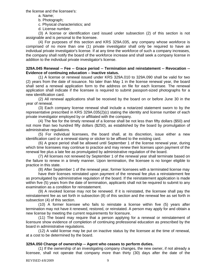the license and the licensee's:

- a. Name;
- b. Photograph;
- c. Physical characteristics; and
- d. License number.

(3) A license or identification card issued under subsection (2) of this section is not assignable and is personal to the licensee.

(4) For purposes of this section and KRS 329A.035, any company whose workforce is comprised of no more than one (1) private investigator shall only be required to have an individual private investigator's license. If at any time the workforce of such a company increases, the company shall notify the board of the workforce increase and shall seek a company license in addition to the individual private investigator's license.

#### **329A.045 Renewal -- Fee -- Grace period -- Termination and reinstatement -- Revocation -- Evidence of continuing education -- Inactive status.**

(1) A license or renewal issued under KRS 329A.010 to 329A.090 shall be valid for two (2) years from the date of issuance. No later than May 1 in the license renewal year, the board shall send a renewal application form to the address on file for each licensee. The renewal application shall indicate if the licensee is required to submit passport-sized photographs for a new identification card.

(2) All renewal applications shall be received by the board on or before June 30 in the year of renewal.

(3) Each company license renewal shall include a notarized statement sworn to by the representative prescribed in KRS 329A.035(2)(c) stating the identity and license number of each private investigator employed by or affiliated with the company.

(4) The fee for the timely renewal of a license shall be not less than fifty dollars (\$50) and not more than two hundred fifty dollars (\$250), as established by the board by promulgation of administrative regulations.

(5) For individual licensees, the board shall, at its discretion, issue either a new identification card or a renewal stamp or sticker to be affixed to the existing card.

(6) A grace period shall be allowed until September 1 of the license renewal year, during which time licensees may continue to practice and may renew their licenses upon payment of the renewal fee plus a late fee as promulgated by administrative regulation of the board.

(7) All licenses not renewed by September 1 of the renewal year shall terminate based on the failure to renew in a timely manner. Upon termination, the licensee is no longer eligible to practice in this state.

(8) After September 1 of the renewal year, former licensees with a terminated license may

have their licenses reinstated upon payment of the renewal fee plus a reinstatement fee as promulgated by administrative regulation of the board. If the reinstatement application is made within five (5) years from the date of termination, applicants shall not be required to submit to any examination as a condition for reinstatement.

(9) A revoked license may not be renewed. If it is reinstated, the licensee shall pay the reinstatement fee as set forth in subsection (8) of this section and the renewal fee as set forth in subsection (4) of this section.

(10) A former licensee who fails to reinstate a license within five (5) years after termination may not have it renewed, restored, or reinstated. A person may apply for and obtain a new license by meeting the current requirements for licensure.

(11) The board may require that a person applying for a renewal or reinstatement of licensure show evidence of completion of continuing professional education as prescribed by the board in administrative regulations.

(12) A valid license may be put on inactive status by the licensee at the time of renewal, at a cost to be determined by the board.

#### **329A.050 Change of ownership -- Agent who ceases to perform duties.**

(1) If the ownership of an investigating company changes, the new owner, if not already a licensee, shall not operate that company more than thirty (30) days after the date of the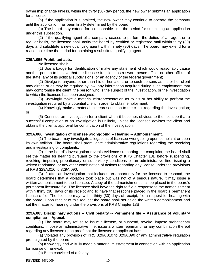ownership change unless, within the thirty (30) day period, the new owner submits an application for a license.

(a) If the application is submitted, the new owner may continue to operate the company until the application has been finally determined by the board.

(b) The board may extend for a reasonable time the period for submitting an application under this subsection.

(2) If the qualifying agent of a company ceases to perform the duties of an agent on a regular basis, the licensee shall notify the board by certified or registered mail within thirty (30) days and substitute a new qualifying agent within ninety (90) days. The board may extend for a reasonable time the period for obtaining a substitute qualifying agent.

#### **329A.055 Prohibited acts.**

No licensee shall:

(1) Use a badge for identification or make any statement which would reasonably cause another person to believe that the licensee functions as a sworn peace officer or other official of the state, any of its political subdivisions, or an agency of the federal government;

(2) Divulge to anyone, other than his or her client, or to such persons as his or her client may direct, or as may be required by law, any information acquired during such employment that may compromise the client, the person who is the subject of the investigation, or the investigation to which the licensee has been assigned;

(3) Knowingly make a material misrepresentation as to his or her ability to perform the investigation required by a potential client in order to obtain employment;

(4) Knowingly make a material misrepresentation to the client regarding the investigation; or

(5) Continue an investigation for a client when it becomes obvious to the licensee that a successful completion of an investigation is unlikely, unless the licensee advises the client and obtains the client's approval for continuation of the investigation.

#### **329A.060 Investigation of licensee wrongdoing -- Hearing -- Admonishment.**

(1) The board may investigate allegations of licensee wrongdoing upon complaint or upon its own volition. The board shall promulgate administrative regulations regarding the receiving and investigating of complaints.

(2) If the board's investigation reveals evidence supporting the complaint, the board shall set the matter for hearing pursuant to the provisions of KRS Chapter 13B before suspending, revoking, imposing probationary or supervisory conditions or an administrative fine, issuing a written reprimand, or any other combination of actions regarding any license under the provisions of KRS 329A.010 to 329A.090.

(3) If, after an investigation that includes an opportunity for the licensee to respond, the board determines that a violation took place but was not of a serious nature, it may issue a written admonishment to the licensee. A copy of the admonishment shall be placed in the board's permanent licensure file. The licensee shall have the right to file a response to the admonishment within thirty (30) days of its receipt and to have that response placed in the board's permanent licensure file. The licensee may, within thirty (30) days of receipt, file a request for hearing with the board. Upon receipt of this request the board shall set aside the written admonishment and set the matter for hearing under the provisions of KRS Chapter 13B.

#### **329A.065 Disciplinary actions -- Civil penalty -- Permanent file -- Assurance of voluntary compliance -- Appeal.**

(1) The board may refuse to issue a license, or suspend, revoke, impose probationary conditions, impose an administrative fine, issue a written reprimand, or any combination thereof regarding any licensee upon proof that the licensee or applicant has:

(a) Violated any provision of KRS 329A.010 to 329A.090 or any administrative regulation promulgated by the board;

(b) Knowingly and willfully made a material misstatement in connection with an application for license or renewal;

(c) Been convicted of a felony;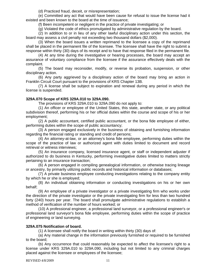(d) Practiced fraud, deceit, or misrepresentation;

(e) Committed any act that would have been cause for refusal to issue the license had it existed and been known to the board at the time of issuance;

(f) Been incompetent or negligent in the practice of private investigating; or

(g) Violated the code of ethics promulgated by administrative regulation by the board.

(2) In addition to or in lieu of any other lawful disciplinary action under this section, the board may assess a civil penalty not exceeding two thousand dollars (\$2,000).

(3) When the board issues a written reprimand to the licensee a copy of the reprimand shall be placed in the permanent file of the licensee. The licensee shall have the right to submit a response within thirty (30) days of its receipt and to have that response filed in the permanent file.

(4) At any time during the investigative or hearing processes, the board may accept an assurance of voluntary compliance from the licensee if the assurance effectively deals with the complaint.

(5) The board may reconsider, modify, or reverse its probation, suspension, or other disciplinary action.

(6) Any party aggrieved by a disciplinary action of the board may bring an action in Franklin Circuit Court pursuant to the provisions of KRS Chapter 13B.

(7) A license shall be subject to expiration and renewal during any period in which the license is suspended.

#### **329A.070 Scope of KRS 329A.010 to 329A.090.**

The provisions of KRS 329A.010 to 329A.090 do not apply to:

(1) An officer or employee of the United States, this state, another state, or any political subdivision thereof, performing his or her official duties within the course and scope of his or her employment;

(2) A public accountant, certified public accountant, or the bona fide employee of either, performing duties within the scope of public accountancy;

(3) A person engaged exclusively in the business of obtaining and furnishing information regarding the financial rating or standing and credit of persons;

(4) An attorney-at-law, or an attorney's bona fide employee, performing duties within the scope of the practice of law or authorized agent with duties limited to document and record retrieval or witness interviews;

(5) An insurance company, licensed insurance agent, or staff or independent adjuster if authorized to do business in Kentucky, performing investigative duties limited to matters strictly pertaining to an insurance transaction;

(6) A person engaged in compiling genealogical information, or otherwise tracing lineage or ancestry, by primarily utilizing public records and historical information or databases;

(7) A private business employee conducting investigations relating to the company entity by which he or she is employed;

(8) An individual obtaining information or conducting investigations on his or her own behalf;

(9) An employee of a private investigator or a private investigating firm who works under the direction of the private investigator or the private investigating firm for less than two hundred forty (240) hours per year. The board shall promulgate administrative regulations to establish a method of verification of the number of hours worked; or

(10) A professional engineer, a professional land surveyor, or a professional engineer's or professional land surveyor's bona fide employee, performing duties within the scope of practice of engineering or land surveying.

#### **329A.075 Notification of board.**

(1) A licensee shall notify the board in writing within thirty (30) days of:

(a) Any material change in the information previously furnished or required to be furnished to the board;

(b) Any occurrence that could reasonably be expected to affect the licensee's right to a license under KRS 329A.010 to 329A.090, including but not limited to any criminal charges placed against the licensee or employees of the licensee;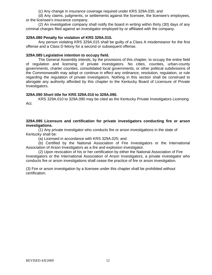(c) Any change in insurance coverage required under KRS 329A.035; and

(d) Any claims, judgments, or settlements against the licensee, the licensee's employees, or the licensee's insurance company.

(2) An investigative company shall notify the board in writing within thirty (30) days of any criminal charges filed against an investigator employed by or affiliated with the company.

#### **329A.080 Penalty for violation of KRS 329A.015.**

Any person violating KRS 329A.015 shall be guilty of a Class A misdemeanor for the first offense and a Class D felony for a second or subsequent offense.

#### **329A.085 Legislative intention to occupy field.**

The General Assembly intends, by the provisions of this chapter, to occupy the entire field of regulation and licensing of private investigators. No cities, counties, urban-county governments, charter counties, consolidated local governments, or other political subdivisions of the Commonwealth may adopt or continue in effect any ordinance, resolution, regulation, or rule regarding the regulation of private investigators. Nothing in this section shall be construed to abrogate any authority afforded by this chapter to the Kentucky Board of Licensure of Private Investigators.

#### **329A.090 Short title for KRS 329A.010 to 329A.090.**

KRS 329A.010 to 329A.090 may be cited as the Kentucky Private Investigators Licensing Act.

#### **329A.095 Licensure and certification for private investigators conducting fire or arson investigations.**

(1) Any private investigator who conducts fire or arson investigations in the state of Kentucky shall be:

(a) Licensed in accordance with KRS 329A.025; and

(b) Certified by the National Association of Fire Investigators or the International Association of Arson Investigators as a fire and explosion investigator.

(2) Upon revocation of his or her certification by either the National Association of Fire Investigators or the International Association of Arson Investigators, a private investigator who conducts fire or arson investigations shall cease the practice of fire or arson investigation.

(3) Fire or arson investigation by a licensee under this chapter shall be prohibited without certification.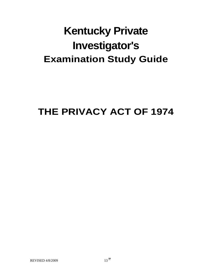# **Kentucky Private Investigator's Examination Study Guide**

### **THE PRIVACY ACT OF 1974**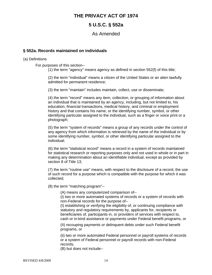#### **THE PRIVACY ACT OF 1974**

#### **5 U.S.C. § 552a**

#### As Amended

#### **§ 552a. Records maintained on individuals**

#### (a) Definitions

For purposes of this section--

(1) the term "agency" means agency as defined in section 552(f) of this title;

(2) the term "individual" means a citizen of the United States or an alien lawfully admitted for permanent residence;

(3) the term "maintain" includes maintain, collect, use or disseminate;

(4) the term "record" means any item, collection, or grouping of information about an individual that is maintained by an agency, including, but not limited to, his education, financial transactions, medical history, and criminal or employment history and that contains his name, or the identifying number, symbol, or other identifying particular assigned to the individual, such as a finger or voice print or a photograph;

(5) the term "system of records" means a group of any records under the control of any agency from which information is retrieved by the name of the individual or by some identifying number, symbol, or other identifying particular assigned to the individual;

(6) the term "statistical record" means a record in a system of records maintained for statistical research or reporting purposes only and not used in whole or in part in making any determination about an identifiable individual, except as provided by section 8 of Title 13;

(7) the term "routine use" means, with respect to the disclosure of a record, the use of such record for a purpose which is compatible with the purpose for which it was collected;

(8) the term "matching program"--

(A) means any computerized comparison of--

(i) two or more automated systems of records or a system of records with non-Federal records for the purpose of--

(I) establishing or verifying the eligibility of, or continuing compliance with statutory and regulatory requirements by, applicants for, recipients or beneficiaries of, participants in, or providers of services with respect to, cash or in-kind assistance or payments under Federal benefit programs, or

(II) recouping payments or delinquent debts under such Federal benefit programs, or

(ii) two or more automated Federal personnel or payroll systems of records or a system of Federal personnel or payroll records with non-Federal records,

(B) but does not include--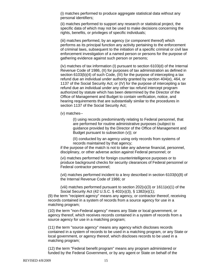(i) matches performed to produce aggregate statistical data without any personal identifiers;

(ii) matches performed to support any research or statistical project, the specific data of which may not be used to make decisions concerning the rights, benefits, or privileges of specific individuals;

(iii) matches performed, by an agency (or component thereof) which performs as its principal function any activity pertaining to the enforcement of criminal laws, subsequent to the initiation of a specific criminal or civil law enforcement investigation of a named person or persons for the purpose of gathering evidence against such person or persons;

(iv) matches of tax information (I) pursuant to section 6103(d) of the Internal Revenue Code of 1986, (II) for purposes of tax administration as defined in section 6103(b)(4) of such Code, (III) for the purpose of intercepting a tax refund due an individual under authority granted by section 404(e), 464, or 1137 of the Social Security Act; or (IV) for the purpose of intercepting a tax refund due an individual under any other tax refund intercept program authorized by statute which has been determined by the Director of the Office of Management and Budget to contain verification, notice, and hearing requirements that are substantially similar to the procedures in section 1137 of the Social Security Act;

(v) matches--

(I) using records predominantly relating to Federal personnel, that are performed for routine administrative purposes (subject to guidance provided by the Director of the Office of Management and Budget pursuant to subsection (v)); or

(II) conducted by an agency using only records from systems of records maintained by that agency;

if the purpose of the match is not to take any adverse financial, personnel, disciplinary, or other adverse action against Federal personnel; or

(vi) matches performed for foreign counterintelligence purposes or to produce background checks for security clearances of Federal personnel or Federal contractor personnel;

(vii) matches performed incident to a levy described in section 6103(k)(8) of the Internal Revenue Code of 1986; or

(viii) matches performed pursuant to section  $202(x)(3)$  or  $1611(e)(1)$  of the Social Security Act (42 U.S.C. § 402(x)(3), § 1382(e)(1);

(9) the term "recipient agency" means any agency, or contractor thereof, receiving records contained in a system of records from a source agency for use in a matching program;

(10) the term "non-Federal agency" means any State or local government, or agency thereof, which receives records contained in a system of records from a source agency for use in a matching program;

(11) the term "source agency" means any agency which discloses records contained in a system of records to be used in a matching program, or any State or local government, or agency thereof, which discloses records to be used in a matching program;

(12) the term "Federal benefit program" means any program administered or funded by the Federal Government, or by any agent or State on behalf of the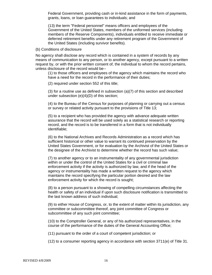Federal Government, providing cash or in-kind assistance in the form of payments, grants, loans, or loan guarantees to individuals; and

(13) the term "Federal personnel" means officers and employees of the Government of the United States, members of the uniformed services (including members of the Reserve Components), individuals entitled to receive immediate or deferred retirement benefits under any retirement program of the Government of the United States (including survivor benefits).

(b) Conditions of disclosure

No agency shall disclose any record which is contained in a system of records by any means of communication to any person, or to another agency, except pursuant to a written request by, or with the prior written consent of, the individual to whom the record pertains, unless disclosure of the record would be--

(1) to those officers and employees of the agency which maintains the record who have a need for the record in the performance of their duties;

(2) required under section 552 of this title;

 $(3)$  for a routine use as defined in subsection  $(a)(7)$  of this section and described under subsection (e)(4)(D) of this section;

(4) to the Bureau of the Census for purposes of planning or carrying out a census or survey or related activity pursuant to the provisions of Title 13;

(5) to a recipient who has provided the agency with advance adequate written assurance that the record will be used solely as a statistical research or reporting record, and the record is to be transferred in a form that is not individually identifiable;

(6) to the National Archives and Records Administration as a record which has sufficient historical or other value to warrant its continued preservation by the United States Government, or for evaluation by the Archivist of the United States or the designee of the Archivist to determine whether the record has such value;

(7) to another agency or to an instrumentality of any governmental jurisdiction within or under the control of the United States for a civil or criminal law enforcement activity if the activity is authorized by law, and if the head of the agency or instrumentality has made a written request to the agency which maintains the record specifying the particular portion desired and the law enforcement activity for which the record is sought;

(8) to a person pursuant to a showing of compelling circumstances affecting the health or safety of an individual if upon such disclosure notification is transmitted to the last known address of such individual;

(9) to either House of Congress, or, to the extent of matter within its jurisdiction, any committee or subcommittee thereof, any joint committee of Congress or subcommittee of any such joint committee;

(10) to the Comptroller General, or any of his authorized representatives, in the course of the performance of the duties of the General Accounting Office;

(11) pursuant to the order of a court of competent jurisdiction; or

(12) to a consumer reporting agency in accordance with section 3711(e) of Title 31.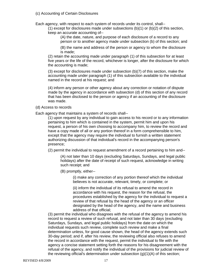(c) Accounting of Certain Disclosures

Each agency, with respect to each system of records under its control, shall--

(1) except for disclosures made under subsections (b)(1) or (b)(2) of this section, keep an accurate accounting of--

(A) the date, nature, and purpose of each disclosure of a record to any person or to another agency made under subsection (b) of this section; and

(B) the name and address of the person or agency to whom the disclosure is made;

(2) retain the accounting made under paragraph (1) of this subsection for at least five years or the life of the record, whichever is longer, after the disclosure for which the accounting is made;

(3) except for disclosures made under subsection (b)(7) of this section, make the accounting made under paragraph (1) of this subsection available to the individual named in the record at his request; and

(4) inform any person or other agency about any correction or notation of dispute made by the agency in accordance with subsection (d) of this section of any record that has been disclosed to the person or agency if an accounting of the disclosure was made.

(d) Access to records

Each agency that maintains a system of records shall--

(1) upon request by any individual to gain access to his record or to any information pertaining to him which is contained in the system, permit him and upon his request, a person of his own choosing to accompany him, to review the record and have a copy made of all or any portion thereof in a form comprehensible to him, except that the agency may require the individual to furnish a written statement authorizing discussion of that individual's record in the accompanying person's presence;

(2) permit the individual to request amendment of a record pertaining to him and--

(A) not later than 10 days (excluding Saturdays, Sundays, and legal public holidays) after the date of receipt of such request, acknowledge in writing such receipt; and

(B) promptly, either--

(i) make any correction of any portion thereof which the individual believes is not accurate, relevant, timely, or complete; or

(ii) inform the individual of its refusal to amend the record in accordance with his request, the reason for the refusal, the procedures established by the agency for the individual to request a review of that refusal by the head of the agency or an officer designated by the head of the agency, and the name and business address of that official;

(3) permit the individual who disagrees with the refusal of the agency to amend his record to request a review of such refusal, and not later than 30 days (excluding Saturdays, Sundays, and legal public holidays) from the date on which the individual requests such review, complete such review and make a final determination unless, for good cause shown, the head of the agency extends such 30-day period; and if, after his review, the reviewing official also refuses to amend the record in accordance with the request, permit the individual to file with the agency a concise statement setting forth the reasons for his disagreement with the refusal of the agency, and notify the individual of the provisions for judicial review of the reviewing official's determination under subsection (g)(1)(A) of this section;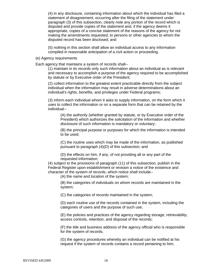(4) in any disclosure, containing information about which the individual has filed a statement of disagreement, occurring after the filing of the statement under paragraph (3) of this subsection, clearly note any portion of the record which is disputed and provide copies of the statement and, if the agency deems it appropriate, copies of a concise statement of the reasons of the agency for not making the amendments requested, to persons or other agencies to whom the disputed record has been disclosed; and

(5) nothing in this section shall allow an individual access to any information compiled in reasonable anticipation of a civil action or proceeding.

(e) Agency requirements

Each agency that maintains a system of records shall--

(1) maintain in its records only such information about an individual as is relevant and necessary to accomplish a purpose of the agency required to be accomplished by statute or by Executive order of the President;

(2) collect information to the greatest extent practicable directly from the subject individual when the information may result in adverse determinations about an individual's rights, benefits, and privileges under Federal programs;

(3) inform each individual whom it asks to supply information, on the form which it uses to collect the information or on a separate form that can be retained by the individual--

(A) the authority (whether granted by statute, or by Executive order of the President) which authorizes the solicitation of the information and whether disclosure of such information is mandatory or voluntary;

(B) the principal purpose or purposes for which the information is intended to be used;

(C) the routine uses which may be made of the information, as published pursuant to paragraph (4)(D) of this subsection; and

(D) the effects on him, if any, of not providing all or any part of the requested information;

(4) subject to the provisions of paragraph (11) of this subsection, publish in the Federal Register upon establishment or revision a notice of the existence and character of the system of records, which notice shall include--

(A) the name and location of the system;

(B) the categories of individuals on whom records are maintained in the system;

(C) the categories of records maintained in the system;

(D) each routine use of the records contained in the system, including the categories of users and the purpose of such use;

(E) the policies and practices of the agency regarding storage, retrievability, access controls, retention, and disposal of the records;

(F) the title and business address of the agency official who is responsible for the system of records;

(G) the agency procedures whereby an individual can be notified at his request if the system of records contains a record pertaining to him;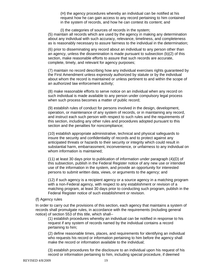(H) the agency procedures whereby an individual can be notified at his request how he can gain access to any record pertaining to him contained in the system of records, and how he can contest its content; and

(I) the categories of sources of records in the system;

(5) maintain all records which are used by the agency in making any determination about any individual with such accuracy, relevance, timeliness, and completeness as is reasonably necessary to assure fairness to the individual in the determination;

(6) prior to disseminating any record about an individual to any person other than an agency, unless the dissemination is made pursuant to subsection (b)(2) of this section, make reasonable efforts to assure that such records are accurate, complete, timely, and relevant for agency purposes;

(7) maintain no record describing how any individual exercises rights guaranteed by the First Amendment unless expressly authorized by statute or by the individual about whom the record is maintained or unless pertinent to and within the scope of an authorized law enforcement activity;

(8) make reasonable efforts to serve notice on an individual when any record on such individual is made available to any person under compulsory legal process when such process becomes a matter of public record;

(9) establish rules of conduct for persons involved in the design, development, operation, or maintenance of any system of records, or in maintaining any record, and instruct each such person with respect to such rules and the requirements of this section, including any other rules and procedures adopted pursuant to this section and the penalties for noncompliance;

(10) establish appropriate administrative, technical and physical safeguards to insure the security and confidentiality of records and to protect against any anticipated threats or hazards to their security or integrity which could result in substantial harm, embarrassment, inconvenience, or unfairness to any individual on whom information is maintained;

(11) at least 30 days prior to publication of information under paragraph (4)(D) of this subsection, publish in the Federal Register notice of any new use or intended use of the information in the system, and provide an opportunity for interested persons to submit written data, views, or arguments to the agency; and

(12) if such agency is a recipient agency or a source agency in a matching program with a non-Federal agency, with respect to any establishment or revision of a matching program, at least 30 days prior to conducting such program, publish in the Federal Register notice of such establishment or revision.

#### (f) Agency rules

In order to carry out the provisions of this section, each agency that maintains a system of records shall promulgate rules, in accordance with the requirements (including general notice) of section 553 of this title, which shall--

(1) establish procedures whereby an individual can be notified in response to his request if any system of records named by the individual contains a record pertaining to him;

(2) define reasonable times, places, and requirements for identifying an individual who requests his record or information pertaining to him before the agency shall make the record or information available to the individual;

(3) establish procedures for the disclosure to an individual upon his request of his record or information pertaining to him, including special procedure, if deemed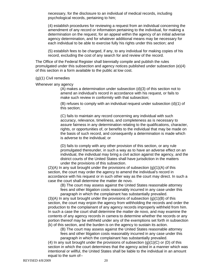necessary, for the disclosure to an individual of medical records, including psychological records, pertaining to him;

(4) establish procedures for reviewing a request from an individual concerning the amendment of any record or information pertaining to the individual, for making a determination on the request, for an appeal within the agency of an initial adverse agency determination, and for whatever additional means may be necessary for each individual to be able to exercise fully his rights under this section; and

(5) establish fees to be charged, if any, to any individual for making copies of his record, excluding the cost of any search for and review of the record.

The Office of the Federal Register shall biennially compile and publish the rules promulgated under this subsection and agency notices published under subsection (e)(4) of this section in a form available to the public at low cost.

#### (g)(1) Civil remedies

Whenever any agency

(A) makes a determination under subsection (d)(3) of this section not to amend an individual's record in accordance with his request, or fails to make such review in conformity with that subsection;

(B) refuses to comply with an individual request under subsection (d)(1) of this section;

(C) fails to maintain any record concerning any individual with such accuracy, relevance, timeliness, and completeness as is necessary to assure fairness in any determination relating to the qualifications, character, rights, or opportunities of, or benefits to the individual that may be made on the basis of such record, and consequently a determination is made which is adverse to the individual; or

(D) fails to comply with any other provision of this section, or any rule promulgated thereunder, in such a way as to have an adverse effect on an individual, the individual may bring a civil action against the agency, and the district courts of the United States shall have jurisdiction in the matters under the provisions of this subsection.

 $(2)(A)$  In any suit brought under the provisions of subsection  $(q)(1)(A)$  of this section, the court may order the agency to amend the individual's record in accordance with his request or in such other way as the court may direct. In such a case the court shall determine the matter de novo.

(B) The court may assess against the United States reasonable attorney fees and other litigation costs reasonably incurred in any case under this paragraph in which the complainant has substantially prevailed.

 $(3)(A)$  In any suit brought under the provisions of subsection  $(q)(1)(B)$  of this section, the court may enjoin the agency from withholding the records and order the production to the complainant of any agency records improperly withheld from him. In such a case the court shall determine the matter de novo, and may examine the contents of any agency records in camera to determine whether the records or any portion thereof may be withheld under any of the exemptions set forth in subsection (k) of this section, and the burden is on the agency to sustain its action.

(B) The court may assess against the United States reasonable attorney fees and other litigation costs reasonably incurred in any case under this paragraph in which the complainant has substantially prevailed.

(4) In any suit brought under the provisions of subsection  $(g)(1)(C)$  or  $(D)$  of this section in which the court determines that the agency acted in a manner which was intentional or willful, the United States shall be liable to the individual in an amount equal to the sum of--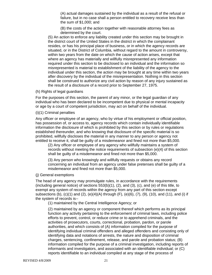(A) actual damages sustained by the individual as a result of the refusal or failure, but in no case shall a person entitled to recovery receive less than the sum of \$1,000; and

(B) the costs of the action together with reasonable attorney fees as determined by the court.

(5) An action to enforce any liability created under this section may be brought in the district court of the United States in the district in which the complainant resides, or has his principal place of business, or in which the agency records are situated, or in the District of Columbia, without regard to the amount in controversy, within two years from the date on which the cause of action arises, except that where an agency has materially and willfully misrepresented any information required under this section to be disclosed to an individual and the information so misrepresented is material to establishment of the liability of the agency to the individual under this section, the action may be brought at any time within two years after discovery by the individual of the misrepresentation. Nothing in this section shall be construed to authorize any civil action by reason of any injury sustained as the result of a disclosure of a record prior to September 27, 1975.

(h) Rights of legal guardians

For the purposes of this section, the parent of any minor, or the legal guardian of any individual who has been declared to be incompetent due to physical or mental incapacity or age by a court of competent jurisdiction, may act on behalf of the individual.

(i)(1) Criminal penalties

Any officer or employee of an agency, who by virtue of his employment or official position, has possession of, or access to, agency records which contain individually identifiable information the disclosure of which is prohibited by this section or by rules or regulations established thereunder, and who knowing that disclosure of the specific material is so prohibited, willfully discloses the material in any manner to any person or agency not entitled to receive it, shall be guilty of a misdemeanor and fined not more than \$5,000.

(2) Any officer or employee of any agency who willfully maintains a system of records without meeting the notice requirements of subsection (e)(4) of this section shall be guilty of a misdemeanor and fined not more than \$5,000.

(3) Any person who knowingly and willfully requests or obtains any record concerning an individual from an agency under false pretenses shall be guilty of a misdemeanor and fined not more than \$5,000.

(j) General exemptions

The head of any agency may promulgate rules, in accordance with the requirements (including general notice) of sections  $553(b)(1)$ ,  $(2)$ , and  $(3)$ ,  $(c)$ , and  $(e)$  of this title, to exempt any system of records within the agency from any part of this section except subsections (b), (c)(1) and (2), (e)(4)(A) through (F), (e)(6), (7), (9), (10), and (11), and (i) if the system of records is--

(1) maintained by the Central Intelligence Agency; or

(2) maintained by an agency or component thereof which performs as its principal function any activity pertaining to the enforcement of criminal laws, including police efforts to prevent, control, or reduce crime or to apprehend criminals, and the activities of prosecutors, courts, correctional, probation, pardon, or parole authorities, and which consists of (A) information compiled for the purpose of identifying individual criminal offenders and alleged offenders and consisting only of identifying data and notations of arrests, the nature and disposition of criminal charges, sentencing, confinement, release, and parole and probation status; (B) information compiled for the purpose of a criminal investigation, including reports of informants and investigators, and associated with an identifiable individual; or (C) reports identifiable to an individual compiled at any stage of the process of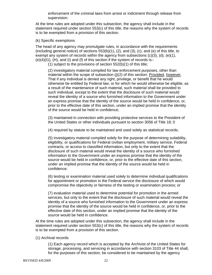enforcement of the criminal laws from arrest or indictment through release from supervision.

At the time rules are adopted under this subsection, the agency shall include in the statement required under section 553(c) of this title, the reasons why the system of records is to be exempted from a provision of this section.

#### (k) Specific exemptions

The head of any agency may promulgate rules, in accordance with the requirements (including general notice) of sections  $553(b)(1)$ ,  $(2)$ , and  $(3)$ ,  $(c)$ , and  $(e)$  of this title, to exempt any system of records within the agency from subsections (c)(3), (d), (e)(1),  $(e)(4)(G)$ ,  $(H)$ , and  $(I)$  and  $(f)$  of this section if the system of records is--

(1) subject to the provisions of section 552(b)(1) of this title;

(2) investigatory material compiled for law enforcement purposes, other than material within the scope of subsection (j)(2) of this section: Provided, however, That if any individual is denied any right, privilege, or benefit that he would otherwise be entitled by Federal law, or for which he would otherwise be eligible, as a result of the maintenance of such material, such material shall be provided to such individual, except to the extent that the disclosure of such material would reveal the identity of a source who furnished information to the Government under an express promise that the identity of the source would be held in confidence, or, prior to the effective date of this section, under an implied promise that the identity of the source would be held in confidence;

(3) maintained in connection with providing protective services to the President of the United States or other individuals pursuant to section 3056 of Title 18; 0

(4) required by statute to be maintained and used solely as statistical records;

(5) investigatory material compiled solely for the purpose of determining suitability, eligibility, or qualifications for Federal civilian employment, military service, Federal contracts, or access to classified information, but only to the extent that the disclosure of such material would reveal the identity of a source who furnished information to the Government under an express promise that the identity of the source would be held in confidence, or, prior to the effective date of this section, under an implied promise that the identity of the source would be held in confidence;

(6) testing or examination material used solely to determine individual qualifications for appointment or promotion in the Federal service the disclosure of which would compromise the objectivity or fairness of the testing or examination process; or

(7) evaluation material used to determine potential for promotion in the armed services, but only to the extent that the disclosure of such material would reveal the identity of a source who furnished information to the Government under an express promise that the identity of the source would be held in confidence, or, prior to the effective date of this section, under an implied promise that the identity of the source would be held in confidence.

At the time rules are adopted under this subsection, the agency shall include in the statement required under section 553(c) of this title, the reasons why the system of records is to be exempted from a provision of this section.

#### (1) Archival records

(1) Each agency record which is accepted by the Archivist of the United States for storage, processing, and servicing in accordance with section 3103 of Title 44 shall, for the purposes of this section, be considered to be maintained by the agency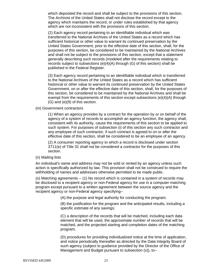which deposited the record and shall be subject to the provisions of this section. The Archivist of the United States shall not disclose the record except to the agency which maintains the record, or under rules established by that agency which are not inconsistent with the provisions of this section.

(2) Each agency record pertaining to an identifiable individual which was transferred to the National Archives of the United States as a record which has sufficient historical or other value to warrant its continued preservation by the United States Government, prior to the effective date of this section, shall, for the purposes of this section, be considered to be maintained by the National Archives and shall not be subject to the provisions of this section, except that a statement generally describing such records (modeled after the requirements relating to records subject to subsections (e)(4)(A) through (G) of this section) shall be published in the Federal Register.

(3) Each agency record pertaining to an identifiable individual which is transferred to the National Archives of the United States as a record which has sufficient historical or other value to warrant its continued preservation by the United States Government, on or after the effective date of this section, shall, for the purposes of this section, be considered to be maintained by the National Archives and shall be exempt from the requirements of this section except subsections (e)(4)(A) through (G) and (e)(9) of this section.

(m) Government contractors

(1) When an agency provides by a contract for the operation by or on behalf of the agency of a system of records to accomplish an agency function, the agency shall, consistent with its authority, cause the requirements of this section to be applied to such system. For purposes of subsection (i) of this section any such contractor and any employee of such contractor, if such contract is agreed to on or after the effective date of this section, shall be considered to be an employee of an agency.

(2) A consumer reporting agency to which a record is disclosed under section 3711(e) of Title 31 shall not be considered a contractor for the purposes of this section.

#### (n) Mailing lists

An individual's name and address may not be sold or rented by an agency unless such action is specifically authorized by law. This provision shall not be construed to require the withholding of names and addresses otherwise permitted to be made public.

(o) Matching agreements -- (1) No record which is contained in a system of records may be disclosed to a recipient agency or non-Federal agency for use in a computer matching program except pursuant to a written agreement between the source agency and the recipient agency or non-Federal agency specifying--

(A) the purpose and legal authority for conducting the program;

(B) the justification for the program and the anticipated results, including a specific estimate of any savings;

(C) a description of the records that will be matched, including each data element that will be used, the approximate number of records that will be matched, and the projected starting and completion dates of the matching program;

(D) procedures for providing individualized notice at the time of application, and notice periodically thereafter as directed by the Data Integrity Board of such agency (subject to guidance provided by the Director of the Office of Management and Budget pursuant to subsection (v)), to--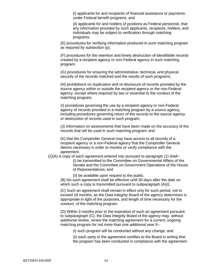(i) applicants for and recipients of financial assistance or payments under Federal benefit programs, and

(ii) applicants for and holders of positions as Federal personnel, that any information provided by such applicants, recipients, holders, and individuals may be subject to verification through matching programs;

(E) procedures for verifying information produced in such matching program as required by subsection (p);

(F) procedures for the retention and timely destruction of identifiable records created by a recipient agency or non-Federal agency in such matching program;

(G) procedures for ensuring the administrative, technical, and physical security of the records matched and the results of such programs;

(H) prohibitions on duplication and re-disclosure of records provided by the source agency within or outside the recipient agency or the non-Federal agency, except where required by law or essential to the conduct of the matching program;

(I) procedures governing the use by a recipient agency or non-Federal agency of records provided in a matching program by a source agency, including procedures governing return of the records to the source agency or destruction of records used in such program;

(J) information on assessments that have been made on the accuracy of the records that will be used in such matching program; and

(K) that the Comptroller General may have access to all records of a recipient agency or a non-Federal agency that the Comptroller General deems necessary in order to monitor or verify compliance with the agreement.

(2)(A) A copy of each agreement entered into pursuant to paragraph (1) shall--

(i) be transmitted to the Committee on Governmental Affairs of the Senate and the Committee on Government Operations of the House of Representatives; and

(ii) be available upon request to the public.

(B) No such agreement shall be effective until 30 days after the date on which such a copy is transmitted pursuant to subparagraph (A)(i).

(C) Such an agreement shall remain in effect only for such period, not to exceed 18 months, as the Data Integrity Board of the agency determines is appropriate in light of the purposes, and length of time necessary for the conduct, of the matching program.

(D) Within 3 months prior to the expiration of such an agreement pursuant to subparagraph (C), the Data Integrity Board of the agency may, without additional review, renew the matching agreement for a current, ongoing matching program for not more than one additional year if--

(i) such program will be conducted without any change; and

(ii) each party to the agreement certifies to the Board in writing that the program has been conducted in compliance with the agreement.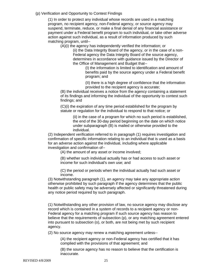#### (p) Verification and Opportunity to Contest Findings

(1) In order to protect any individual whose records are used in a matching program, no recipient agency, non-Federal agency, or source agency may suspend, terminate, reduce, or make a final denial of any financial assistance or payment under a Federal benefit program to such individual, or take other adverse action against such individual, as a result of information produced by such matching program, until--

(A)(i) the agency has independently verified the information; or

(ii) the Data Integrity Board of the agency, or in the case of a non-Federal agency the Data Integrity Board of the source agency, determines in accordance with guidance issued by the Director of the Office of Management and Budget that--

(I) the information is limited to identification and amount of benefits paid by the source agency under a Federal benefit program; and

(II) there is a high degree of confidence that the information provided to the recipient agency is accurate;

(B) the individual receives a notice from the agency containing a statement of its findings and informing the individual of the opportunity to contest such findings; and

(C)(i) the expiration of any time period established for the program by statute or regulation for the individual to respond to that notice; or

> (ii) in the case of a program for which no such period is established, the end of the 30-day period beginning on the date on which notice under subparagraph (B) is mailed or otherwise provided to the individual.

(2) Independent verification referred to in paragraph (1) requires investigation and confirmation of specific information relating to an individual that is used as a basis for an adverse action against the individual, including where applicable investigation and confirmation of--

(A) the amount of any asset or income involved;

(B) whether such individual actually has or had access to such asset or income for such individual's own use; and

(C) the period or periods when the individual actually had such asset or income.

(3) Notwithstanding paragraph (1), an agency may take any appropriate action otherwise prohibited by such paragraph if the agency determines that the public health or public safety may be adversely affected or significantly threatened during any notice period required by such paragraph.

(1) Notwithstanding any other provision of law, no source agency may disclose any record which is contained in a system of records to a recipient agency or non-Federal agency for a matching program if such source agency has reason to believe that the requirements of subsection (p), or any matching agreement entered into pursuant to subsection (o), or both, are not being met by such recipient agency.

(2) No source agency may renew a matching agreement unless--

(A) the recipient agency or non-Federal agency has certified that it has complied with the provisions of that agreement; and

(B) the source agency has no reason to believe that the certification is inaccurate.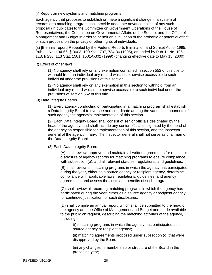(r) Report on new systems and matching programs

Each agency that proposes to establish or make a significant change in a system of records or a matching program shall provide adequate advance notice of any such proposal (in duplicate) to the Committee on Government Operations of the House of Representatives, the Committee on Governmental Affairs of the Senate, and the Office of Management and Budget in order to permit an evaluation of the probable or potential effect of such proposal on the privacy or other rights of individuals.

(s) [Biennial report] Repealed by the Federal Reports Elimination and Sunset Act of 1995, Pub. L. No. 104-66, § 3003, 109 Stat. 707, 734-36 (1995), amended by Pub. L. No. 106- 113, § 236, 113 Stat. 1501, 1501A-302 (1999) (changing effective date to May 15, 2000).

(t) Effect of other laws

(1) No agency shall rely on any exemption contained in section 552 of this title to withhold from an individual any record which is otherwise accessible to such individual under the provisions of this section.

(2) No agency shall rely on any exemption in this section to withhold from an individual any record which is otherwise accessible to such individual under the provisions of section 552 of this title.

(u) Data Integrity Boards

(1) Every agency conducting or participating in a matching program shall establish a Data Integrity Board to oversee and coordinate among the various components of such agency the agency's implementation of this section.

(2) Each Data Integrity Board shall consist of senior officials designated by the head of the agency, and shall include any senior official designated by the head of the agency as responsible for implementation of this section, and the inspector general of the agency, if any. The inspector general shall not serve as chairman of the Data Integrity Board.

(3) Each Data Integrity Board--

(A) shall review, approve, and maintain all written agreements for receipt or disclosure of agency records for matching programs to ensure compliance with subsection (o), and all relevant statutes, regulations, and guidelines;

(B) shall review all matching programs in which the agency has participated during the year, either as a source agency or recipient agency, determine compliance with applicable laws, regulations, guidelines, and agency agreements, and assess the costs and benefits of such programs;

(C) shall review all recurring matching programs in which the agency has participated during the year, either as a source agency or recipient agency, for continued justification for such disclosures;

(D) shall compile an annual report, which shall be submitted to the head of the agency and the Office of Management and Budget and made available to the public on request, describing the matching activities of the agency, including--

(i) matching programs in which the agency has participated as a source agency or recipient agency;

(ii) matching agreements proposed under subsection (o) that were disapproved by the Board;

(iii) any changes in membership or structure of the Board in the preceding year;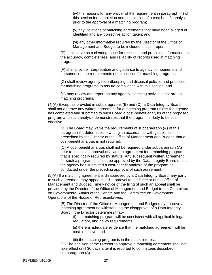(iv) the reasons for any waiver of the requirement in paragraph (4) of this section for completion and submission of a cost-benefit analysis prior to the approval of a matching program;

(v) any violations of matching agreements that have been alleged or identified and any corrective action taken; and

(vi) any other information required by the Director of the Office of Management and Budget to be included in such report;

(E) shall serve as a clearinghouse for receiving and providing information on the accuracy, completeness, and reliability of records used in matching programs;

(F) shall provide interpretation and guidance to agency components and personnel on the requirements of this section for matching programs;

(G) shall review agency recordkeeping and disposal policies and practices for matching programs to assure compliance with this section; and

(H) may review and report on any agency matching activities that are not matching programs.

(4)(A) Except as provided in subparagraphs (B) and (C), a Data Integrity Board shall not approve any written agreement for a matching program unless the agency has completed and submitted to such Board a cost-benefit analysis of the proposed program and such analysis demonstrates that the program is likely to be cost effective.

(B) The Board may waive the requirements of subparagraph (A) of this paragraph if it determines in writing, in accordance with guidelines prescribed by the Director of the Office of Management and Budget, that a cost-benefit analysis is not required.

(C) A cost-benefit analysis shall not be required under subparagraph (A) prior to the initial approval of a written agreement for a matching program that is specifically required by statute. Any subsequent written agreement for such a program shall not be approved by the Data Integrity Board unless the agency has submitted a cost-benefit analysis of the program as conducted under the preceding approval of such agreement.

(5)(A) If a matching agreement is disapproved by a Data Integrity Board, any party to such agreement may appeal the disapproval to the Director of the Office of Management and Budget. Timely notice of the filing of such an appeal shall be provided by the Director of the Office of Management and Budget to the Committee on Governmental Affairs of the Senate and the Committee on Government Operations of the House of Representatives.

(B) The Director of the Office of Management and Budget may approve a matching agreement notwithstanding the disapproval of a Data Integrity Board if the Director determines that--

(i) the matching program will be consistent with all applicable legal, regulatory, and policy requirements;

(ii) there is adequate evidence that the matching agreement will be cost- effective; and

(iii) the matching program is in the public interest. (C) The decision of the Director to approve a matching agreement shall not take effect until 30 days after it is reported to committees described in subparagraph (A).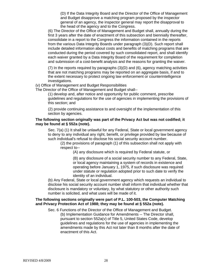(D) If the Data Integrity Board and the Director of the Office of Management and Budget disapprove a matching program proposed by the inspector general of an agency, the inspector general may report the disapproval to the head of the agency and to the Congress.

(6) The Director of the Office of Management and Budget shall, annually during the first 3 years after the date of enactment of this subsection and biennially thereafter, consolidate in a report to the Congress the information contained in the reports from the various Data Integrity Boards under paragraph (3)(D). Such report shall include detailed information about costs and benefits of matching programs that are conducted during the period covered by such consolidated report, and shall identify each waiver granted by a Data Integrity Board of the requirement for completion and submission of a cost-benefit analysis and the reasons for granting the waiver.

(7) In the reports required by paragraphs (3)(D) and (6), agency matching activities that are not matching programs may be reported on an aggregate basis, if and to the extent necessary to protect ongoing law enforcement or counterintelligence investigations.

(v) Office of Management and Budget Responsibilities

The Director of the Office of Management and Budget shall--

(1) develop and, after notice and opportunity for public comment, prescribe guidelines and regulations for the use of agencies in implementing the provisions of this section; and

(2) provide continuing assistance to and oversight of the implementation of this section by agencies.

#### **The following section originally was part of the Privacy Act but was not codified; it may be found at § 552a (note).**

Sec. 7(a) (1) It shall be unlawful for any Federal, State or local government agency to deny to any individual any right, benefit, or privilege provided by law because of such individual's refusal to disclose his social security account number.

(2) the provisions of paragraph (1) of this subsection shall not apply with respect to--

(A) any disclosure which is required by Federal statute, or

(B) any disclosure of a social security number to any Federal, State, or local agency maintaining a system of records in existence and operating before January 1, 1975, if such disclosure was required under statute or regulation adopted prior to such date to verify the identity of an individual.

(b) Any Federal, State or local government agency which requests an individual to disclose his social security account number shall inform that individual whether that disclosure is mandatory or voluntary, by what statutory or other authority such number is solicited, and what uses will be made of it.

#### **The following sections originally were part of P.L. 100-503, the Computer Matching and Privacy Protection Act of 1988; they may be found at § 552a (note).**

Sec. 6 Functions of the Director of the Office of Management and Budget.

(b) Implementation Guidance for Amendments -- The Director shall, pursuant to section 552a(v) of Title 5, United States Code, develop guidelines and regulations for the use of agencies in implementing the amendments made by this Act not later than 8 months after the date of enactment of this Act.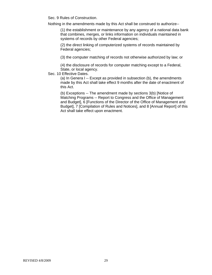Sec. 9 Rules of Construction.

Nothing in the amendments made by this Act shall be construed to authorize--

(1) the establishment or maintenance by any agency of a national data bank that combines, merges, or links information on individuals maintained in systems of records by other Federal agencies;

(2) the direct linking of computerized systems of records maintained by Federal agencies;

(3) the computer matching of records not otherwise authorized by law; or

(4) the disclosure of records for computer matching except to a Federal, State, or local agency.

#### Sec. 10 Effective Dates.

(a) In Genera l -- Except as provided in subsection (b), the amendments made by this Act shall take effect 9 months after the date of enactment of this Act.

(b) Exceptions -- The amendment made by sections 3(b) [Notice of Matching Programs -- Report to Congress and the Office of Management and Budget], 6 [Functions of the Director of the Office of Management and Budget], 7 [Compilation of Rules and Notices], and 8 [Annual Report] of this Act shall take effect upon enactment.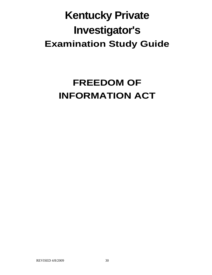# **Kentucky Private Investigator's Examination Study Guide**

### **FREEDOM OF INFORMATION ACT**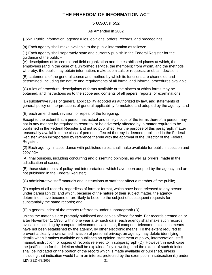#### **THE FREEDOM OF INFORMATION ACT**

#### **5 U.S.C. § 552**

#### As Amended in 2002

§ 552. Public information; agency rules, opinions, orders, records, and proceedings

(a) Each agency shall make available to the public information as follows:

(1) Each agency shall separately state and currently publish in the Federal Register for the guidance of the public--

(A) descriptions of its central and field organization and the established places at which, the employees (and in the case of a uniformed service, the members) from whom, and the methods whereby, the public may obtain information, make submittals or requests, or obtain decisions;

(B) statements of the general course and method by which its functions are channeled and determined, including the nature and requirements of all formal and informal procedures available;

(C) rules of procedure, descriptions of forms available or the places at which forms may be obtained, and instructions as to the scope and contents of all papers, reports, or examinations;

(D) substantive rules of general applicability adopted as authorized by law, and statements of general policy or interpretations of general applicability formulated and adopted by the agency; and

(E) each amendment, revision, or repeal of the foregoing.

Except to the extent that a person has actual and timely notice of the terms thereof, a person may not in any manner be required to resort to, or be adversely affected by, a matter required to be published in the Federal Register and not so published. For the purpose of this paragraph, matter reasonably available to the class of persons affected thereby is deemed published in the Federal Register when incorporated by reference therein with the approval of the Director of the Federal Register.

(2) Each agency, in accordance with published rules, shall make available for public inspection and copying--

(A) final opinions, including concurring and dissenting opinions, as well as orders, made in the adjudication of cases;

(B) those statements of policy and interpretations which have been adopted by the agency and are not published in the Federal Register;

(C) administrative staff manuals and instructions to staff that affect a member of the public;

(D) copies of all records, regardless of form or format, which have been released to any person under paragraph (3) and which, because of the nature of their subject matter, the agency determines have become or are likely to become the subject of subsequent requests for substantially the same records; and

(E) a general index of the records referred to under subparagraph (D);

REVISED 4/8/2009 31 unless the materials are promptly published and copies offered for sale. For records created on or after November 1, 1996, within one year after such date, each agency shall make such records available, including by computer telecommunications or, if computer telecommunications means have not been established by the agency, by other electronic means. To the extent required to prevent a clearly unwarranted invasion of personal privacy, an agency may delete identifying details when it makes available or publishes an opinion, statement of policy, interpretation, staff manual, instruction, or copies of records referred to in subparagraph (D). However, in each case the justification for the deletion shall be explained fully in writing, and the extent of such deletion shall be indicated on the portion of the record which is made available or published, unless including that indication would harm an interest protected by the exemption in subsection (b) under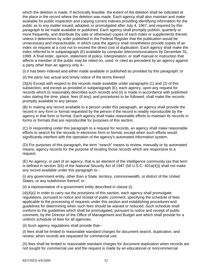which the deletion is made. If technically feasible, the extent of the deletion shall be indicated at the place in the record where the deletion was made. Each agency shall also maintain and make available for public inspection and copying current indexes providing identifying information for the public as to any matter issued, adopted, or promulgated after July 4, 1967, and required by this paragraph to be made available or published. Each agency shall promptly publish, quarterly or more frequently, and distribute (by sale or otherwise) copies of each index or supplements thereto unless it determines by order published in the Federal Register that the publication would be unnecessary and impracticable, in which case the agency shall nonetheless provide copies of an index on request at a cost not to exceed the direct cost of duplication. Each agency shall make the index referred to in subparagraph (E) available by computer telecommunications by December 31, 1999. A final order, opinion, statement of policy, interpretation, or staff manual or instruction that affects a member of the public may be relied on, used, or cited as precedent by an agency against a party other than an agency only if--

(i) it has been indexed and either made available or published as provided by this paragraph; or

(ii) the party has actual and timely notice of the terms thereof.

(3)(A) Except with respect to the records made available under paragraphs (1) and (2) of this subsection, and except as provided in subparagraph (E), each agency, upon any request for records which (i) reasonably describes such records and (ii) is made in accordance with published rules stating the time, place, fees (if any), and procedures to be followed, shall make the records promptly available to any person.

(B) In making any record available to a person under this paragraph, an agency shall provide the record in any form or format requested by the person if the record is readily reproducible by the agency in that form or format. Each agency shall make reasonable efforts to maintain its records in forms or formats that are reproducible for purposes of this section.

(C) In responding under this paragraph to a request for records, an agency shall make reasonable efforts to search for the records in electronic form or format, except when such efforts would significantly interfere with the operation of the agency's automated information system.

(D) For purposes of this paragraph, the term "search" means to review, manually or by automated means, agency records for the purpose of locating those records which are responsive to a request.

(E) An agency, or part of an agency, that is an element of the intelligence community (as that term is defined in section 3(4) of the National Security Act of 1947 (50 U.S.C. 401a(4))) shall not make any record available under this paragraph to--

(i) any government entity, other than a State, territory, commonwealth, or district of the United States, or any subdivision thereof; or

(ii) a representative of a government entity described in clause (i).

(4)(A)(i) In order to carry out the provisions of this section, each agency shall promulgate regulations, pursuant to notice and receipt of public comment, specifying the schedule of fees applicable to the processing of requests under this section and establishing procedures and guidelines for determining when such fees should be waived or reduced. Such schedule shall conform to the guidelines which shall be promulgated, pursuant to notice and receipt of public comment, by the Director of the Office of Management and Budget and which shall provide for a uniform schedule of fees for all agencies.

(ii) Such agency regulations shall provide that--

(I) fees shall be limited to reasonable standard charges for document search, duplication, and review, when records are requested for commercial use;

(II) fees shall be limited to reasonable standard charges for document duplication when records are not sought for commercial use and the request is made by an educational or noncommercial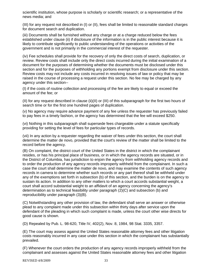scientific institution, whose purpose is scholarly or scientific research; or a representative of the news media; and

(III) for any request not described in (I) or (II), fees shall be limited to reasonable standard charges for document search and duplication.

(iii) Documents shall be furnished without any charge or at a charge reduced below the fees established under clause (ii) if disclosure of the information is in the public interest because it is likely to contribute significantly to public understanding of the operations or activities of the government and is not primarily in the commercial interest of the requester.

(iv) Fee schedules shall provide for the recovery of only the direct costs of search, duplication, or review. Review costs shall include only the direct costs incurred during the initial examination of a document for the purposes of determining whether the documents must be disclosed under this section and for the purposes of withholding any portions exempt from disclosure under this section. Review costs may not include any costs incurred in resolving issues of law or policy that may be raised in the course of processing a request under this section. No fee may be charged by any agency under this section--

(I) if the costs of routine collection and processing of the fee are likely to equal or exceed the amount of the fee; or

(II) for any request described in clause (ii)(II) or (III) of this subparagraph for the first two hours of search time or for the first one hundred pages of duplication.

(v) No agency may require advance payment of any fee unless the requester has previously failed to pay fees in a timely fashion, or the agency has determined that the fee will exceed \$250.

(vi) Nothing in this subparagraph shall supersede fees chargeable under a statute specifically providing for setting the level of fees for particular types of records.

(vii) In any action by a requester regarding the waiver of fees under this section, the court shall determine the matter de novo, provided that the court's review of the matter shall be limited to the record before the agency.

(B) On complaint, the district court of the United States in the district in which the complainant resides, or has his principal place of business, or in which the agency records are situated, or in the District of Columbia, has jurisdiction to enjoin the agency from withholding agency records and to order the production of any agency records improperly withheld from the complainant. In such a case the court shall determine the matter de novo, and may examine the contents of such agency records in camera to determine whether such records or any part thereof shall be withheld under any of the exemptions set forth in subsection (b) of this section, and the burden is on the agency to sustain its action. In addition to any other matters to which a court accords substantial weight, a court shall accord substantial weight to an affidavit of an agency concerning the agency's determination as to technical feasibility under paragraph (2)(C) and subsection (b) and reproducibility under paragraph (3)(B).

(C) Notwithstanding any other provision of law, the defendant shall serve an answer or otherwise plead to any complaint made under this subsection within thirty days after service upon the defendant of the pleading in which such complaint is made, unless the court other wise directs for good cause is shown.

(D) Repealed by Pub. L. 98-620, Title IV, 402(2), Nov. 8, 1984, 98 Stat. 3335, 3357.

(E) The court may assess against the United States reasonable attorney fees and other litigation costs reasonably incurred in any case under this section in which the complainant has substantially prevailed.

(F) Whenever the court orders the production of any agency records improperly withheld from the complainant and assesses against the United States reasonable attorney fees and other litigation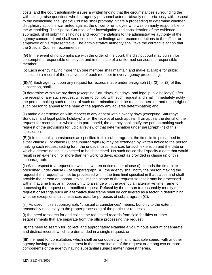costs, and the court additionally issues a written finding that the circumstances surrounding the withholding raise questions whether agency personnel acted arbitrarily or capriciously with respect to the withholding, the Special Counsel shall promptly initiate a proceeding to determine whether disciplinary action is warranted against the officer or employee who was primarily responsible for the withholding. The Special Counsel, after investigation and consideration of the evidence submitted, shall submit his findings and recommendations to the administrative authority of the agency concerned and shall send copies of the findings and recommendations to the officer or employee or his representative. The administrative authority shall take the corrective action that the Special Counsel recommends.

(G) In the event of noncompliance with the order of the court, the district court may punish for contempt the responsible employee, and in the case of a uniformed service, the responsible member.

(5) Each agency having more than one member shall maintain and make available for public inspection a record of the final votes of each member in every agency proceeding.

(6)(A) Each agency, upon any request for records made under paragraph (1), (2), or (3) of this subsection, shall--

(i) determine within twenty days (excepting Saturdays, Sundays, and legal public holidays) after the receipt of any such request whether to comply with such request and shall immediately notify the person making such request of such determination and the reasons therefor, and of the right of such person to appeal to the head of the agency any adverse determination; and

(ii) make a determination with respect to any appeal within twenty days (excepting Saturdays, Sundays, and legal public holidays) after the receipt of such appeal. If on appeal the denial of the request for records is in whole or in part upheld, the agency shall notify the person making such request of the provisions for judicial review of that determination under paragraph (4) of this subsection.

(B)(i) In unusual circumstances as specified in this subparagraph, the time limits prescribed in either clause (i) or clause (ii) of subparagraph (A) may be extended by written notice to the person making such request setting forth the unusual circumstances for such extension and the date on which a determination is expected to be dispatched. No such notice shall specify a date that would result in an extension for more than ten working days, except as provided in clause (ii) of this subparagraph.

(ii) With respect to a request for which a written notice under clause (i) extends the time limits prescribed under clause (i) of subparagraph (A), the agency shall notify the person making the request if the request cannot be processed within the time limit specified in that clause and shall provide the person an opportunity to limit the scope of the request so that it may be processed within that time limit or an opportunity to arrange with the agency an alternative time frame for processing the request or a modified request. Refusal by the person to reasonably modify the request or arrange such an alternative time frame shall be considered as a factor in determining whether exceptional circumstances exist for purposes of subparagraph (C).

(iii) As used in this subparagraph, "unusual circumstances" means, but only to the extent reasonably necessary to the proper processing of the particular requests--

(I) the need to search for and collect the requested records from field facilities or other establishments that are separate from the office processing the request;

(II) the need to search for, collect, and appropriately examine a voluminous amount of separate and distinct records which are demanded in a single request; or

(III) the need for consultation, which shall be conducted with all practicable speed, with another agency having a substantial interest in the determination of the request or among two or more components of the agency having substantial subject matter interest therein.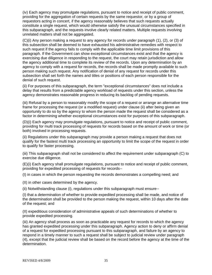(iv) Each agency may promulgate regulations, pursuant to notice and receipt of public comment, providing for the aggregation of certain requests by the same requestor, or by a group of requestors acting in concert, if the agency reasonably believes that such requests actually constitute a single request, which would otherwise satisfy the unusual circumstances specified in this subparagraph, and the requests involve clearly related matters. Multiple requests involving unrelated matters shall not be aggregated.

(C)(i) Any person making a request to any agency for records under paragraph (1), (2), or (3) of this subsection shall be deemed to have exhausted his administrative remedies with respect to such request if the agency fails to comply with the applicable time limit provisions of this paragraph. If the Government can show exceptional circumstances exist and that the agency is exercising due diligence in responding to the request, the court may retain jurisdiction and allow the agency additional time to complete its review of the records. Upon any determination by an agency to comply with a request for records, the records shall be made promptly available to such person making such request. Any notification of denial of any request for records under this subsection shall set forth the names and titles or positions of each person responsible for the denial of such request.

(ii) For purposes of this subparagraph, the term "exceptional circumstances" does not include a delay that results from a predictable agency workload of requests under this section, unless the agency demonstrates reasonable progress in reducing its backlog of pending requests.

(iii) Refusal by a person to reasonably modify the scope of a request or arrange an alternative time frame for processing the request (or a modified request) under clause (ii) after being given an opportunity to do so by the agency to whom the person made the request shall be considered as a factor in determining whether exceptional circumstances exist for purposes of this subparagraph.

(D)(i) Each agency may promulgate regulations, pursuant to notice and receipt of public comment, providing for multi track processing of requests for records based on the amount of work or time (or both) involved in processing requests.

(ii) Regulations under this subparagraph may provide a person making a request that does not qualify for the fastest multi track processing an opportunity to limit the scope of the request in order to qualify for faster processing.

(iii) This subparagraph shall not be considered to affect the requirement under subparagraph (C) to exercise due diligence.

(E)(i) Each agency shall promulgate regulations, pursuant to notice and receipt of public comment, providing for expedited processing of requests for records--

(I) in cases in which the person requesting the records demonstrates a compelling need; and

(II) in other cases determined by the agency.

(ii) Notwithstanding clause (i), regulations under this subparagraph must ensure--

(I) that a determination of whether to provide expedited processing shall be made, and notice of the determination shall be provided to the person making the request, within 10 days after the date of the request; and

(II) expeditious consideration of administrative appeals of such determinations of whether to provide expedited processing.

(iii) An agency shall process as soon as practicable any request for records to which the agency has granted expedited processing under this subparagraph. Agency action to deny or affirm denial of a request for expedited processing pursuant to this subparagraph, and failure by an agency to respond in a timely manner to such a request shall be subject to judicial review under paragraph (4), except that the judicial review shall be based on the record before the agency at the time of the determination.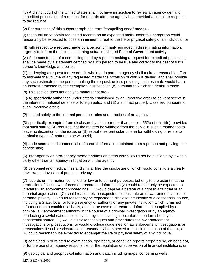(iv) A district court of the United States shall not have jurisdiction to review an agency denial of expedited processing of a request for records after the agency has provided a complete response to the request.

(v) For purposes of this subparagraph, the term "compelling need" means--

(I) that a failure to obtain requested records on an expedited basis under this paragraph could reasonably be expected to pose an imminent threat to the life or physical safety of an individual; or

(II) with respect to a request made by a person primarily engaged in disseminating information, urgency to inform the public concerning actual or alleged Federal Government activity.

(vi) A demonstration of a compelling need by a person making a request for expedited processing shall be made by a statement certified by such person to be true and correct to the best of such person's knowledge and belief.

(F) In denying a request for records, in whole or in part, an agency shall make a reasonable effort to estimate the volume of any requested matter the provision of which is denied, and shall provide any such estimate to the person making the request, unless providing such estimate would harm an interest protected by the exemption in subsection (b) pursuant to which the denial is made.

(b) This section does not apply to matters that are--

(1)(A) specifically authorized under criteria established by an Executive order to be kept secret in the interest of national defense or foreign policy and (B) are in fact properly classified pursuant to such Executive order;

(2) related solely to the internal personnel rules and practices of an agency;

(3) specifically exempted from disclosure by statute (other than section 552b of this title), provided that such statute (A) requires that the matters be withheld from the public in such a manner as to leave no discretion on the issue, or (B) establishes particular criteria for withholding or refers to particular types of matters to be withheld;

(4) trade secrets and commercial or financial information obtained from a person and privileged or confidential;

(5) inter-agency or intra-agency memorandums or letters which would not be available by law to a party other than an agency in litigation with the agency;

(6) personnel and medical files and similar files the disclosure of which would constitute a clearly unwarranted invasion of personal privacy;

(7) records or information compiled for law enforcement purposes, but only to the extent that the production of such law enforcement records or information (A) could reasonably be expected to interfere with enforcement proceedings, (B) would deprive a person of a right to a fair trial or an impartial adjudication, (C) could reasonably be expected to constitute an unwarranted invasion of personal privacy, (D) could reasonably be expected to disclose the identity of a confidential source, including a State, local, or foreign agency or authority or any private institution which furnished information on a confidential basis, and, in the case of a record or information compiled by a criminal law enforcement authority in the course of a criminal investigation or by an agency conducting a lawful national security intelligence investigation, information furnished by a confidential source, (E) would disclose techniques and procedures for law enforcement investigations or prosecutions, or would disclose guidelines for law enforcement investigations or prosecutions if such disclosure could reasonably be expected to risk circumvention of the law, or (F) could reasonably be expected to endanger the life or physical safety of any individual;

(8) contained in or related to examination, operating, or condition reports prepared by, on behalf of, or for the use of an agency responsible for the regulation or supervision of financial institutions; or

(9) geological and geophysical information and data, including maps, concerning wells.

REVISED 4/8/2009 36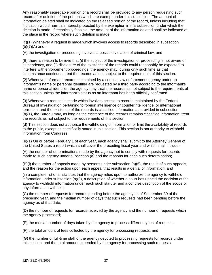Any reasonably segregable portion of a record shall be provided to any person requesting such record after deletion of the portions which are exempt under this subsection. The amount of information deleted shall be indicated on the released portion of the record, unless including that indication would harm an interest protected by the exemption in this subsection under which the deletion is made. If technically feasible, the amount of the information deleted shall be indicated at the place in the record where such deletion is made.

(c)(1) Whenever a request is made which involves access to records described in subsection (b)(7)(A) and--

(A) the investigation or proceeding involves a possible violation of criminal law; and

(B) there is reason to believe that (i) the subject of the investigation or proceeding is not aware of its pendency, and (ii) disclosure of the existence of the records could reasonably be expected to interfere with enforcement proceedings, the agency may, during only such time as that circumstance continues, treat the records as not subject to the requirements of this section.

(2) Whenever informant records maintained by a criminal law enforcement agency under an informant's name or personal identifier are requested by a third party according to the informant's name or personal identifier, the agency may treat the records as not subject to the requirements of this section unless the informant's status as an informant has been officially confirmed.

(3) Whenever a request is made which involves access to records maintained by the Federal Bureau of Investigation pertaining to foreign intelligence or counterintelligence, or international terrorism, and the existence of the records is classified information as provided in subsection (b)(1), the Bureau may, as long as the existence of the records remains classified information, treat the records as not subject to the requirements of this section.

(d) This section does not authorize the withholding of information or limit the availability of records to the public, except as specifically stated in this section. This section is not authority to withhold information from Congress.

(e)(1) On or before February 1 of each year, each agency shall submit to the Attorney General of the United States a report which shall cover the preceding fiscal year and which shall include--

(A) the number of determinations made by the agency not to comply with requests for records made to such agency under subsection (a) and the reasons for each such determination;

(B)(i) the number of appeals made by persons under subsection (a)(6), the result of such appeals, and the reason for the action upon each appeal that results in a denial of information; and

(ii) a complete list of all statutes that the agency relies upon to authorize the agency to withhold information under subsection (b)(3), a description of whether a court has upheld the decision of the agency to withhold information under each such statute, and a concise description of the scope of any information withheld;

(C) the number of requests for records pending before the agency as of September 30 of the preceding year, and the median number of days that such requests had been pending before the agency as of that date;

(D) the number of requests for records received by the agency and the number of requests which the agency processed;

(E) the median number of days taken by the agency to process different types of requests;

(F) the total amount of fees collected by the agency for processing requests; and

(G) the number of full-time staff of the agency devoted to processing requests for records under this section, and the total amount expended by the agency for processing such requests.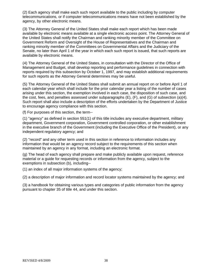(2) Each agency shall make each such report available to the public including by computer telecommunications, or if computer telecommunications means have not been established by the agency, by other electronic means.

(3) The Attorney General of the United States shall make each report which has been made available by electronic means available at a single electronic access point. The Attorney General of the United States shall notify the Chairman and ranking minority member of the Committee on Government Reform and Oversight of the House of Representatives and the Chairman and ranking minority member of the Committees on Governmental Affairs and the Judiciary of the Senate, no later than April 1 of the year in which each such report is issued, that such reports are available by electronic means.

(4) The Attorney General of the United States, in consultation with the Director of the Office of Management and Budget, shall develop reporting and performance guidelines in connection with reports required by this subsection by October 1, 1997, and may establish additional requirements for such reports as the Attorney General determines may be useful.

(5) The Attorney General of the United States shall submit an annual report on or before April 1 of each calendar year which shall include for the prior calendar year a listing of the number of cases arising under this section, the exemption involved in each case, the disposition of such case, and the cost, fees, and penalties assessed under subparagraphs (E), (F), and (G) of subsection (a)(4). Such report shall also include a description of the efforts undertaken by the Department of Justice to encourage agency compliance with this section.

(f) For purposes of this section, the term--

(1) "agency" as defined in section 551(1) of this title includes any executive department, military department, Government corporation, Government controlled corporation, or other establishment in the executive branch of the Government (including the Executive Office of the President), or any independent regulatory agency; and

(2) "record" and any other term used in this section in reference to information includes any information that would be an agency record subject to the requirements of this section when maintained by an agency in any format, including an electronic format.

(g) The head of each agency shall prepare and make publicly available upon request, reference material or a guide for requesting records or information from the agency, subject to the exemptions in subsection (b), including--

(1) an index of all major information systems of the agency;

(2) a description of major information and record locator systems maintained by the agency; and

(3) a handbook for obtaining various types and categories of public information from the agency pursuant to chapter 35 of title 44, and under this section.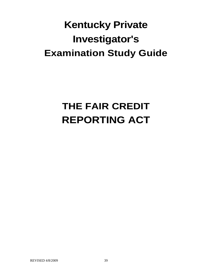# **Kentucky Private Investigator's Examination Study Guide**

## **THE FAIR CREDIT REPORTING ACT**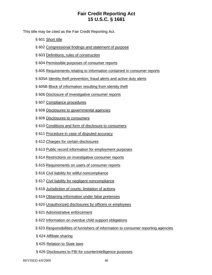## **Fair Credit Reporting Act 15 U.S.C. § 1681**

This title may be cited as the Fair Credit Reporting Act.

- § 601 Short title
- § 602 Congressional findings and statement of purpose
- § 603 Definitions; rules of construction
- § 604 Permissible purposes of consumer reports
- § 605 Requirements relating to information contained in consumer reports
- § 605A Identity theft prevention; fraud alerts and active duty alerts
- § 605B Block of information resulting from identity theft
- § 606 Disclosure of investigative consumer reports
- § 607 Compliance procedures
- § 608 Disclosures to governmental agencies
- § 609 Disclosures to consumers
- § 610 Conditions and form of disclosure to consumers
- § 611 Procedure in case of disputed accuracy
- § 612 Charges for certain disclosures
- § 613 Public record information for employment purposes
- § 614 Restrictions on investigative consumer reports
- § 615 Requirements on users of consumer reports
- § 616 Civil liability for willful noncompliance
- § 617 Civil liability for negligent noncompliance
- § 618 Jurisdiction of courts; limitation of actions
- § 619 Obtaining information under false pretenses
- § 620 Unauthorized disclosures by officers or employees
- § 621 Administrative enforcement
- § 622 Information on overdue child support obligations
- § 623 Responsibilities of furnishers of information to consumer reporting agencies
- § 624 Affiliate sharing
- § 625 Relation to State laws
- § 626 Disclosures to FBI for counterintelligence purposes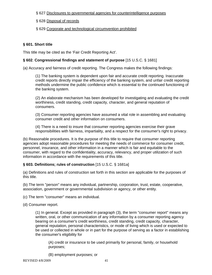- § 627 Disclosures to governmental agencies for counterintelligence purposes
- § 628 Disposal of records
- § 629 Corporate and technological circumvention prohibited

## **§ 601. Short title**

This title may be cited as the 'Fair Credit Reporting Act'.

## **§ 602**. **Congressional findings and statement of purpose** [15 U.S.C. § 1681]

(a) Accuracy and fairness of credit reporting. The Congress makes the following findings:

(1) The banking system is dependent upon fair and accurate credit reporting. Inaccurate credit reports directly impair the efficiency of the banking system, and unfair credit reporting methods undermine the public confidence which is essential to the continued functioning of the banking system.

(2) An elaborate mechanism has been developed for investigating and evaluating the credit worthiness, credit standing, credit capacity, character, and general reputation of consumers.

(3) Consumer reporting agencies have assumed a vital role in assembling and evaluating consumer credit and other information on consumers.

(4) There is a need to insure that consumer reporting agencies exercise their grave responsibilities with fairness, impartiality, and a respect for the consumer's right to privacy.

(b) Reasonable procedures. It is the purpose of this title to require that consumer reporting agencies adopt reasonable procedures for meeting the needs of commerce for consumer credit, personnel, insurance, and other information in a manner which is fair and equitable to the consumer, with regard to the confidentiality, accuracy, relevancy, and proper utilization of such information in accordance with the requirements of this title.

## **§ 603. Definitions; rules of construction** [15 U.S.C. § 1681a]

(a) Definitions and rules of construction set forth in this section are applicable for the purposes of this title.

(b) The term "person" means any individual, partnership, corporation, trust, estate, cooperative, association, government or governmental subdivision or agency, or other entity.

(c) The term "consumer" means an individual.

(d) Consumer report.

(1) In general. Except as provided in paragraph (3), the term "consumer report" means any written, oral, or other communication of any information by a consumer reporting agency bearing on a consumer's credit worthiness, credit standing, credit capacity, character, general reputation, personal characteristics, or mode of living which is used or expected to be used or collected in whole or in part for the purpose of serving as a factor in establishing the consumer's eligibility for

(A) credit or insurance to be used primarily for personal, family, or household purposes;

(B) employment purposes; or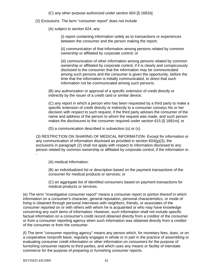(C) any other purpose authorized under section 604 [§ 1681b].

(2) Exclusions. The term "consumer report" does not include

(A) subject to section 624, any

(i) report containing information solely as to transactions or experiences between the consumer and the person making the report;

(ii) communication of that information among persons related by common ownership or affiliated by corporate control; or

(iii) communication of other information among persons related by common ownership or affiliated by corporate control, if it is clearly and conspicuously disclosed to the consumer that the information may be communicated among such persons and the consumer is given the opportunity, before the time that the information is initially communicated, to direct that such information not be communicated among such persons;

(B) any authorization or approval of a specific extension of credit directly or indirectly by the issuer of a credit card or similar device;

(C) any report in which a person who has been requested by a third party to make a specific extension of credit directly or indirectly to a consumer conveys his or her decision with respect to such request, if the third party advises the consumer of the name and address of the person to whom the request was made, and such person makes the disclosures to the consumer required under section 615 [§ 1681m]; or

(D) a communication described in subsection (o) or (x).

(3) RESTRICTION ON SHARING OF MEDICAL INFORMATION- Except for information or any communication of information disclosed as provided in section 604(g)(3), the exclusions in paragraph (2) shall not apply with respect to information disclosed to any person related by common ownership or affiliated by corporate control, if the information is- -

(A) medical information;

(B) an individualized list or description based on the payment transactions of the consumer for medical products or services; or

(C) an aggregate list of identified consumers based on payment transactions for medical products or services.

(e) The term "investigative consumer report" means a consumer report or portion thereof in which information on a consumer's character, general reputation, personal characteristics, or mode of living is obtained through personal interviews with neighbors, friends, or associates of the consumer reported on or with others with whom he is acquainted or who may have knowledge concerning any such items of information. However, such information shall not include specific factual information on a consumer's credit record obtained directly from a creditor of the consumer or from a consumer reporting agency when such information was obtained directly from a creditor of the consumer or from the consumer.

(f) The term "consumer reporting agency" means any person which, for monetary fees, dues, or on a cooperative nonprofit basis, regularly engages in whole or in part in the practice of assembling or evaluating consumer credit information or other information on consumers for the purpose of furnishing consumer reports to third parties, and which uses any means or facility of interstate commerce for the purpose of preparing or furnishing consumer reports.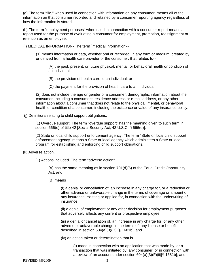(g) The term "file," when used in connection with information on any consumer, means all of the information on that consumer recorded and retained by a consumer reporting agency regardless of how the information is stored.

(h) The term "employment purposes" when used in connection with a consumer report means a report used for the purpose of evaluating a consumer for employment, promotion, reassignment or retention as an employee.

(i) MEDICAL INFORMATION- The term `medical information'--

(1) means information or data, whether oral or recorded, in any form or medium, created by or derived from a health care provider or the consumer, that relates to--

(A) the past, present, or future physical, mental, or behavioral health or condition of an individual;

(B) the provision of health care to an individual; or

(C) the payment for the provision of health care to an individual.

(2) does not include the age or gender of a consumer, demographic information about the consumer, including a consumer's residence address or e-mail address, or any other information about a consumer that does not relate to the physical, mental, or behavioral health or condition of a consumer, including the existence or value of any insurance policy.

(j) Definitions relating to child support obligations.

(1) Overdue support. The term "overdue support" has the meaning given to such term in section 666(e) of title 42 [Social Security Act, 42 U.S.C. § 666(e)].

(2) State or local child support enforcement agency. The term "State or local child support enforcement agency" means a State or local agency which administers a State or local program for establishing and enforcing child support obligations.

(k) Adverse action.

(1) Actions included. The term "adverse action"

(A) has the same meaning as in section 701(d)(6) of the Equal Credit Opportunity Act; and

(B) means

(i) a denial or cancellation of, an increase in any charge for, or a reduction or other adverse or unfavorable change in the terms of coverage or amount of, any insurance, existing or applied for, in connection with the underwriting of insurance;

(ii) a denial of employment or any other decision for employment purposes that adversely affects any current or prospective employee;

(iii) a denial or cancellation of, an increase in any charge for, or any other adverse or unfavorable change in the terms of, any license or benefit described in section 604(a)(3)(D) [§ 1681b]; and

(iv) an action taken or determination that is

(I) made in connection with an application that was made by, or a transaction that was initiated by, any consumer, or in connection with a review of an account under section 604(a)(3)(F)(ii)[§ 1681b]; and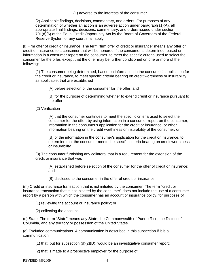(II) adverse to the interests of the consumer.

(2) Applicable findings, decisions, commentary, and orders. For purposes of any determination of whether an action is an adverse action under paragraph (1)(A), all appropriate final findings, decisions, commentary, and orders issued under section 701(d)(6) of the Equal Credit Opportunity Act by the Board of Governors of the Federal Reserve System or any court shall apply.

(l) Firm offer of credit or insurance. The term "firm offer of credit or insurance" means any offer of credit or insurance to a consumer that will be honored if the consumer is determined, based on information in a consumer report on the consumer, to meet the specific criteria used to select the consumer for the offer, except that the offer may be further conditioned on one or more of the following:

(1) The consumer being determined, based on information in the consumer's application for the credit or insurance, to meet specific criteria bearing on credit worthiness or insurability, as applicable, that are established

(A) before selection of the consumer for the offer; and

(B) for the purpose of determining whether to extend credit or insurance pursuant to the offer.

(2) Verification

(A) that the consumer continues to meet the specific criteria used to select the consumer for the offer, by using information in a consumer report on the consumer, information in the consumer's application for the credit or insurance, or other information bearing on the credit worthiness or insurability of the consumer; or

(B) of the information in the consumer's application for the credit or insurance, to determine that the consumer meets the specific criteria bearing on credit worthiness or insurability.

(3) The consumer furnishing any collateral that is a requirement for the extension of the credit or insurance that was

(A) established before selection of the consumer for the offer of credit or insurance; and

(B) disclosed to the consumer in the offer of credit or insurance.

(m) Credit or insurance transaction that is not initiated by the consumer. The term "credit or insurance transaction that is not initiated by the consumer" does not include the use of a consumer report by a person with which the consumer has an account or insurance policy, for purposes of

(1) reviewing the account or insurance policy; or

(2) collecting the account.

(n) State. The term "State" means any State, the Commonwealth of Puerto Rico, the District of Columbia, and any territory or possession of the United States.

(o) Excluded communications. A communication is described in this subsection if it is a communication

(1) that, but for subsection  $(d)(2)(D)$ , would be an investigative consumer report;

(2) that is made to a prospective employer for the purpose of

REVISED 4/8/2009 44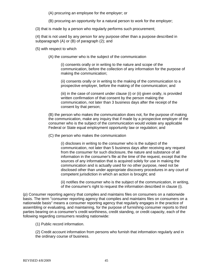(A) procuring an employee for the employer; or

- (B) procuring an opportunity for a natural person to work for the employer;
- (3) that is made by a person who regularly performs such procurement;

(4) that is not used by any person for any purpose other than a purpose described in subparagraph (A) or (B) of paragraph (2); and

- (5) with respect to which
	- (A) the consumer who is the subject of the communication

(i) consents orally or in writing to the nature and scope of the communication, before the collection of any information for the purpose of making the communication;

(ii) consents orally or in writing to the making of the communication to a prospective employer, before the making of the communication; and

(iii) in the case of consent under clause (i) or (ii) given orally, is provided written confirmation of that consent by the person making the communication, not later than 3 business days after the receipt of the consent by that person;

(B) the person who makes the communication does not, for the purpose of making the communication, make any inquiry that if made by a prospective employer of the consumer who is the subject of the communication would violate any applicable Federal or State equal employment opportunity law or regulation; and

(C) the person who makes the communication

(i) discloses in writing to the consumer who is the subject of the communication, not later than 5 business days after receiving any request from the consumer for such disclosure, the nature and substance of all information in the consumer's file at the time of the request, except that the sources of any information that is acquired solely for use in making the communication and is actually used for no other purpose, need not be disclosed other than under appropriate discovery procedures in any court of competent jurisdiction in which an action is brought; and

(ii) notifies the consumer who is the subject of the communication, in writing, of the consumer's right to request the information described in clause (i).

(p) Consumer reporting agency that compiles and maintains files on consumers on a nationwide basis. The term "consumer reporting agency that compiles and maintains files on consumers on a nationwide basis" means a consumer reporting agency that regularly engages in the practice of assembling or evaluating, and maintaining, for the purpose of furnishing consumer reports to third parties bearing on a consumer's credit worthiness, credit standing, or credit capacity, each of the following regarding consumers residing nationwide:

(1) Public record information.

(2) Credit account information from persons who furnish that information regularly and in the ordinary course of business.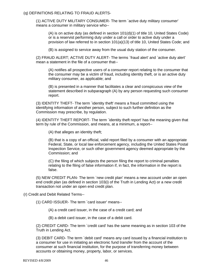#### (q) DEFINITIONS RELATING TO FRAUD ALERTS-

(1) ACTIVE DUTY MILITARY CONSUMER- The term `active duty military consumer' means a consumer in military service who--

(A) is on active duty (as defined in section 101(d)(1) of title 10, United States Code) or is a reservist performing duty under a call or order to active duty under a provision of law referred to in section 101(a)(13) of title 10, United States Code; and

(B) is assigned to service away from the usual duty station of the consumer.

(2) FRAUD ALERT; ACTIVE DUTY ALERT- The terms `fraud alert' and `active duty alert' mean a statement in the file of a consumer that--

(A) notifies all prospective users of a consumer report relating to the consumer that the consumer may be a victim of fraud, including identity theft, or is an active duty military consumer, as applicable; and

(B) is presented in a manner that facilitates a clear and conspicuous view of the statement described in subparagraph (A) by any person requesting such consumer report.

(3) IDENTITY THEFT- The term `identity theft' means a fraud committed using the identifying information of another person, subject to such further definition as the Commission may prescribe, by regulation.

(4) IDENTITY THEFT REPORT- The term `identity theft report' has the meaning given that term by rule of the Commission, and means, at a minimum, a report--

(A) that alleges an identity theft;

(B) that is a copy of an official, valid report filed by a consumer with an appropriate Federal, State, or local law enforcement agency, including the United States Postal Inspection Service, or such other government agency deemed appropriate by the Commission; and

(C) the filing of which subjects the person filing the report to criminal penalties relating to the filing of false information if, in fact, the information in the report is false.

(5) NEW CREDIT PLAN- The term `new credit plan' means a new account under an open end credit plan (as defined in section 103(i) of the Truth in Lending Act) or a new credit transaction not under an open end credit plan.

(r) Credit and Debit Related Terms--

(1) CARD ISSUER- The term `card issuer' means--

(A) a credit card issuer, in the case of a credit card; and

(B) a debit card issuer, in the case of a debit card.

(2) CREDIT CARD- The term `credit card' has the same meaning as in section 103 of the Truth in Lending Act.

(3) DEBIT CARD- The term `debit card' means any card issued by a financial institution to a consumer for use in initiating an electronic fund transfer from the account of the consumer at such financial institution, for the purpose of transferring money between accounts or obtaining money, property, labor, or services.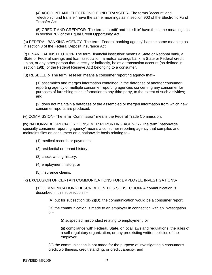(4) ACCOUNT AND ELECTRONIC FUND TRANSFER- The terms `account' and `electronic fund transfer' have the same meanings as in section 903 of the Electronic Fund Transfer Act.

(5) CREDIT AND CREDITOR- The terms `credit' and `creditor' have the same meanings as in section 702 of the Equal Credit Opportunity Act.

(s) FEDERAL BANKING AGENCY- The term `Federal banking agency' has the same meaning as in section 3 of the Federal Deposit Insurance Act.

(t) FINANCIAL INSTITUTION- The term `financial institution' means a State or National bank, a State or Federal savings and loan association, a mutual savings bank, a State or Federal credit union, or any other person that, directly or indirectly, holds a transaction account (as defined in section 19(b) of the Federal Reserve Act) belonging to a consumer.

(u) RESELLER- The term `reseller' means a consumer reporting agency that--

(1) assembles and merges information contained in the database of another consumer reporting agency or multiple consumer reporting agencies concerning any consumer for purposes of furnishing such information to any third party, to the extent of such activities; and

(2) does not maintain a database of the assembled or merged information from which new consumer reports are produced.

(v) COMMISSION- The term `Commission' means the Federal Trade Commission.

(w) NATIONWIDE SPECIALTY CONSUMER REPORTING AGENCY- The term `nationwide specialty consumer reporting agency' means a consumer reporting agency that compiles and maintains files on consumers on a nationwide basis relating to--

- (1) medical records or payments;
- (2) residential or tenant history;
- (3) check writing history;
- (4) employment history; or
- (5) insurance claims.

(x) EXCLUSION OF CERTAIN COMMUNICATIONS FOR EMPLOYEE INVESTIGATIONS-

(1) COMMUNICATIONS DESCRIBED IN THIS SUBSECTION- A communication is described in this subsection if--

(A) but for subsection (d)(2)(D), the communication would be a consumer report;

(B) the communication is made to an employer in connection with an investigation of--

(i) suspected misconduct relating to employment; or

(ii) compliance with Federal, State, or local laws and regulations, the rules of a self-regulatory organization, or any preexisting written policies of the employer;

(C) the communication is not made for the purpose of investigating a consumer's credit worthiness, credit standing, or credit capacity; and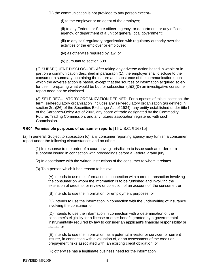(D) the communication is not provided to any person except--

(i) to the employer or an agent of the employer;

(ii) to any Federal or State officer, agency, or department, or any officer, agency, or department of a unit of general local government;

(iii) to any self-regulatory organization with regulatory authority over the activities of the employer or employee;

- (iv) as otherwise required by law; or
- (v) pursuant to section 608.

(2) SUBSEQUENT DISCLOSURE- After taking any adverse action based in whole or in part on a communication described in paragraph (1), the employer shall disclose to the consumer a summary containing the nature and substance of the communication upon which the adverse action is based, except that the sources of information acquired solely for use in preparing what would be but for subsection (d)(2)(D) an investigative consumer report need not be disclosed.

(3) SELF-REGULATORY ORGANIZATION DEFINED- For purposes of this subsection, the term `self-regulatory organization' includes any self-regulatory organization (as defined in section 3(a)(26) of the Securities Exchange Act of 1934), any entity established under title I of the Sarbanes-Oxley Act of 2002, any board of trade designated by the Commodity Futures Trading Commission, and any futures association registered with such Commission.

## **§ 604. Permissible purposes of consumer reports** [15 U.S.C. § 1681b]

(a) In general. Subject to subsection (c), any consumer reporting agency may furnish a consumer report under the following circumstances and no other:

(1) In response to the order of a court having jurisdiction to issue such an order, or a subpoena issued in connection with proceedings before a Federal grand jury.

(2) In accordance with the written instructions of the consumer to whom it relates.

(3) To a person which it has reason to believe

(A) intends to use the information in connection with a credit transaction involving the consumer on whom the information is to be furnished and involving the extension of credit to, or review or collection of an account of, the consumer; or

(B) intends to use the information for employment purposes; or

(C) intends to use the information in connection with the underwriting of insurance involving the consumer; or

(D) intends to use the information in connection with a determination of the consumer's eligibility for a license or other benefit granted by a governmental instrumentality required by law to consider an applicant's financial responsibility or status; or

(E) intends to use the information, as a potential investor or servicer, or current insurer, in connection with a valuation of, or an assessment of the credit or prepayment risks associated with, an existing credit obligation; or

(F) otherwise has a legitimate business need for the information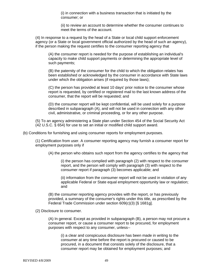(i) in connection with a business transaction that is initiated by the consumer; or

(ii) to review an account to determine whether the consumer continues to meet the terms of the account.

(4) In response to a request by the head of a State or local child support enforcement agency (or a State or local government official authorized by the head of such an agency), if the person making the request certifies to the consumer reporting agency that

(A) the consumer report is needed for the purpose of establishing an individual's capacity to make child support payments or determining the appropriate level of such payments;

(B) the paternity of the consumer for the child to which the obligation relates has been established or acknowledged by the consumer in accordance with State laws under which the obligation arises (if required by those laws);

(C) the person has provided at least 10 days' prior notice to the consumer whose report is requested, by certified or registered mail to the last known address of the consumer, that the report will be requested; and

(D) the consumer report will be kept confidential, will be used solely for a purpose described in subparagraph (A), and will not be used in connection with any other civil, administrative, or criminal proceeding, or for any other purpose.

(5) To an agency administering a State plan under Section 454 of the Social Security Act (42 U.S.C. § 654) for use to set an initial or modified child support award.

(b) Conditions for furnishing and using consumer reports for employment purposes.

(1) Certification from user. A consumer reporting agency may furnish a consumer report for employment purposes only if

(A) the person who obtains such report from the agency certifies to the agency that

(i) the person has complied with paragraph (2) with respect to the consumer report, and the person will comply with paragraph (3) with respect to the consumer report if paragraph (3) becomes applicable; and

(ii) information from the consumer report will not be used in violation of any applicable Federal or State equal employment opportunity law or regulation; and

(B) the consumer reporting agency provides with the report, or has previously provided, a summary of the consumer's rights under this title, as prescribed by the Federal Trade Commission under section 609(c)(3) [§ 1681g].

(2) Disclosure to consumer.

(A) In general. Except as provided in subparagraph (B), a person may not procure a consumer report, or cause a consumer report to be procured, for employment purposes with respect to any consumer, unless--

(i) a clear and conspicuous disclosure has been made in writing to the consumer at any time before the report is procured or caused to be procured, in a document that consists solely of the disclosure, that a consumer report may be obtained for employment purposes; and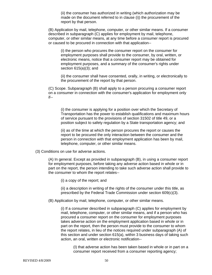(ii) the consumer has authorized in writing (which authorization may be made on the document referred to in clause (i)) the procurement of the report by that person.

(B) Application by mail, telephone, computer, or other similar means. If a consumer described in subparagraph (C) applies for employment by mail, telephone, computer, or other similar means, at any time before a consumer report is procured or caused to be procured in connection with that application--

(i) the person who procures the consumer report on the consumer for employment purposes shall provide to the consumer, by oral, written, or electronic means, notice that a consumer report may be obtained for employment purposes, and a summary of the consumer's rights under section 615(a)(3); and

(ii) the consumer shall have consented, orally, in writing, or electronically to the procurement of the report by that person.

(C) Scope. Subparagraph (B) shall apply to a person procuring a consumer report on a consumer in connection with the consumer's application for employment only if--

(i) the consumer is applying for a position over which the Secretary of Transportation has the power to establish qualifications and maximum hours of service pursuant to the provisions of section 31502 of title 49, or a position subject to safety regulation by a State transportation agency; and

(ii) as of the time at which the person procures the report or causes the report to be procured the only interaction between the consumer and the person in connection with that employment application has been by mail, telephone, computer, or other similar means.

(3) Conditions on use for adverse actions.

(A) In general. Except as provided in subparagraph (B), in using a consumer report for employment purposes, before taking any adverse action based in whole or in part on the report, the person intending to take such adverse action shall provide to the consumer to whom the report relates--

(i) a copy of the report; and

(ii) a description in writing of the rights of the consumer under this title, as prescribed by the Federal Trade Commission under section 609(c)(3).

(B) Application by mail, telephone, computer, or other similar means.

(i) If a consumer described in subparagraph (C) applies for employment by mail, telephone, computer, or other similar means, and if a person who has procured a consumer report on the consumer for employment purposes takes adverse action on the employment application based in whole or in part on the report, then the person must provide to the consumer to whom the report relates, in lieu of the notices required under subparagraph (A) of this section and under section 615(a), within 3 business days of taking such action, an oral, written or electronic notification--

(I) that adverse action has been taken based in whole or in part on a consumer report received from a consumer reporting agency;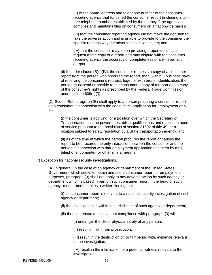(II) of the name, address and telephone number of the consumer reporting agency that furnished the consumer report (including a tollfree telephone number established by the agency if the agency compiles and maintains files on consumers on a nationwide basis);

(III) that the consumer reporting agency did not make the decision to take the adverse action and is unable to provide to the consumer the specific reasons why the adverse action was taken; and

(IV) that the consumer may, upon providing proper identification, request a free copy of a report and may dispute with the consumer reporting agency the accuracy or completeness of any information in a report.

(ii) If, under clause (B)(i)(IV), the consumer requests a copy of a consumer report from the person who procured the report, then, within 3 business days of receiving the consumer's request, together with proper identification, the person must send or provide to the consumer a copy of a report and a copy of the consumer's rights as prescribed by the Federal Trade Commission under section 609(c)(3).

(C) Scope. Subparagraph (B) shall apply to a person procuring a consumer report on a consumer in connection with the consumer's application for employment only if--

(i) the consumer is applying for a position over which the Secretary of Transportation has the power to establish qualifications and maximum hours of service pursuant to the provisions of section 31502 of title 49, or a position subject to safety regulation by a State transportation agency; and

(ii) as of the time at which the person procures the report or causes the report to be procured the only interaction between the consumer and the person in connection with that employment application has been by mail, telephone, computer, or other similar means.

(4) Exception for national security investigations.

(A) In general. In the case of an agency or department of the United States Government which seeks to obtain and use a consumer report for employment purposes, paragraph (3) shall not apply to any adverse action by such agency or department which is based in part on such consumer report, if the head of such agency or department makes a written finding that--

(i) the consumer report is relevant to a national security investigation of such agency or department;

- (ii) the investigation is within the jurisdiction of such agency or department;
- (iii) there is reason to believe that compliance with paragraph (3) will--

(I) endanger the life or physical safety of any person;

(II) result in flight from prosecution;

(III) result in the destruction of, or tampering with, evidence relevant to the investigation;

(IV) result in the intimidation of a potential witness relevant to the investigation;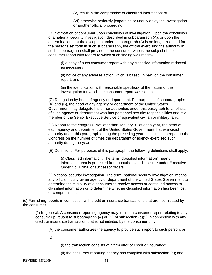(V) result in the compromise of classified information; or

(VI) otherwise seriously jeopardize or unduly delay the investigation or another official proceeding.

(B) Notification of consumer upon conclusion of investigation. Upon the conclusion of a national security investigation described in subparagraph (A), or upon the determination that the exception under subparagraph (A) is no longer required for the reasons set forth in such subparagraph, the official exercising the authority in such subparagraph shall provide to the consumer who is the subject of the consumer report with regard to which such finding was made--

(i) a copy of such consumer report with any classified information redacted as necessary;

(ii) notice of any adverse action which is based, in part, on the consumer report; and

(iii) the identification with reasonable specificity of the nature of the investigation for which the consumer report was sought.

(C) Delegation by head of agency or department. For purposes of subparagraphs (A) and (B), the head of any agency or department of the United States Government may delegate his or her authorities under this paragraph to an official of such agency or department who has personnel security responsibilities and is a member of the Senior Executive Service or equivalent civilian or military rank.

(D) Report to the congress. Not later than January 31 of each year, the head of each agency and department of the United States Government that exercised authority under this paragraph during the preceding year shall submit a report to the Congress on the number of times the department or agency exercised such authority during the year.

(E) Definitions. For purposes of this paragraph, the following definitions shall apply:

(i) Classified information. The term `classified information' means information that is protected from unauthorized disclosure under Executive Order No. 12958 or successor orders.

(ii) National security investigation. The term `national security investigation' means any official inquiry by an agency or department of the United States Government to determine the eligibility of a consumer to receive access or continued access to classified information or to determine whether classified information has been lost or compromised.

(c) Furnishing reports in connection with credit or insurance transactions that are not initiated by the consumer.

(1) In general. A consumer reporting agency may furnish a consumer report relating to any consumer pursuant to subparagraph (A) or (C) of subsection (a)(3) in connection with any credit or insurance transaction that is not initiated by the consumer only if

(A) the consumer authorizes the agency to provide such report to such person; or

(B)

(i) the transaction consists of a firm offer of credit or insurance;

(ii) the consumer reporting agency has complied with subsection (e); and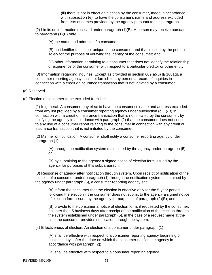(iii) there is not in effect an election by the consumer, made in accordance with subsection (e), to have the consumer's name and address excluded from lists of names provided by the agency pursuant to this paragraph.

(2) Limits on information received under paragraph (1)(B). A person may receive pursuant to paragraph (1)(B) only

(A) the name and address of a consumer;

(B) an identifier that is not unique to the consumer and that is used by the person solely for the purpose of verifying the identity of the consumer; and

(C) other information pertaining to a consumer that does not identify the relationship or experience of the consumer with respect to a particular creditor or other entity.

(3) Information regarding inquiries. Except as provided in section 609(a)(5) [§ 1681g], a consumer reporting agency shall not furnish to any person a record of inquiries in connection with a credit or insurance transaction that is not initiated by a consumer.

#### (d) Reserved.

(e) Election of consumer to be excluded from lists.

(1) In general. A consumer may elect to have the consumer's name and address excluded from any list provided by a consumer reporting agency under subsection (c)(1)(B) in connection with a credit or insurance transaction that is not initiated by the consumer, by notifying the agency in accordance with paragraph (2) that the consumer does not consent to any use of a consumer report relating to the consumer in connection with any credit or insurance transaction that is not initiated by the consumer.

(2) Manner of notification. A consumer shall notify a consumer reporting agency under paragraph (1)

(A) through the notification system maintained by the agency under paragraph (5); or

(B) by submitting to the agency a signed notice of election form issued by the agency for purposes of this subparagraph.

(3) Response of agency after notification through system. Upon receipt of notification of the election of a consumer under paragraph (1) through the notification system maintained by the agency under paragraph (5), a consumer reporting agency shall

(A) inform the consumer that the election is effective only for the 5-year period following the election if the consumer does not submit to the agency a signed notice of election form issued by the agency for purposes of paragraph (2)(B); and

(B) provide to the consumer a notice of election form, if requested by the consumer, not later than 5 business days after receipt of the notification of the election through the system established under paragraph (5), in the case of a request made at the time the consumer provides notification through the system.

(4) Effectiveness of election. An election of a consumer under paragraph (1)

(A) shall be effective with respect to a consumer reporting agency beginning 5 business days after the date on which the consumer notifies the agency in accordance with paragraph (2);

(B) shall be effective with respect to a consumer reporting agency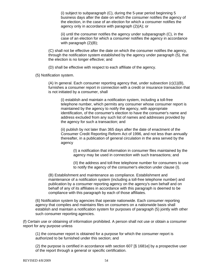(i) subject to subparagraph (C), during the 5-year period beginning 5 business days after the date on which the consumer notifies the agency of the election, in the case of an election for which a consumer notifies the agency only in accordance with paragraph (2)(A); or

(ii) until the consumer notifies the agency under subparagraph (C), in the case of an election for which a consumer notifies the agency in accordance with paragraph (2)(B);

(C) shall not be effective after the date on which the consumer notifies the agency, through the notification system established by the agency under paragraph (5), that the election is no longer effective; and

(D) shall be effective with respect to each affiliate of the agency.

(5) Notification system.

 $(A)$  In general. Each consumer reporting agency that, under subsection  $(c)(1)(B)$ , furnishes a consumer report in connection with a credit or insurance transaction that is not initiated by a consumer, shall

(i) establish and maintain a notification system, including a toll-free telephone number, which permits any consumer whose consumer report is maintained by the agency to notify the agency, with appropriate identification, of the consumer's election to have the consumer's name and address excluded from any such list of names and addresses provided by the agency for such a transaction; and

(ii) publish by not later than 365 days after the date of enactment of the Consumer Credit Reporting Reform Act of 1996, and not less than annually thereafter, in a publication of general circulation in the area served by the agency

(I) a notification that information in consumer files maintained by the agency may be used in connection with such transactions; and

(II) the address and toll-free telephone number for consumers to use to notify the agency of the consumer's election under clause (I).

(B) Establishment and maintenance as compliance. Establishment and maintenance of a notification system (including a toll-free telephone number) and publication by a consumer reporting agency on the agency's own behalf and on behalf of any of its affiliates in accordance with this paragraph is deemed to be compliance with this paragraph by each of those affiliates.

(6) Notification system by agencies that operate nationwide. Each consumer reporting agency that compiles and maintains files on consumers on a nationwide basis shall establish and maintain a notification system for purposes of paragraph (5) jointly with other such consumer reporting agencies.

(f) Certain use or obtaining of information prohibited. A person shall not use or obtain a consumer report for any purpose unless

(1) the consumer report is obtained for a purpose for which the consumer report is authorized to be furnished under this section; and

(2) the purpose is certified in accordance with section 607 [§ 1681e] by a prospective user of the report through a general or specific certification.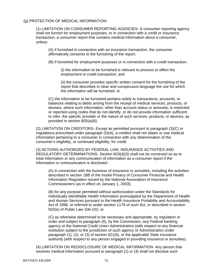## (g) PROTECTION OF MEDICAL INFORMATION-

(1) LIMITATION ON CONSUMER REPORTING AGENCIES- A consumer reporting agency shall not furnish for employment purposes, or in connection with a credit or insurance transaction, a consumer report that contains medical information about a consumer, unless-

(A) if furnished in connection with an insurance transaction, the consumer affirmatively consents to the furnishing of the report;

(B) if furnished for employment purposes or in connection with a credit transaction-

(i) the information to be furnished is relevant to process or effect the employment or credit transaction; and

(ii) the consumer provides specific written consent for the furnishing of the report that describes in clear and conspicuous language the use for which the information will be furnished; or

(C) the information to be furnished pertains solely to transactions, accounts, or balances relating to debts arising from the receipt of medical services, products, or devises, where such information, other than account status or amounts, is restricted or reported using codes that do not identify, or do not provide information sufficient to infer, the specific provider or the nature of such services, products, or devices, as provided in section 605(a)(6).

(2) LIMITATION ON CREDITORS- Except as permitted pursuant to paragraph (3)(C) or regulations prescribed under paragraph (5)(A), a creditor shall not obtain or use medical information pertaining to a consumer in connection with any determination of the consumer's eligibility, or continued eligibility, for credit.

(3) ACTIONS AUTHORIZED BY FEDERAL LAW, INSURANCE ACTIVITIES AND REGULATORY DETERMINATIONS- Section 603(d)(3) shall not be construed so as to treat information or any communication of information as a consumer report if the information or communication is disclosed--

(A) in connection with the business of insurance or annuities, including the activities described in section 18B of the model Privacy of Consumer Financial and Health Information Regulation issued by the National Association of Insurance Commissioners (as in effect on January 1, 2003);

(B) for any purpose permitted without authorization under the Standards for Individually Identifiable Health Information promulgated by the Department of Health and Human Services pursuant to the Health Insurance Portability and Accountability Act of 1996, or referred to under section 1179 of such Act, or described in section 502(e) of Public Law 106-102; or

(C) as otherwise determined to be necessary and appropriate, by regulation or order and subject to paragraph (6), by the Commission, any Federal banking agency or the National Credit Union Administration (with respect to any financial institution subject to the jurisdiction of such agency or Administration under paragraph (1), (2), or (3) of section 621(b), or the applicable State insurance authority (with respect to any person engaged in providing insurance or annuities).

(4) LIMITATION ON REDISCLOSURE OF MEDICAL INFORMATION- Any person that receives medical information pursuant to paragraph (1) or (3) shall not disclose such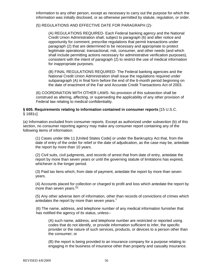information to any other person, except as necessary to carry out the purpose for which the information was initially disclosed, or as otherwise permitted by statute, regulation, or order.

(5) REGULATIONS AND EFFECTIVE DATE FOR PARAGRAPH (2)-

(A) REGULATIONS REQUIRED- Each Federal banking agency and the National Credit Union Administration shall, subject to paragraph (6) and after notice and opportunity for comment, prescribe regulations that permit transactions under paragraph (2) that are determined to be necessary and appropriate to protect legitimate operational, transactional, risk, consumer, and other needs (and which shall include permitting actions necessary for administrative verification purposes), consistent with the intent of paragraph (2) to restrict the use of medical information for inappropriate purposes.

(B) FINAL REGULATIONS REQUIRED- The Federal banking agencies and the National Credit Union Administration shall issue the regulations required under subparagraph (A) in final form before the end of the 6-month period beginning on the date of enactment of the Fair and Accurate Credit Transactions Act of 2003.

(6) COORDINATION WITH OTHER LAWS- No provision of this subsection shall be construed as altering, affecting, or superseding the applicability of any other provision of Federal law relating to medical confidentiality.

#### **§ 605. Requirements relating to information contained in consumer reports** [15 U.S.C. § 1681c]

(a) Information excluded from consumer reports. Except as authorized under subsection (b) of this section, no consumer reporting agency may make any consumer report containing any of the following items of information:

(1) Cases under title 11 [United States Code] or under the Bankruptcy Act that, from the date of entry of the order for relief or the date of adjudication, as the case may be, antedate the report by more than 10 years.

(2) Civil suits, civil judgments, and records of arrest that from date of entry, antedate the report by more than seven years or until the governing statute of limitations has expired, whichever is the longer period.

(3) Paid tax liens which, from date of payment, antedate the report by more than seven years.

(4) Accounts placed for collection or charged to profit and loss which antedate the report by more than seven years. $(1)$ 

(5) Any other adverse item of information, other than records of convictions of crimes which antedates the report by more than seven years.<sup>1</sup>

(6) The name, address, and telephone number of any medical information furnisher that has notified the agency of its status, unless--

(A) such name, address, and telephone number are restricted or reported using codes that do not identify, or provide information sufficient to infer, the specific provider or the nature of such services, products, or devices to a person other than the consumer; or

(B) the report is being provided to an insurance company for a purpose relating to engaging in the business of insurance other than property and casualty insurance.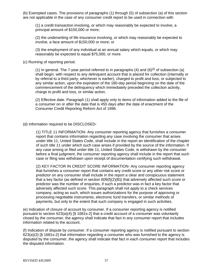(b) Exempted cases. The provisions of paragraphs (1) through (5) of subsection (a) of this section are not applicable in the case of any consumer credit report to be used in connection with

(1) a credit transaction involving, or which may reasonably be expected to involve, a principal amount of \$150,000 or more;

(2) the underwriting of life insurance involving, or which may reasonably be expected to involve, a face amount of \$150,000 or more; or

(3) the employment of any individual at an annual salary which equals, or which may reasonably be expected to equal \$75,000, or more.

(c) Running of reporting period.

(1) In general. The 7-year period referred to in paragraphs (4) and  $(6)^{(2)}$  of subsection (a) shall begin, with respect to any delinquent account that is placed for collection (internally or by referral to a third party, whichever is earlier), charged to profit and loss, or subjected to any similar action, upon the expiration of the 180-day period beginning on the date of the commencement of the delinquency which immediately preceded the collection activity, charge to profit and loss, or similar action.

(2) Effective date. Paragraph (1) shall apply only to items of information added to the file of a consumer on or after the date that is 455 days after the date of enactment of the Consumer Credit Reporting Reform Act of 1996.

(d) Information required to be DISCLOSED-

(1) TITLE 11 INFORMATION- Any consumer reporting agency that furnishes a consumer report that contains information regarding any case involving the consumer that arises under title 11, United States Code, shall include in the report an identification of the chapter of such title 11 under which such case arises if provided by the source of the information. If any case arising or filed under title 11, United States Code, is withdrawn by the consumer before a final judgment, the consumer reporting agency shall include in the report that such case or filing was withdrawn upon receipt of documentation certifying such withdrawal.

(2) KEY FACTOR IN CREDIT SCORE INFORMATION- Any consumer reporting agency that furnishes a consumer report that contains any credit score or any other risk score or predictor on any consumer shall include in the report a clear and conspicuous statement that a key factor (as defined in section 609(f)(2)(B)) that adversely affected such score or predictor was the number of enquiries, if such a predictor was in fact a key factor that adversely affected such score. This paragraph shall not apply to a check services company, acting as such, which issues authorizations for the purpose of approving or processing negotiable instruments, electronic fund transfers, or similar methods of payments, but only to the extent that such company is engaged in such activities.

(e) Indication of closure of account by consumer. If a consumer reporting agency is notified pursuant to section 623(a)(4) [§ 1681s-2] that a credit account of a consumer was voluntarily closed by the consumer, the agency shall indicate that fact in any consumer report that includes information related to the account.

(f) Indication of dispute by consumer. If a consumer reporting agency is notified pursuant to section 623(a)(3) [§ 1681s-2] that information regarding a consumer who was furnished to the agency is disputed by the consumer, the agency shall indicate that fact in each consumer report that includes the disputed information.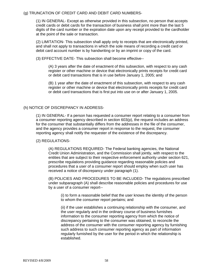## (g) TRUNCATION OF CREDIT CARD AND DEBIT CARD NUMBERS-

(1) IN GENERAL- Except as otherwise provided in this subsection, no person that accepts credit cards or debit cards for the transaction of business shall print more than the last 5 digits of the card number or the expiration date upon any receipt provided to the cardholder at the point of the sale or transaction.

(2) LIMITATION- This subsection shall apply only to receipts that are electronically printed, and shall not apply to transactions in which the sole means of recording a credit card or debit card account number is by handwriting or by an imprint or copy of the card.

(3) EFFECTIVE DATE- This subsection shall become effective--

(A) 3 years after the date of enactment of this subsection, with respect to any cash register or other machine or device that electronically prints receipts for credit card or debit card transactions that is in use before January 1, 2005; and

(B) 1 year after the date of enactment of this subsection, with respect to any cash register or other machine or device that electronically prints receipts for credit card or debit card transactions that is first put into use on or after January 1, 2005.

## (h) NOTICE OF DISCREPANCY IN ADDRESS-

(1) IN GENERAL- If a person has requested a consumer report relating to a consumer from a consumer reporting agency described in section 603(p), the request includes an address for the consumer that substantially differs from the addresses in the file of the consumer, and the agency provides a consumer report in response to the request, the consumer reporting agency shall notify the requester of the existence of the discrepancy.

#### (2) REGULATIONS-

(A) REGULATIONS REQUIRED- The Federal banking agencies, the National Credit Union Administration, and the Commission shall jointly, with respect to the entities that are subject to their respective enforcement authority under section 621, prescribe regulations providing guidance regarding reasonable policies and procedures that a user of a consumer report should employ when such user has received a notice of discrepancy under paragraph (1).

(B) POLICIES AND PROCEDURES TO BE INCLUDED- The regulations prescribed under subparagraph (A) shall describe reasonable policies and procedures for use by a user of a consumer report--

(i) to form a reasonable belief that the user knows the identity of the person to whom the consumer report pertains; and

(ii) if the user establishes a continuing relationship with the consumer, and the user regularly and in the ordinary course of business furnishes information to the consumer reporting agency from which the notice of discrepancy pertaining to the consumer was obtained, to reconcile the address of the consumer with the consumer reporting agency by furnishing such address to such consumer reporting agency as part of information regularly furnished by the user for the period in which the relationship is established.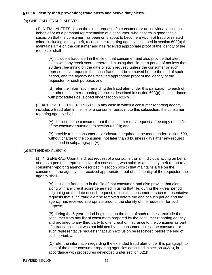## **§ 605A. Identity theft prevention; fraud alerts and active duty alerts**

#### (a) ONE-CALL FRAUD ALERTS-

(1) INITIAL ALERTS- Upon the direct request of a consumer, or an individual acting on behalf of or as a personal representative of a consumer, who asserts in good faith a suspicion that the consumer has been or is about to become a victim of fraud or related crime, including identity theft, a consumer reporting agency described in section 603(p) that maintains a file on the consumer and has received appropriate proof of the identity of the requester shall--

(A) include a fraud alert in the file of that consumer, and also provide that alert along with any credit score generated in using that file, for a period of not less than 90 days, beginning on the date of such request, unless the consumer or such representative requests that such fraud alert be removed before the end of such period, and the agency has received appropriate proof of the identity of the requester for such purpose; and

(B) refer the information regarding the fraud alert under this paragraph to each of the other consumer reporting agencies described in section 603(p), in accordance with procedures developed under section 621(f).

(2) ACCESS TO FREE REPORTS- In any case in which a consumer reporting agency includes a fraud alert in the file of a consumer pursuant to this subsection, the consumer reporting agency shall--

(A) disclose to the consumer that the consumer may request a free copy of the file of the consumer pursuant to section 612(d); and

(B) provide to the consumer all disclosures required to be made under section 609, without charge to the consumer, not later than 3 business days after any request described in subparagraph (A).

#### (b) EXTENDED ALERTS-

(1) IN GENERAL- Upon the direct request of a consumer, or an individual acting on behalf of or as a personal representative of a consumer, who submits an identity theft report to a consumer reporting agency described in section 603(p) that maintains a file on the consumer, if the agency has received appropriate proof of the identity of the requester, the agency shall--

(A) include a fraud alert in the file of that consumer, and also provide that alert along with any credit score generated in using that file, during the 7-year period beginning on the date of such request, unless the consumer or such representative requests that such fraud alert be removed before the end of such period and the agency has received appropriate proof of the identity of the requester for such purpose;

(B) during the 5-year period beginning on the date of such request, exclude the consumer from any list of consumers prepared by the consumer reporting agency and provided to any third party to offer credit or insurance to the consumer as part of a transaction that was not initiated by the consumer, unless the consumer or such representative requests that such exclusion be rescinded before the end of such period; and

(C) refer the information regarding the extended fraud alert under this paragraph to each of the other consumer reporting agencies described in section 603(p), in accordance with procedures developed under section 621(f).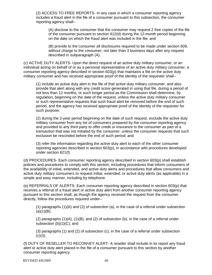(2) ACCESS TO FREE REPORTS- In any case in which a consumer reporting agency includes a fraud alert in the file of a consumer pursuant to this subsection, the consumer reporting agency shall--

(A) disclose to the consumer that the consumer may request 2 free copies of the file of the consumer pursuant to section 612(d) during the 12-month period beginning on the date on which the fraud alert was included in the file; and

(B) provide to the consumer all disclosures required to be made under section 609, without charge to the consumer, not later than 3 business days after any request described in subparagraph (A).

(c) ACTIVE DUTY ALERTS- Upon the direct request of an active duty military consumer, or an individual acting on behalf of or as a personal representative of an active duty military consumer, a consumer reporting agency described in section 603(p) that maintains a file on the active duty military consumer and has received appropriate proof of the identity of the requester shall--

(1) include an active duty alert in the file of that active duty military consumer, and also provide that alert along with any credit score generated in using that file, during a period of not less than 12 months, or such longer period as the Commission shall determine, by regulation, beginning on the date of the request, unless the active duty military consumer or such representative requests that such fraud alert be removed before the end of such period, and the agency has received appropriate proof of the identity of the requester for such purpose;

(2) during the 2-year period beginning on the date of such request, exclude the active duty military consumer from any list of consumers prepared by the consumer reporting agency and provided to any third party to offer credit or insurance to the consumer as part of a transaction that was not initiated by the consumer, unless the consumer requests that such exclusion be rescinded before the end of such period; and

(3) refer the information regarding the active duty alert to each of the other consumer reporting agencies described in section 603(p), in accordance with procedures developed under section 621(f).

(d) PROCEDURES- Each consumer reporting agency described in section 603(p) shall establish policies and procedures to comply with this section, including procedures that inform consumers of the availability of initial, extended, and active duty alerts and procedures that allow consumers and active duty military consumers to request initial, extended, or active duty alerts (as applicable) in a simple and easy manner, including by telephone.

(e) REFERRALS OF ALERTS- Each consumer reporting agency described in section 603(p) that receives a referral of a fraud alert or active duty alert from another consumer reporting agency pursuant to this section shall, as though the agency received the request from the consumer directly, follow the procedures required under--

(1) paragraphs (1)(A) and (2) of subsection (a), in the case of a referral under subsection  $(a)(1)(B);$ 

 $(2)$  paragraphs  $(1)(A)$ ,  $(1)(B)$ , and  $(2)$  of subsection  $(b)$ , in the case of a referral under subsection (b)(1)(C); and

(3) paragraphs (1) and (2) of subsection (c), in the case of a referral under subsection  $(c)(3)$ .

(f) DUTY OF RESELLER TO RECONVEY ALERT- A reseller shall include in its report any fraud alert or active duty alert placed in the file of a consumer pursuant to this section by another consumer reporting agency.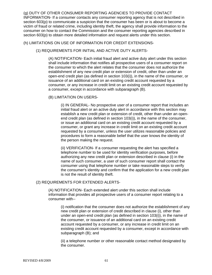#### (g) DUTY OF OTHER CONSUMER REPORTING AGENCIES TO PROVIDE CONTACT INFORMATION- If a consumer contacts any consumer reporting agency that is not described in section 603(p) to communicate a suspicion that the consumer has been or is about to become a victim of fraud or related crime, including identity theft, the agency shall provide information to the consumer on how to contact the Commission and the consumer reporting agencies described in section 603(p) to obtain more detailed information and request alerts under this section.

(h) LIMITATIONS ON USE OF INFORMATION FOR CREDIT EXTENSIONS-

## (1) REQUIREMENTS FOR INITIAL AND ACTIVE DUTY ALERTS-

(A) NOTIFICATION- Each initial fraud alert and active duty alert under this section shall include information that notifies all prospective users of a consumer report on the consumer to which the alert relates that the consumer does not authorize the establishment of any new credit plan or extension of credit, other than under an open-end credit plan (as defined in section 103(i)), in the name of the consumer, or issuance of an additional card on an existing credit account requested by a consumer, or any increase in credit limit on an existing credit account requested by a consumer, except in accordance with subparagraph (B).

## (B) LIMITATION ON USERS-

(i) IN GENERAL- No prospective user of a consumer report that includes an initial fraud alert or an active duty alert in accordance with this section may establish a new credit plan or extension of credit, other than under an openend credit plan (as defined in section 103(i)), in the name of the consumer, or issue an additional card on an existing credit account requested by a consumer, or grant any increase in credit limit on an existing credit account requested by a consumer, unless the user utilizes reasonable policies and procedures to form a reasonable belief that the user knows the identity of the person making the request.

(ii) VERIFICATION- If a consumer requesting the alert has specified a telephone number to be used for identity verification purposes, before authorizing any new credit plan or extension described in clause (i) in the name of such consumer, a user of such consumer report shall contact the consumer using that telephone number or take reasonable steps to verify the consumer's identity and confirm that the application for a new credit plan is not the result of identity theft.

## (2) REQUIREMENTS FOR EXTENDED ALERTS-

(A) NOTIFICATION- Each extended alert under this section shall include information that provides all prospective users of a consumer report relating to a consumer with--

(i) notification that the consumer does not authorize the establishment of any new credit plan or extension of credit described in clause (i), other than under an open-end credit plan (as defined in section 103(i)), in the name of the consumer, or issuance of an additional card on an existing credit account requested by a consumer, or any increase in credit limit on an existing credit account requested by a consumer, except in accordance with subparagraph (B); and

(ii) a telephone number or other reasonable contact method designated by the consumer.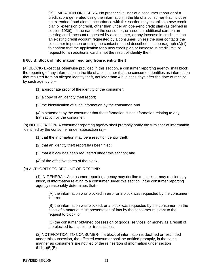(B) LIMITATION ON USERS- No prospective user of a consumer report or of a credit score generated using the information in the file of a consumer that includes an extended fraud alert in accordance with this section may establish a new credit plan or extension of credit, other than under an open-end credit plan (as defined in section 103(i)), in the name of the consumer, or issue an additional card on an existing credit account requested by a consumer, or any increase in credit limit on an existing credit account requested by a consumer, unless the user contacts the consumer in person or using the contact method described in subparagraph (A)(ii) to confirm that the application for a new credit plan or increase in credit limit, or request for an additional card is not the result of identity theft.

## **§ 605 B. Block of information resulting from identity theft**

(a) BLOCK- Except as otherwise provided in this section, a consumer reporting agency shall block the reporting of any information in the file of a consumer that the consumer identifies as information that resulted from an alleged identity theft, not later than 4 business days after the date of receipt by such agency of--

- (1) appropriate proof of the identity of the consumer;
- (2) a copy of an identity theft report;
- (3) the identification of such information by the consumer; and

(4) a statement by the consumer that the information is not information relating to any transaction by the consumer.

(b) NOTIFICATION- A consumer reporting agency shall promptly notify the furnisher of information identified by the consumer under subsection (a)--

- (1) that the information may be a result of identity theft;
- (2) that an identity theft report has been filed;
- (3) that a block has been requested under this section; and
- (4) of the effective dates of the block.

## (c) AUTHORITY TO DECLINE OR RESCIND-

(1) IN GENERAL- A consumer reporting agency may decline to block, or may rescind any block, of information relating to a consumer under this section, if the consumer reporting agency reasonably determines that--

(A) the information was blocked in error or a block was requested by the consumer in error;

(B) the information was blocked, or a block was requested by the consumer, on the basis of a material misrepresentation of fact by the consumer relevant to the request to block; or

(C) the consumer obtained possession of goods, services, or money as a result of the blocked transaction or transactions.

(2) NOTIFICATION TO CONSUMER- If a block of information is declined or rescinded under this subsection, the affected consumer shall be notified promptly, in the same manner as consumers are notified of the reinsertion of information under section 611(a)(5)(B).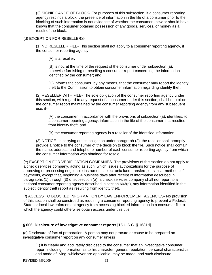(3) SIGNIFICANCE OF BLOCK- For purposes of this subsection, if a consumer reporting agency rescinds a block, the presence of information in the file of a consumer prior to the blocking of such information is not evidence of whether the consumer knew or should have known that the consumer obtained possession of any goods, services, or money as a result of the block.

## (d) EXCEPTION FOR RESELLERS-

(1) NO RESELLER FILE- This section shall not apply to a consumer reporting agency, if the consumer reporting agency--

(A) is a reseller;

(B) is not, at the time of the request of the consumer under subsection (a), otherwise furnishing or reselling a consumer report concerning the information identified by the consumer; and

(C) informs the consumer, by any means, that the consumer may report the identity theft to the Commission to obtain consumer information regarding identity theft.

(2) RESELLER WITH FILE- The sole obligation of the consumer reporting agency under this section, with regard to any request of a consumer under this section, shall be to block the consumer report maintained by the consumer reporting agency from any subsequent use, if--

(A) the consumer, in accordance with the provisions of subsection (a), identifies, to a consumer reporting agency, information in the file of the consumer that resulted from identity theft; and

(B) the consumer reporting agency is a reseller of the identified information.

(3) NOTICE- In carrying out its obligation under paragraph (2), the reseller shall promptly provide a notice to the consumer of the decision to block the file. Such notice shall contain the name, address, and telephone number of each consumer reporting agency from which the consumer information was obtained for resale.

(e) EXCEPTION FOR VERIFICATION COMPANIES- The provisions of this section do not apply to a check services company, acting as such, which issues authorizations for the purpose of approving or processing negotiable instruments, electronic fund transfers, or similar methods of payments, except that, beginning 4 business days after receipt of information described in paragraphs (1) through (3) of subsection (a), a check services company shall not report to a national consumer reporting agency described in section 603(p), any information identified in the subject identity theft report as resulting from identity theft.

(f) ACCESS TO BLOCKED INFORMATION BY LAW ENFORCEMENT AGENCIES- No provision of this section shall be construed as requiring a consumer reporting agency to prevent a Federal, State, or local law enforcement agency from accessing blocked information in a consumer file to which the agency could otherwise obtain access under this title.

## **§ 606. Disclosure of investigative consumer reports** [15 U.S.C. § 1681d]

(a) Disclosure of fact of preparation. A person may not procure or cause to be prepared an investigative consumer report on any consumer unless

(1) it is clearly and accurately disclosed to the consumer that an investigative consumer report including information as to his character, general reputation, personal characteristics and mode of living, whichever are applicable, may be made, and such disclosure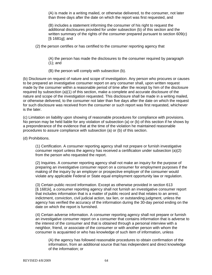(A) is made in a writing mailed, or otherwise delivered, to the consumer, not later than three days after the date on which the report was first requested, and

(B) includes a statement informing the consumer of his right to request the additional disclosures provided for under subsection (b) of this section and the written summary of the rights of the consumer prepared pursuant to section 609(c) [§ 1681g]; and

(2) the person certifies or has certified to the consumer reporting agency that

(A) the person has made the disclosures to the consumer required by paragraph (1); and

(B) the person will comply with subsection (b).

(b) Disclosure on request of nature and scope of investigation. Any person who procures or causes to be prepared an investigative consumer report on any consumer shall, upon written request made by the consumer within a reasonable period of time after the receipt by him of the disclosure required by subsection (a)(1) of this section, make a complete and accurate disclosure of the nature and scope of the investigation requested. This disclosure shall be made in a writing mailed, or otherwise delivered, to the consumer not later than five days after the date on which the request for such disclosure was received from the consumer or such report was first requested, whichever is the later.

(c) Limitation on liability upon showing of reasonable procedures for compliance with provisions. No person may be held liable for any violation of subsection (a) or (b) of this section if he shows by a preponderance of the evidence that at the time of the violation he maintained reasonable procedures to assure compliance with subsection (a) or (b) of this section.

(d) Prohibitions.

(1) Certification. A consumer reporting agency shall not prepare or furnish investigative consumer report unless the agency has received a certification under subsection (a)(2) from the person who requested the report.

(2) Inquiries. A consumer reporting agency shall not make an inquiry for the purpose of preparing an investigative consumer report on a consumer for employment purposes if the making of the inquiry by an employer or prospective employer of the consumer would violate any applicable Federal or State equal employment opportunity law or regulation.

(3) Certain public record information. Except as otherwise provided in section 613 [§ 1681k], a consumer reporting agency shall not furnish an investigative consumer report that includes information that is a matter of public record and that relates to an arrest, indictment, conviction, civil judicial action, tax lien, or outstanding judgment, unless the agency has verified the accuracy of the information during the 30-day period ending on the date on which the report is furnished.

(4) Certain adverse information. A consumer reporting agency shall not prepare or furnish an investigative consumer report on a consumer that contains information that is adverse to the interest of the consumer and that is obtained through a personal interview with a neighbor, friend, or associate of the consumer or with another person with whom the consumer is acquainted or who has knowledge of such item of information, unless

(A) the agency has followed reasonable procedures to obtain confirmation of the information, from an additional source that has independent and direct knowledge of the information; or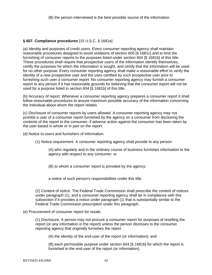(B) the person interviewed is the best possible source of the information.

## **§ 607. Compliance procedures** [15 U.S.C. § 1681e]

(a) Identity and purposes of credit users. Every consumer reporting agency shall maintain reasonable procedures designed to avoid violations of section 605 [§ 1681c] and to limit the furnishing of consumer reports to the purposes listed under section 604 [§ 1681b] of this title. These procedures shall require that prospective users of the information identify themselves, certify the purposes for which the information is sought, and certify that the information will be used for no other purpose. Every consumer reporting agency shall make a reasonable effort to verify the identity of a new prospective user and the uses certified by such prospective user prior to furnishing such user a consumer report. No consumer reporting agency may furnish a consumer report to any person if it has reasonable grounds for believing that the consumer report will not be used for a purpose listed in section 604 [§ 1681b] of this title.

(b) Accuracy of report. Whenever a consumer reporting agency prepares a consumer report it shall follow reasonable procedures to assure maximum possible accuracy of the information concerning the individual about whom the report relates.

(c) Disclosure of consumer reports by users allowed. A consumer reporting agency may not prohibit a user of a consumer report furnished by the agency on a consumer from disclosing the contents of the report to the consumer, if adverse action against the consumer has been taken by the user based in whole or in part on the report.

(d) Notice to users and furnishers of information.

(1) Notice requirement. A consumer reporting agency shall provide to any person

(A) who regularly and in the ordinary course of business furnishes information to the agency with respect to any consumer; or

(B) to whom a consumer report is provided by the agency;

a notice of such person's responsibilities under this title.

(2) Content of notice. The Federal Trade Commission shall prescribe the content of notices under paragraph (1), and a consumer reporting agency shall be in compliance with this subsection if it provides a notice under paragraph (1) that is substantially similar to the Federal Trade Commission prescription under this paragraph.

## (e) Procurement of consumer report for resale.

(1) Disclosure. A person may not procure a consumer report for purposes of reselling the report (or any information in the report) unless the person discloses to the consumer reporting agency that originally furnishes the report

(A) the identity of the end-user of the report (or information); and

(B) each permissible purpose under section 604 [§ 1681b] for which the report is furnished to the end-user of the report (or information).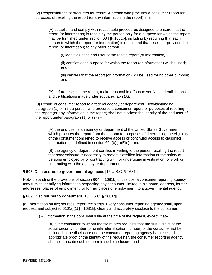(2) Responsibilities of procurers for resale. A person who procures a consumer report for purposes of reselling the report (or any information in the report) shall

(A) establish and comply with reasonable procedures designed to ensure that the report (or information) is resold by the person only for a purpose for which the report may be furnished under section 604 [§ 1681b], including by requiring that each person to which the report (or information) is resold and that resells or provides the report (or information) to any other person

(i) identifies each end user of the resold report (or information);

(ii) certifies each purpose for which the report (or information) will be used; and

(iii) certifies that the report (or information) will be used for no other purpose; and

(B) before reselling the report, make reasonable efforts to verify the identifications and certifications made under subparagraph (A).

(3) Resale of consumer report to a federal agency or department. Notwithstanding paragraph (1) or (2), a person who procures a consumer report for purposes of reselling the report (or any information in the report) shall not disclose the identity of the end-user of the report under paragraph (1) or (2) if--

(A) the end user is an agency or department of the United States Government which procures the report from the person for purposes of determining the eligibility of the consumer concerned to receive access or continued access to classified information (as defined in section 604(b)(4)(E)(i)); and

(B) the agency or department certifies in writing to the person reselling the report that nondisclosure is necessary to protect classified information or the safety of persons employed by or contracting with, or undergoing investigation for work or contracting with the agency or department.

#### **§ 608. Disclosures to governmental agencies** [15 U.S.C. § 1681f]

Notwithstanding the provisions of section 604 [§ 1681b] of this title, a consumer reporting agency may furnish identifying information respecting any consumer, limited to his name, address, former addresses, places of employment, or former places of employment, to a governmental agency.

#### **§ 609. Disclosures to consumers** [15 U.S.C. § 1681g]

(a) Information on file; sources; report recipients. Every consumer reporting agency shall, upon request, and subject to 610(a)(1) [§ 1681h], clearly and accurately disclose to the consumer:

(1) All information in the consumer's file at the time of the request, except that--

(A) if the consumer to whom the file relates requests that the first 5 digits of the social security number (or similar identification number) of the consumer not be included in the disclosure and the consumer reporting agency has received appropriate proof of the identity of the requester, the consumer reporting agency shall so truncate such number in such disclosure; and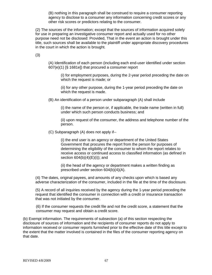(B) nothing in this paragraph shall be construed to require a consumer reporting agency to disclose to a consumer any information concerning credit scores or any other risk scores or predictors relating to the consumer.

(2) The sources of the information; except that the sources of information acquired solely for use in preparing an investigative consumer report and actually used for no other purpose need not be disclosed: Provided, That in the event an action is brought under this title, such sources shall be available to the plaintiff under appropriate discovery procedures in the court in which the action is brought.

(3)

(A) Identification of each person (including each end-user identified under section 607(e)(1) [§ 1681e]) that procured a consumer report

(i) for employment purposes, during the 2-year period preceding the date on which the request is made; or

(ii) for any other purpose, during the 1-year period preceding the date on which the request is made.

(B) An identification of a person under subparagraph (A) shall include

(i) the name of the person or, if applicable, the trade name (written in full) under which such person conducts business; and

(ii) upon request of the consumer, the address and telephone number of the person.

(C) Subparagraph (A) does not apply if--

(i) the end user is an agency or department of the United States Government that procures the report from the person for purposes of determining the eligibility of the consumer to whom the report relates to receive access or continued access to classified information (as defined in section 604(b)(4)(E)(i)); and

(ii) the head of the agency or department makes a written finding as prescribed under section 604(b)(4)(A).

(4) The dates, original payees, and amounts of any checks upon which is based any adverse characterization of the consumer, included in the file at the time of the disclosure.

(5) A record of all inquiries received by the agency during the 1-year period preceding the request that identified the consumer in connection with a credit or insurance transaction that was not initiated by the consumer.

(6) If the consumer requests the credit file and not the credit score, a statement that the consumer may request and obtain a credit score.

(b) Exempt information. The requirements of subsection (a) of this section respecting the disclosure of sources of information and the recipients of consumer reports do not apply to information received or consumer reports furnished prior to the effective date of this title except to the extent that the matter involved is contained in the files of the consumer reporting agency on that date.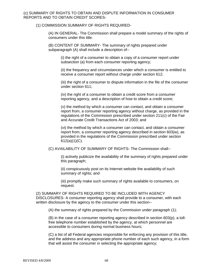(c) SUMMARY OF RIGHTS TO OBTAIN AND DISPUTE INFORMATION IN CONSUMER REPORTS AND TO OBTAIN CREDIT SCORES-

(1) COMMISSION SUMMARY OF RIGHTS REQUIRED-

(A) IN GENERAL- The Commission shall prepare a model summary of the rights of consumers under this title.

(B) CONTENT OF SUMMARY- The summary of rights prepared under subparagraph (A) shall include a description of--

> (i) the right of a consumer to obtain a copy of a consumer report under subsection (a) from each consumer reporting agency;

(ii) the frequency and circumstances under which a consumer is entitled to receive a consumer report without charge under section 612;

(iii) the right of a consumer to dispute information in the file of the consumer under section 611;

(iv) the right of a consumer to obtain a credit score from a consumer reporting agency, and a description of how to obtain a credit score;

(v) the method by which a consumer can contact, and obtain a consumer report from, a consumer reporting agency without charge, as provided in the regulations of the Commission prescribed under section 211(c) of the Fair and Accurate Credit Transactions Act of 2003; and

(vi) the method by which a consumer can contact, and obtain a consumer report from, a consumer reporting agency described in section 603(w), as provided in the regulations of the Commission prescribed under section 612(a)(1)(C).

(C) AVAILABILITY OF SUMMARY OF RIGHTS- The Commission shall--

(i) actively publicize the availability of the summary of rights prepared under this paragraph;

(ii) conspicuously post on its Internet website the availability of such summary of rights; and

(iii) promptly make such summary of rights available to consumers, on request.

(2) SUMMARY OF RIGHTS REQUIRED TO BE INCLUDED WITH AGENCY DISCLOSURES- A consumer reporting agency shall provide to a consumer, with each written disclosure by the agency to the consumer under this section--

(A) the summary of rights prepared by the Commission under paragraph (1);

(B) in the case of a consumer reporting agency described in section 603(p), a tollfree telephone number established by the agency, at which personnel are accessible to consumers during normal business hours;

(C) a list of all Federal agencies responsible for enforcing any provision of this title, and the address and any appropriate phone number of each such agency, in a form that will assist the consumer in selecting the appropriate agency;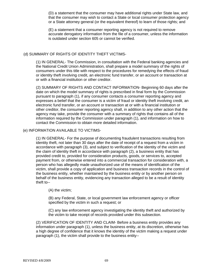(D) a statement that the consumer may have additional rights under State law, and that the consumer may wish to contact a State or local consumer protection agency or a State attorney general (or the equivalent thereof) to learn of those rights; and

(E) a statement that a consumer reporting agency is not required to remove accurate derogatory information from the file of a consumer, unless the information is outdated under section 605 or cannot be verified.

## (d) SUMMARY OF RIGHTS OF IDENTITY THEFT VICTIMS-

(1) IN GENERAL- The Commission, in consultation with the Federal banking agencies and the National Credit Union Administration, shall prepare a model summary of the rights of consumers under this title with respect to the procedures for remedying the effects of fraud or identity theft involving credit, an electronic fund transfer, or an account or transaction at or with a financial institution or other creditor.

(2) SUMMARY OF RIGHTS AND CONTACT INFORMATION- Beginning 60 days after the date on which the model summary of rights is prescribed in final form by the Commission pursuant to paragraph (1), if any consumer contacts a consumer reporting agency and expresses a belief that the consumer is a victim of fraud or identity theft involving credit, an electronic fund transfer, or an account or transaction at or with a financial institution or other creditor, the consumer reporting agency shall, in addition to any other action that the agency may take, provide the consumer with a summary of rights that contains all of the information required by the Commission under paragraph (1), and information on how to contact the Commission to obtain more detailed information.

## (e) INFORMATION AVAILABLE TO VICTIMS-

(1) IN GENERAL- For the purpose of documenting fraudulent transactions resulting from identity theft, not later than 30 days after the date of receipt of a request from a victim in accordance with paragraph (3), and subject to verification of the identity of the victim and the claim of identity theft in accordance with paragraph (2), a business entity that has provided credit to, provided for consideration products, goods, or services to, accepted payment from, or otherwise entered into a commercial transaction for consideration with, a person who has allegedly made unauthorized use of the means of identification of the victim, shall provide a copy of application and business transaction records in the control of the business entity, whether maintained by the business entity or by another person on behalf of the business entity, evidencing any transaction alleged to be a result of identity theft to--

#### (A) the victim;

(B) any Federal, State, or local government law enforcement agency or officer specified by the victim in such a request; or

(C) any law enforcement agency investigating the identity theft and authorized by the victim to take receipt of records provided under this subsection.

(2) VERIFICATION OF IDENTITY AND CLAIM- Before a business entity provides any information under paragraph (1), unless the business entity, at its discretion, otherwise has a high degree of confidence that it knows the identity of the victim making a request under paragraph (1), the victim shall provide to the business entity--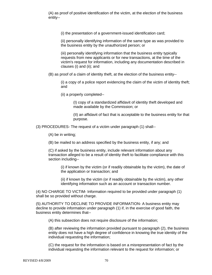(A) as proof of positive identification of the victim, at the election of the business entity--

(i) the presentation of a government-issued identification card;

(ii) personally identifying information of the same type as was provided to the business entity by the unauthorized person; or

(iii) personally identifying information that the business entity typically requests from new applicants or for new transactions, at the time of the victim's request for information, including any documentation described in clauses (i) and (ii); and

(B) as proof of a claim of identity theft, at the election of the business entity--

(i) a copy of a police report evidencing the claim of the victim of identity theft; and

(ii) a properly completed--

(I) copy of a standardized affidavit of identity theft developed and made available by the Commission; or

(II) an affidavit of fact that is acceptable to the business entity for that purpose.

(3) PROCEDURES- The request of a victim under paragraph (1) shall--

(A) be in writing;

(B) be mailed to an address specified by the business entity, if any; and

(C) if asked by the business entity, include relevant information about any transaction alleged to be a result of identity theft to facilitate compliance with this section including--

(i) if known by the victim (or if readily obtainable by the victim), the date of the application or transaction; and

(ii) if known by the victim (or if readily obtainable by the victim), any other identifying information such as an account or transaction number.

(4) NO CHARGE TO VICTIM- Information required to be provided under paragraph (1) shall be so provided without charge.

(5) AUTHORITY TO DECLINE TO PROVIDE INFORMATION- A business entity may decline to provide information under paragraph (1) if, in the exercise of good faith, the business entity determines that--

(A) this subsection does not require disclosure of the information;

(B) after reviewing the information provided pursuant to paragraph (2), the business entity does not have a high degree of confidence in knowing the true identity of the individual requesting the information;

(C) the request for the information is based on a misrepresentation of fact by the individual requesting the information relevant to the request for information; or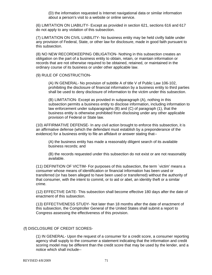(D) the information requested is Internet navigational data or similar information about a person's visit to a website or online service.

(6) LIMITATION ON LIABILITY- Except as provided in section 621, sections 616 and 617 do not apply to any violation of this subsection.

(7) LIMITATION ON CIVIL LIABILITY- No business entity may be held civilly liable under any provision of Federal, State, or other law for disclosure, made in good faith pursuant to this subsection.

(8) NO NEW RECORDKEEPING OBLIGATION- Nothing in this subsection creates an obligation on the part of a business entity to obtain, retain, or maintain information or records that are not otherwise required to be obtained, retained, or maintained in the ordinary course of its business or under other applicable law.

(9) RULE OF CONSTRUCTION-

(A) IN GENERAL- No provision of subtitle A of title V of Public Law 106-102, prohibiting the disclosure of financial information by a business entity to third parties shall be used to deny disclosure of information to the victim under this subsection.

(B) LIMITATION- Except as provided in subparagraph (A), nothing in this subsection permits a business entity to disclose information, including information to law enforcement under subparagraphs (B) and (C) of paragraph (1), that the business entity is otherwise prohibited from disclosing under any other applicable provision of Federal or State law.

(10) AFFIRMATIVE DEFENSE- In any civil action brought to enforce this subsection, it is an affirmative defense (which the defendant must establish by a preponderance of the evidence) for a business entity to file an affidavit or answer stating that--

(A) the business entity has made a reasonably diligent search of its available business records; and

(B) the records requested under this subsection do not exist or are not reasonably available.

(11) DEFINITION OF VICTIM- For purposes of this subsection, the term `victim' means a consumer whose means of identification or financial information has been used or transferred (or has been alleged to have been used or transferred) without the authority of that consumer, with the intent to commit, or to aid or abet, an identity theft or a similar crime.

(12) EFFECTIVE DATE- This subsection shall become effective 180 days after the date of enactment of this subsection.

(13) EFFECTIVENESS STUDY- Not later than 18 months after the date of enactment of this subsection, the Comptroller General of the United States shall submit a report to Congress assessing the effectiveness of this provision.

#### (f) DISCLOSURE OF CREDIT SCORES-

(1) IN GENERAL- Upon the request of a consumer for a credit score, a consumer reporting agency shall supply to the consumer a statement indicating that the information and credit scoring model may be different than the credit score that may be used by the lender, and a notice which shall include--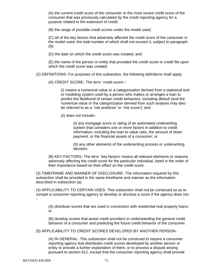(A) the current credit score of the consumer or the most recent credit score of the consumer that was previously calculated by the credit reporting agency for a purpose related to the extension of credit;

(B) the range of possible credit scores under the model used;

(C) all of the key factors that adversely affected the credit score of the consumer in the model used, the total number of which shall not exceed 4, subject to paragraph  $(9)$ ;

(D) the date on which the credit score was created; and

(E) the name of the person or entity that provided the credit score or credit file upon which the credit score was created.

(2) DEFINITIONS- For purposes of this subsection, the following definitions shall apply:

(A) CREDIT SCORE- The term `credit score'--

(i) means a numerical value or a categorization derived from a statistical tool or modeling system used by a person who makes or arranges a loan to predict the likelihood of certain credit behaviors, including default (and the numerical value or the categorization derived from such analysis may also be referred to as a `risk predictor' or `risk score'); and

(ii) does not include--

(I) any mortgage score or rating of an automated underwriting system that considers one or more factors in addition to credit information, including the loan to value ratio, the amount of down payment, or the financial assets of a consumer; or

(II) any other elements of the underwriting process or underwriting decision.

(B) KEY FACTORS- The term `key factors' means all relevant elements or reasons adversely affecting the credit score for the particular individual, listed in the order of their importance based on their effect on the credit score.

(3) TIMEFRAME AND MANNER OF DISCLOSURE- The information required by this subsection shall be provided in the same timeframe and manner as the information described in subsection (a).

(4) APPLICABILITY TO CERTAIN USES- This subsection shall not be construed so as to compel a consumer reporting agency to develop or disclose a score if the agency does not- -

(A) distribute scores that are used in connection with residential real property loans; or

(B) develop scores that assist credit providers in understanding the general credit behavior of a consumer and predicting the future credit behavior of the consumer.

(5) APPLICABILITY TO CREDIT SCORES DEVELOPED BY ANOTHER PERSON-

(A) IN GENERAL- This subsection shall not be construed to require a consumer reporting agency that distributes credit scores developed by another person or entity to provide a further explanation of them, or to process a dispute arising pursuant to section 611, except that the consumer reporting agency shall provide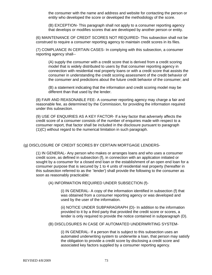the consumer with the name and address and website for contacting the person or entity who developed the score or developed the methodology of the score.

(B) EXCEPTION- This paragraph shall not apply to a consumer reporting agency that develops or modifies scores that are developed by another person or entity.

(6) MAINTENANCE OF CREDIT SCORES NOT REQUIRED- This subsection shall not be construed to require a consumer reporting agency to maintain credit scores in its files.

(7) COMPLIANCE IN CERTAIN CASES- In complying with this subsection, a consumer reporting agency shall--

(A) supply the consumer with a credit score that is derived from a credit scoring model that is widely distributed to users by that consumer reporting agency in connection with residential real property loans or with a credit score that assists the consumer in understanding the credit scoring assessment of the credit behavior of the consumer and predictions about the future credit behavior of the consumer; and

(B) a statement indicating that the information and credit scoring model may be different than that used by the lender.

(8) FAIR AND REASONABLE FEE- A consumer reporting agency may charge a fair and reasonable fee, as determined by the Commission, for providing the information required under this subsection.

(9) USE OF ENQUIRIES AS A KEY FACTOR- If a key factor that adversely affects the credit score of a consumer consists of the number of enquiries made with respect to a consumer report, that factor shall be included in the disclosure pursuant to paragraph (1)(C) without regard to the numerical limitation in such paragraph.

### (g) DISCLOSURE OF CREDIT SCORES BY CERTAIN MORTGAGE LENDERS-

(1) IN GENERAL- Any person who makes or arranges loans and who uses a consumer credit score, as defined in subsection (f), in connection with an application initiated or sought by a consumer for a closed end loan or the establishment of an open end loan for a consumer purpose that is secured by 1 to 4 units of residential real property (hereafter in this subsection referred to as the `lender') shall provide the following to the consumer as soon as reasonably practicable:

(A) INFORMATION REQUIRED UNDER SUBSECTION (f)-

(i) IN GENERAL- A copy of the information identified in subsection (f) that was obtained from a consumer reporting agency or was developed and used by the user of the information.

(ii) NOTICE UNDER SUBPARAGRAPH (D)- In addition to the information provided to it by a third party that provided the credit score or scores, a lender is only required to provide the notice contained in subparagraph (D).

(B) DISCLOSURES IN CASE OF AUTOMATED UNDERWRITING SYSTEM-

(i) IN GENERAL- If a person that is subject to this subsection uses an automated underwriting system to underwrite a loan, that person may satisfy the obligation to provide a credit score by disclosing a credit score and associated key factors supplied by a consumer reporting agency.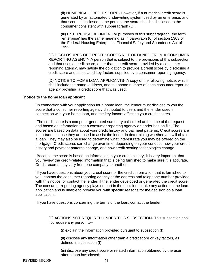(ii) NUMERICAL CREDIT SCORE- However, if a numerical credit score is generated by an automated underwriting system used by an enterprise, and that score is disclosed to the person, the score shall be disclosed to the consumer consistent with subparagraph (C).

(iii) ENTERPRISE DEFINED- For purposes of this subparagraph, the term `enterprise' has the same meaning as in paragraph (6) of section 1303 of the Federal Housing Enterprises Financial Safety and Soundness Act of 1992.

(C) DISCLOSURES OF CREDIT SCORES NOT OBTAINED FROM A CONSUMER REPORTING AGENCY- A person that is subject to the provisions of this subsection and that uses a credit score, other than a credit score provided by a consumer reporting agency, may satisfy the obligation to provide a credit score by disclosing a credit score and associated key factors supplied by a consumer reporting agency.

(D) NOTICE TO HOME LOAN APPLICANTS- A copy of the following notice, which shall include the name, address, and telephone number of each consumer reporting agency providing a credit score that was used:

#### **`notice to the home loan applicant**

`In connection with your application for a home loan, the lender must disclose to you the score that a consumer reporting agency distributed to users and the lender used in connection with your home loan, and the key factors affecting your credit scores.

`The credit score is a computer generated summary calculated at the time of the request and based on information that a consumer reporting agency or lender has on file. The scores are based on data about your credit history and payment patterns. Credit scores are important because they are used to assist the lender in determining whether you will obtain a loan. They may also be used to determine what interest rate you may be offered on the mortgage. Credit scores can change over time, depending on your conduct, how your credit history and payment patterns change, and how credit scoring technologies change.

`Because the score is based on information in your credit history, it is very important that you review the credit-related information that is being furnished to make sure it is accurate. Credit records may vary from one company to another.

`If you have questions about your credit score or the credit information that is furnished to you, contact the consumer reporting agency at the address and telephone number provided with this notice, or contact the lender, if the lender developed or generated the credit score. The consumer reporting agency plays no part in the decision to take any action on the loan application and is unable to provide you with specific reasons for the decision on a loan application.

`If you have questions concerning the terms of the loan, contact the lender.

(E) ACTIONS NOT REQUIRED UNDER THIS SUBSECTION- This subsection shall not require any person to--

(i) explain the information provided pursuant to subsection (f);

(ii) disclose any information other than a credit score or key factors, as defined in subsection (f);

(iii) disclose any credit score or related information obtained by the user after a loan has closed;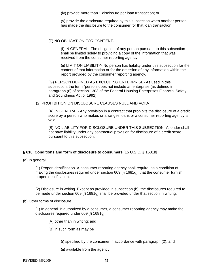(iv) provide more than 1 disclosure per loan transaction; or

(v) provide the disclosure required by this subsection when another person has made the disclosure to the consumer for that loan transaction.

(F) NO OBLIGATION FOR CONTENT-

(i) IN GENERAL- The obligation of any person pursuant to this subsection shall be limited solely to providing a copy of the information that was received from the consumer reporting agency.

(ii) LIMIT ON LIABILITY- No person has liability under this subsection for the content of that information or for the omission of any information within the report provided by the consumer reporting agency.

(G) PERSON DEFINED AS EXCLUDING ENTERPRISE- As used in this subsection, the term `person' does not include an enterprise (as defined in paragraph (6) of section 1303 of the Federal Housing Enterprises Financial Safety and Soundness Act of 1992).

(2) PROHIBITION ON DISCLOSURE CLAUSES NULL AND VOID-

(A) IN GENERAL- Any provision in a contract that prohibits the disclosure of a credit score by a person who makes or arranges loans or a consumer reporting agency is void.

(B) NO LIABILITY FOR DISCLOSURE UNDER THIS SUBSECTION- A lender shall not have liability under any contractual provision for disclosure of a credit score pursuant to this subsection.

### **§ 610. Conditions and form of disclosure to consumers** [15 U.S.C. § 1681h]

(a) In general.

(1) Proper identification. A consumer reporting agency shall require, as a condition of making the disclosures required under section 609 [§ 1681g], that the consumer furnish proper identification.

(2) Disclosure in writing. Except as provided in subsection (b), the disclosures required to be made under section 609 [§ 1681g] shall be provided under that section in writing.

(b) Other forms of disclosure.

(1) In general. If authorized by a consumer, a consumer reporting agency may make the disclosures required under 609 [§ 1681g]

- (A) other than in writing; and
- (B) in such form as may be
	- (i) specified by the consumer in accordance with paragraph (2); and
	- (ii) available from the agency.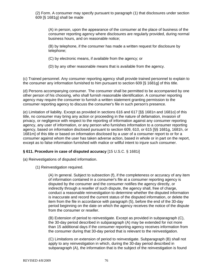(2) Form. A consumer may specify pursuant to paragraph (1) that disclosures under section 609 [§ 1681g] shall be made

(A) in person, upon the appearance of the consumer at the place of business of the consumer reporting agency where disclosures are regularly provided, during normal business hours, and on reasonable notice;

(B) by telephone, if the consumer has made a written request for disclosure by telephone;

(C) by electronic means, if available from the agency; or

(D) by any other reasonable means that is available from the agency.

(c) Trained personnel. Any consumer reporting agency shall provide trained personnel to explain to the consumer any information furnished to him pursuant to section 609 [§ 1681g] of this title.

(d) Persons accompanying consumer. The consumer shall be permitted to be accompanied by one other person of his choosing, who shall furnish reasonable identification. A consumer reporting agency may require the consumer to furnish a written statement granting permission to the consumer reporting agency to discuss the consumer's file in such person's presence.

(e) Limitation of liability. Except as provided in sections 616 and 617 [§§ 1681n and 1681o] of this title, no consumer may bring any action or proceeding in the nature of defamation, invasion of privacy, or negligence with respect to the reporting of information against any consumer reporting agency, any user of information, or any person who furnishes information to a consumer reporting agency, based on information disclosed pursuant to section 609, 610, or 615 [§§ 1681g, 1681h, or 1681m] of this title or based on information disclosed by a user of a consumer report to or for a consumer against whom the user has taken adverse action, based in whole or in part on the report, except as to false information furnished with malice or willful intent to injure such consumer.

# **§ 611. Procedure in case of disputed accuracy** [15 U.S.C. § 1681i]

(a) Reinvestigations of disputed information.

(1) Reinvestigation required.

(A) In general. Subject to subsection (f), if the completeness or accuracy of any item of information contained in a consumer's file at a consumer reporting agency is disputed by the consumer and the consumer notifies the agency directly, or indirectly through a reseller of such dispute, the agency shall, free of charge, conduct a reasonable reinvestigation to determine whether the disputed information is inaccurate and record the current status of the disputed information, or delete the item from the file in accordance with paragraph (5), before the end of the 30-day period beginning on the date on which the agency receives the notice of the dispute from the consumer or reseller.

(B) Extension of period to reinvestigate. Except as provided in subparagraph (C), the 30-day period described in subparagraph (A) may be extended for not more than 15 additional days if the consumer reporting agency receives information from the consumer during that 30-day period that is relevant to the reinvestigation.

(C) Limitations on extension of period to reinvestigate. Subparagraph (B) shall not apply to any reinvestigation in which, during the 30-day period described in subparagraph (A), the information that is the subject of the reinvestigation is found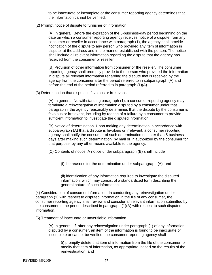to be inaccurate or incomplete or the consumer reporting agency determines that the information cannot be verified.

(2) Prompt notice of dispute to furnisher of information.

(A) In general. Before the expiration of the 5-business-day period beginning on the date on which a consumer reporting agency receives notice of a dispute from any consumer or reseller in accordance with paragraph (1), the agency shall provide notification of the dispute to any person who provided any item of information in dispute, at the address and in the manner established with the person. The notice shall include all relevant information regarding the dispute that the agency has received from the consumer or reseller.

(B) Provision of other information from consumer or the reseller. The consumer reporting agency shall promptly provide to the person who provided the information in dispute all relevant information regarding the dispute that is received by the agency from the consumer after the period referred to in subparagraph (A) and before the end of the period referred to in paragraph (1)(A).

(3) Determination that dispute is frivolous or irrelevant.

(A) In general. Notwithstanding paragraph (1), a consumer reporting agency may terminate a reinvestigation of information disputed by a consumer under that paragraph if the agency reasonably determines that the dispute by the consumer is frivolous or irrelevant, including by reason of a failure by a consumer to provide sufficient information to investigate the disputed information.

(B) Notice of determination. Upon making any determination in accordance with subparagraph (A) that a dispute is frivolous or irrelevant, a consumer reporting agency shall notify the consumer of such determination not later than 5 business days after making such determination, by mail or, if authorized by the consumer for that purpose, by any other means available to the agency.

(C) Contents of notice. A notice under subparagraph (B) shall include

(i) the reasons for the determination under subparagraph (A); and

(ii) identification of any information required to investigate the disputed information, which may consist of a standardized form describing the general nature of such information.

(4) Consideration of consumer information. In conducting any reinvestigation under paragraph (1) with respect to disputed information in the file of any consumer, the consumer reporting agency shall review and consider all relevant information submitted by the consumer in the period described in paragraph (1)(A) with respect to such disputed information.

(5) Treatment of inaccurate or unverifiable information.

(A) In general. If, after any reinvestigation under paragraph (1) of any information disputed by a consumer, an item of the information is found to be inaccurate or incomplete or cannot be verified, the consumer reporting agency shall--

(i) promptly delete that item of information from the file of the consumer, or modify that item of information, as appropriate, based on the results of the reinvestigation; and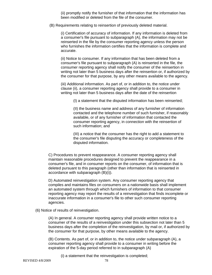(ii) promptly notify the furnisher of that information that the information has been modified or deleted from the file of the consumer.

(B) Requirements relating to reinsertion of previously deleted material.

(i) Certification of accuracy of information. If any information is deleted from a consumer's file pursuant to subparagraph (A), the information may not be reinserted in the file by the consumer reporting agency unless the person who furnishes the information certifies that the information is complete and accurate.

(ii) Notice to consumer. If any information that has been deleted from a consumer's file pursuant to subparagraph (A) is reinserted in the file, the consumer reporting agency shall notify the consumer of the reinsertion in writing not later than 5 business days after the reinsertion or, if authorized by the consumer for that purpose, by any other means available to the agency.

(iii) Additional information. As part of, or in addition to, the notice under clause (ii), a consumer reporting agency shall provide to a consumer in writing not later than 5 business days after the date of the reinsertion

(I) a statement that the disputed information has been reinserted;

(II) the business name and address of any furnisher of information contacted and the telephone number of such furnisher, if reasonably available, or of any furnisher of information that contacted the consumer reporting agency, in connection with the reinsertion of such information; and

(III) a notice that the consumer has the right to add a statement to the consumer's file disputing the accuracy or completeness of the disputed information.

C) Procedures to prevent reappearance. A consumer reporting agency shall maintain reasonable procedures designed to prevent the reappearance in a consumer's file, and in consumer reports on the consumer, of information that is deleted pursuant to this paragraph (other than information that is reinserted in accordance with subparagraph (B)(i)).

D) Automated reinvestigation system. Any consumer reporting agency that compiles and maintains files on consumers on a nationwide basis shall implement an automated system through which furnishers of information to that consumer reporting agency may report the results of a reinvestigation that finds incomplete or inaccurate information in a consumer's file to other such consumer reporting agencies.

(6) Notice of results of reinvestigation.

(A) In general. A consumer reporting agency shall provide written notice to a consumer of the results of a reinvestigation under this subsection not later than 5 business days after the completion of the reinvestigation, by mail or, if authorized by the consumer for that purpose, by other means available to the agency.

(B) Contents. As part of, or in addition to, the notice under subparagraph (A), a consumer reporting agency shall provide to a consumer in writing before the expiration of the 5-day period referred to in subparagraph (A)

(i) a statement that the reinvestigation is completed;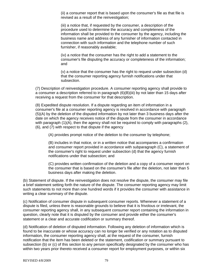(ii) a consumer report that is based upon the consumer's file as that file is revised as a result of the reinvestigation;

(iii) a notice that, if requested by the consumer, a description of the procedure used to determine the accuracy and completeness of the information shall be provided to the consumer by the agency, including the business name and address of any furnisher of information contacted in connection with such information and the telephone number of such furnisher, if reasonably available;

(iv) a notice that the consumer has the right to add a statement to the consumer's file disputing the accuracy or completeness of the information; and

(v) a notice that the consumer has the right to request under subsection (d) that the consumer reporting agency furnish notifications under that subsection.

(7) Description of reinvestigation procedure. A consumer reporting agency shall provide to a consumer a description referred to in paragraph  $(6)(B)(iii)$  by not later than 15 days after receiving a request from the consumer for that description.

(8) Expedited dispute resolution. If a dispute regarding an item of information in a consumer's file at a consumer reporting agency is resolved in accordance with paragraph (5)(A) by the deletion of the disputed information by not later than 3 business days after the date on which the agency receives notice of the dispute from the consumer in accordance with paragraph (1)(A), then the agency shall not be required to comply with paragraphs (2), (6), and (7) with respect to that dispute if the agency

(A) provides prompt notice of the deletion to the consumer by telephone;

(B) includes in that notice, or in a written notice that accompanies a confirmation and consumer report provided in accordance with subparagraph (C), a statement of the consumer's right to request under subsection (d) that the agency furnish notifications under that subsection; and

(C) provides written confirmation of the deletion and a copy of a consumer report on the consumer that is based on the consumer's file after the deletion, not later than 5 business days after making the deletion.

(b) Statement of dispute. If the reinvestigation does not resolve the dispute, the consumer may file a brief statement setting forth the nature of the dispute. The consumer reporting agency may limit such statements to not more than one hundred words if it provides the consumer with assistance in writing a clear summary of the dispute.

(c) Notification of consumer dispute in subsequent consumer reports. Whenever a statement of a dispute is filed, unless there is reasonable grounds to believe that it is frivolous or irrelevant, the consumer reporting agency shall, in any subsequent consumer report containing the information in question, clearly note that it is disputed by the consumer and provide either the consumer's statement or a clear and accurate codification or summary thereof.

(d) Notification of deletion of disputed information. Following any deletion of information which is found to be inaccurate or whose accuracy can no longer be verified or any notation as to disputed information, the consumer reporting agency shall, at the request of the consumer, furnish notification that the item has been deleted or the statement, codification or summary pursuant to subsection (b) or (c) of this section to any person specifically designated by the consumer who has within two years prior thereto received a consumer report for employment purposes, or within six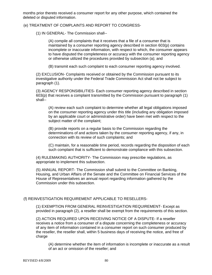months prior thereto received a consumer report for any other purpose, which contained the deleted or disputed information.

### (e) TREATMENT OF COMPLAINTS AND REPORT TO CONGRESS-

(1) IN GENERAL- The Commission shall--

(A) compile all complaints that it receives that a file of a consumer that is maintained by a consumer reporting agency described in section 603(p) contains incomplete or inaccurate information, with respect to which, the consumer appears to have disputed the completeness or accuracy with the consumer reporting agency or otherwise utilized the procedures provided by subsection (a); and

(B) transmit each such complaint to each consumer reporting agency involved.

(2) EXCLUSION- Complaints received or obtained by the Commission pursuant to its investigative authority under the Federal Trade Commission Act shall not be subject to paragraph (1).

(3) AGENCY RESPONSIBILITIES- Each consumer reporting agency described in section 603(p) that receives a complaint transmitted by the Commission pursuant to paragraph (1) shall--

(A) review each such complaint to determine whether all legal obligations imposed on the consumer reporting agency under this title (including any obligation imposed by an applicable court or administrative order) have been met with respect to the subject matter of the complaint;

(B) provide reports on a regular basis to the Commission regarding the determinations of and actions taken by the consumer reporting agency, if any, in connection with its review of such complaints; and

(C) maintain, for a reasonable time period, records regarding the disposition of each such complaint that is sufficient to demonstrate compliance with this subsection.

(4) RULEMAKING AUTHORITY- The Commission may prescribe regulations, as appropriate to implement this subsection.

(5) ANNUAL REPORT- The Commission shall submit to the Committee on Banking, Housing, and Urban Affairs of the Senate and the Committee on Financial Services of the House of Representatives an annual report regarding information gathered by the Commission under this subsection.

# (f) REINVESTIGATION REQUIREMENT APPLICABLE TO RESELLERS-

(1) EXEMPTION FROM GENERAL REINVESTIGATION REQUIREMENT- Except as provided in paragraph (2), a reseller shall be exempt from the requirements of this section.

(2) ACTION REQUIRED UPON RECEIVING NOTICE OF A DISPUTE- If a reseller receives a notice from a consumer of a dispute concerning the completeness or accuracy of any item of information contained in a consumer report on such consumer produced by the reseller, the reseller shall, within 5 business days of receiving the notice, and free of charge

(A) determine whether the item of information is incomplete or inaccurate as a result of an act or omission of the reseller; and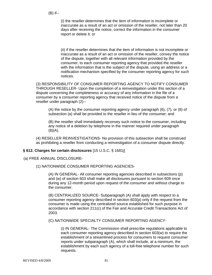### (B) if--

(i) the reseller determines that the item of information is incomplete or inaccurate as a result of an act or omission of the reseller, not later than 20 days after receiving the notice, correct the information in the consumer report or delete it; or

(ii) if the reseller determines that the item of information is not incomplete or inaccurate as a result of an act or omission of the reseller, convey the notice of the dispute, together with all relevant information provided by the consumer, to each consumer reporting agency that provided the reseller with the information that is the subject of the dispute, using an address or a notification mechanism specified by the consumer reporting agency for such notices.

(3) RESPONSIBILITY OF CONSUMER REPORTING AGENCY TO NOTIFY CONSUMER THROUGH RESELLER- Upon the completion of a reinvestigation under this section of a dispute concerning the completeness or accuracy of any information in the file of a consumer by a consumer reporting agency that received notice of the dispute from a reseller under paragraph (2)--

(A) the notice by the consumer reporting agency under paragraph (6), (7), or (8) of subsection (a) shall be provided to the reseller in lieu of the consumer; and

(B) the reseller shall immediately reconvey such notice to the consumer, including any notice of a deletion by telephone in the manner required under paragraph  $(8)(A)$ .

(4) RESELLER REINVESTIGATIONS- No provision of this subsection shall be construed as prohibiting a reseller from conducting a reinvestigation of a consumer dispute directly.

### **§ 612. Charges for certain disclosures** [15 U.S.C. § 1681j]

- (a) FREE ANNUAL DISCLOSURE-
	- (1) NATIONWIDE CONSUMER REPORTING AGENCIES-

(A) IN GENERAL- All consumer reporting agencies described in subsections (p) and (w) of section 603 shall make all disclosures pursuant to section 609 once during any 12-month period upon request of the consumer and without charge to the consumer.

(B) CENTRALIZED SOURCE- Subparagraph (A) shall apply with respect to a consumer reporting agency described in section 603(p) only if the request from the consumer is made using the centralized source established for such purpose in accordance with section 211(c) of the Fair and Accurate Credit Transactions Act of 2003.

(C) NATIONWIDE SPECIALTY CONSUMER REPORTING AGENCY-

(i) IN GENERAL- The Commission shall prescribe regulations applicable to each consumer reporting agency described in section 603(w) to require the establishment of a streamlined process for consumers to request consumer reports under subparagraph (A), which shall include, at a minimum, the establishment by each such agency of a toll-free telephone number for such requests.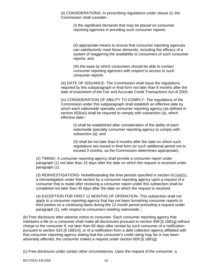(ii) CONSIDERATIONS- In prescribing regulations under clause (i), the Commission shall consider--

> (I) the significant demands that may be placed on consumer reporting agencies in providing such consumer reports;

(II) appropriate means to ensure that consumer reporting agencies can satisfactorily meet those demands, including the efficacy of a system of staggering the availability to consumers of such consumer reports; and

(III) the ease by which consumers should be able to contact consumer reporting agencies with respect to access to such consumer reports.

(iii) DATE OF ISSUANCE- The Commission shall issue the regulations required by this subparagraph in final form not later than 6 months after the date of enactment of the Fair and Accurate Credit Transactions Act of 2003.

(iv) CONSIDERATION OF ABILITY TO COMPLY- The regulations of the Commission under this subparagraph shall establish an effective date by which each nationwide specialty consumer reporting agency (as defined in section 603(w)) shall be required to comply with subsection (a), which effective date--

(I) shall be established after consideration of the ability of each nationwide specialty consumer reporting agency to comply with subsection (a); and

(II) shall be not later than 6 months after the date on which such regulations are issued in final form (or such additional period not to exceed 3 months, as the Commission determines appropriate).

(2) TIMING- A consumer reporting agency shall provide a consumer report under paragraph (1) not later than 15 days after the date on which the request is received under paragraph (1).

(3) REINVESTIGATIONS- Notwithstanding the time periods specified in section 611(a)(1), a reinvestigation under that section by a consumer reporting agency upon a request of a consumer that is made after receiving a consumer report under this subsection shall be completed not later than 45 days after the date on which the request is received.

(4) EXCEPTION FOR FIRST 12 MONTHS OF OPERATION- This subsection shall not apply to a consumer reporting agency that has not been furnishing consumer reports to third parties on a continuing basis during the 12-month period preceding a request under paragraph (1), with respect to consumers residing nationwide.';

(b) Free disclosure after adverse notice to consumer. Each consumer reporting agency that maintains a file on a consumer shall make all disclosures pursuant to section 609 [§ 1681g] without charge to the consumer if, not later than 60 days after receipt by such consumer of a notification pursuant to section 615 [§ 1681m], or of a notification from a debt collection agency affiliated with that consumer reporting agency stating that the consumer's credit rating may be or has been adversely affected, the consumer makes a request under section 609 [§ 1681g].

(c) Free disclosure under certain other circumstances. Upon the request of the consumer, a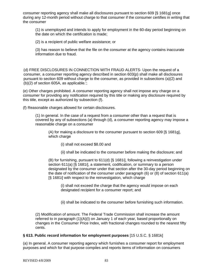consumer reporting agency shall make all disclosures pursuant to section 609 [§ 1681g] once during any 12-month period without charge to that consumer if the consumer certifies in writing that the consumer

(1) is unemployed and intends to apply for employment in the 60-day period beginning on the date on which the certification is made;

(2) is a recipient of public welfare assistance; or

(3) has reason to believe that the file on the consumer at the agency contains inaccurate information due to fraud.

(d) FREE DISCLOSURES IN CONNECTION WITH FRAUD ALERTS- Upon the request of a consumer, a consumer reporting agency described in section 603(p) shall make all disclosures pursuant to section 609 without charge to the consumer, as provided in subsections (a)(2) and (b)(2) of section 605A, as applicable.';

(e) Other charges prohibited. A consumer reporting agency shall not impose any charge on a consumer for providing any notification required by this title or making any disclosure required by this title, except as authorized by subsection (f).

(f) Reasonable charges allowed for certain disclosures.

(1) In general. In the case of a request from a consumer other than a request that is covered by any of subsections (a) through (d), a consumer reporting agency may impose a reasonable charge on a consumer

(A) for making a disclosure to the consumer pursuant to section 609 [§ 1681g], which charge

- (i) shall not exceed \$8.00 and
- (ii) shall be indicated to the consumer before making the disclosure; and

(B) for furnishing, pursuant to 611(d) [§ 1681i], following a reinvestigation under section 611(a) [§ 1681i], a statement, codification, or summary to a person designated by the consumer under that section after the 30-day period beginning on the date of notification of the consumer under paragraph (6) or (8) of section 611(a) [§ 1681i] with respect to the reinvestigation, which charge

(i) shall not exceed the charge that the agency would impose on each designated recipient for a consumer report; and

(ii) shall be indicated to the consumer before furnishing such information.

(2) Modification of amount. The Federal Trade Commission shall increase the amount referred to in paragraph (1)(A)(I) on January 1 of each year, based proportionally on changes in the Consumer Price Index, with fractional changes rounded to the nearest fifty cents.

# **§ 613. Public record information for employment purposes** [15 U.S.C. § 1681k]

(a) In general. A consumer reporting agency which furnishes a consumer report for employment purposes and which for that purpose compiles and reports items of information on consumers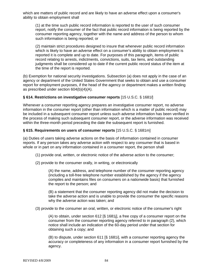which are matters of public record and are likely to have an adverse effect upon a consumer's ability to obtain employment shall

(1) at the time such public record information is reported to the user of such consumer report, notify the consumer of the fact that public record information is being reported by the consumer reporting agency, together with the name and address of the person to whom such information is being reported; or

(2) maintain strict procedures designed to insure that whenever public record information which is likely to have an adverse effect on a consumer's ability to obtain employment is reported it is complete and up to date. For purposes of this paragraph, items of public record relating to arrests, indictments, convictions, suits, tax liens, and outstanding judgments shall be considered up to date if the current public record status of the item at the time of the report is reported.

(b) Exemption for national security investigations. Subsection (a) does not apply in the case of an agency or department of the United States Government that seeks to obtain and use a consumer report for employment purposes, if the head of the agency or department makes a written finding as prescribed under section 604(b)(4)(A).

### **§ 614. Restrictions on investigative consumer reports** [15 U.S.C. § 1681*l*]

Whenever a consumer reporting agency prepares an investigative consumer report, no adverse information in the consumer report (other than information which is a matter of public record) may be included in a subsequent consumer report unless such adverse information has been verified in the process of making such subsequent consumer report, or the adverse information was received within the three-month period preceding the date the subsequent report is furnished.

### **§ 615. Requirements on users of consumer reports** [15 U.S.C. § 1681m]

(a) Duties of users taking adverse actions on the basis of information contained in consumer reports. If any person takes any adverse action with respect to any consumer that is based in whole or in part on any information contained in a consumer report, the person shall

- (1) provide oral, written, or electronic notice of the adverse action to the consumer;
- (2) provide to the consumer orally, in writing, or electronically

(A) the name, address, and telephone number of the consumer reporting agency (including a toll-free telephone number established by the agency if the agency compiles and maintains files on consumers on a nationwide basis) that furnished the report to the person; and

(B) a statement that the consumer reporting agency did not make the decision to take the adverse action and is unable to provide the consumer the specific reasons why the adverse action was taken; and

(3) provide to the consumer an oral, written, or electronic notice of the consumer's right

(A) to obtain, under section 612 [§ 1681j], a free copy of a consumer report on the consumer from the consumer reporting agency referred to in paragraph (2), which notice shall include an indication of the 60-day period under that section for obtaining such a copy; and

(B) to dispute, under section 611 [§ 1681i], with a consumer reporting agency the accuracy or completeness of any information in a consumer report furnished by the agency.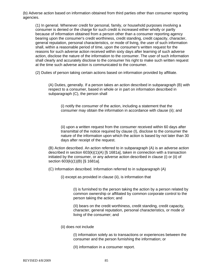(b) Adverse action based on information obtained from third parties other than consumer reporting agencies.

(1) In general. Whenever credit for personal, family, or household purposes involving a consumer is denied or the charge for such credit is increased either wholly or partly because of information obtained from a person other than a consumer reporting agency bearing upon the consumer's credit worthiness, credit standing, credit capacity, character, general reputation, personal characteristics, or mode of living, the user of such information shall, within a reasonable period of time, upon the consumer's written request for the reasons for such adverse action received within sixty days after learning of such adverse action, disclose the nature of the information to the consumer. The user of such information shall clearly and accurately disclose to the consumer his right to make such written request at the time such adverse action is communicated to the consumer.

(2) Duties of person taking certain actions based on information provided by affiliate.

(A) Duties, generally. If a person takes an action described in subparagraph (B) with respect to a consumer, based in whole or in part on information described in subparagraph (C), the person shall

(i) notify the consumer of the action, including a statement that the consumer may obtain the information in accordance with clause (ii); and

(ii) upon a written request from the consumer received within 60 days after transmittal of the notice required by clause (I), disclose to the consumer the nature of the information upon which the action is based by not later than 30 days after receipt of the request.

(B) Action described. An action referred to in subparagraph (A) is an adverse action described in section 603(k)(1)(A) [§ 1681a], taken in connection with a transaction initiated by the consumer, or any adverse action described in clause (i) or (ii) of section 603(k)(1)(B) [§ 1681a].

(C) Information described. Information referred to in subparagraph (A)

(i) except as provided in clause (ii), is information that

(I) is furnished to the person taking the action by a person related by common ownership or affiliated by common corporate control to the person taking the action; and

(II) bears on the credit worthiness, credit standing, credit capacity, character, general reputation, personal characteristics, or mode of living of the consumer; and

(ii) does not include

(I) information solely as to transactions or experiences between the consumer and the person furnishing the information; or

(II) information in a consumer report.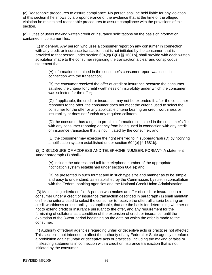(c) Reasonable procedures to assure compliance. No person shall be held liable for any violation of this section if he shows by a preponderance of the evidence that at the time of the alleged violation he maintained reasonable procedures to assure compliance with the provisions of this section.

(d) Duties of users making written credit or insurance solicitations on the basis of information contained in consumer files.

(1) In general. Any person who uses a consumer report on any consumer in connection with any credit or insurance transaction that is not initiated by the consumer, that is provided to that person under section 604(c)(1)(B) [§ 1681b], shall provide with each written solicitation made to the consumer regarding the transaction a clear and conspicuous statement that

(A) information contained in the consumer's consumer report was used in connection with the transaction;

(B) the consumer received the offer of credit or insurance because the consumer satisfied the criteria for credit worthiness or insurability under which the consumer was selected for the offer;

(C) if applicable, the credit or insurance may not be extended if, after the consumer responds to the offer, the consumer does not meet the criteria used to select the consumer for the offer or any applicable criteria bearing on credit worthiness or insurability or does not furnish any required collateral;

(D) the consumer has a right to prohibit information contained in the consumer's file with any consumer reporting agency from being used in connection with any credit or insurance transaction that is not initiated by the consumer; and

(E) the consumer may exercise the right referred to in subparagraph (D) by notifying a notification system established under section 604(e) [§ 1681b].

(2) DISCLOSURE OF ADDRESS AND TELEPHONE NUMBER; FORMAT- A statement under paragraph (1) shall--

(A) include the address and toll-free telephone number of the appropriate notification system established under section 604(e); and

(B) be presented in such format and in such type size and manner as to be simple and easy to understand, as established by the Commission, by rule, in consultation with the Federal banking agencies and the National Credit Union Administration.

 (3) Maintaining criteria on file. A person who makes an offer of credit or insurance to a consumer under a credit or insurance transaction described in paragraph (1) shall maintain on file the criteria used to select the consumer to receive the offer, all criteria bearing on credit worthiness or insurability, as applicable, that are the basis for determining whether or not to extend credit or insurance pursuant to the offer, and any requirement for the furnishing of collateral as a condition of the extension of credit or insurance, until the expiration of the 3-year period beginning on the date on which the offer is made to the consumer.

(4) Authority of federal agencies regarding unfair or deceptive acts or practices not affected. This section is not intended to affect the authority of any Federal or State agency to enforce a prohibition against unfair or deceptive acts or practices, including the making of false or misleading statements in connection with a credit or insurance transaction that is not initiated by the consumer.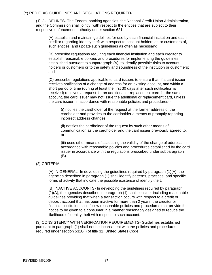(e) RED FLAG GUIDELINES AND REGULATIONS REQUIRED-

(1) GUIDELINES- The Federal banking agencies, the National Credit Union Administration, and the Commission shall jointly, with respect to the entities that are subject to their respective enforcement authority under section 621--

(A) establish and maintain guidelines for use by each financial institution and each creditor regarding identity theft with respect to account holders at, or customers of, such entities, and update such guidelines as often as necessary;

(B) prescribe regulations requiring each financial institution and each creditor to establish reasonable policies and procedures for implementing the guidelines established pursuant to subparagraph (A), to identify possible risks to account holders or customers or to the safety and soundness of the institution or customers; and

(C) prescribe regulations applicable to card issuers to ensure that, if a card issuer receives notification of a change of address for an existing account, and within a short period of time (during at least the first 30 days after such notification is received) receives a request for an additional or replacement card for the same account, the card issuer may not issue the additional or replacement card, unless the card issuer, in accordance with reasonable policies and procedures--

(i) notifies the cardholder of the request at the former address of the cardholder and provides to the cardholder a means of promptly reporting incorrect address changes;

(ii) notifies the cardholder of the request by such other means of communication as the cardholder and the card issuer previously agreed to; or

(iii) uses other means of assessing the validity of the change of address, in accordance with reasonable policies and procedures established by the card issuer in accordance with the regulations prescribed under subparagraph (B).

# (2) CRITERIA-

(A) IN GENERAL- In developing the guidelines required by paragraph (1)(A), the agencies described in paragraph (1) shall identify patterns, practices, and specific forms of activity that indicate the possible existence of identity theft.

(B) INACTIVE ACCOUNTS- In developing the guidelines required by paragraph (1)(A), the agencies described in paragraph (1) shall consider including reasonable guidelines providing that when a transaction occurs with respect to a credit or deposit account that has been inactive for more than 2 years, the creditor or financial institution shall follow reasonable policies and procedures that provide for notice to be given to a consumer in a manner reasonably designed to reduce the likelihood of identity theft with respect to such account.

(3) CONSISTENCY WITH VERIFICATION REQUIREMENTS- Guidelines established pursuant to paragraph (1) shall not be inconsistent with the policies and procedures required under section 5318(l) of title 31, United States Code.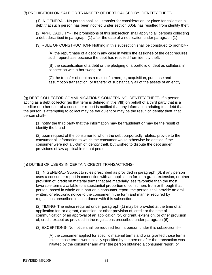(f) PROHIBITION ON SALE OR TRANSFER OF DEBT CAUSED BY IDENTITY THEFT-

(1) IN GENERAL- No person shall sell, transfer for consideration, or place for collection a debt that such person has been notified under section 605B has resulted from identity theft.

(2) APPLICABILITY- The prohibitions of this subsection shall apply to all persons collecting a debt described in paragraph (1) after the date of a notification under paragraph (1).

(3) RULE OF CONSTRUCTION- Nothing in this subsection shall be construed to prohibit--

(A) the repurchase of a debt in any case in which the assignee of the debt requires such repurchase because the debt has resulted from identity theft;

(B) the securitization of a debt or the pledging of a portfolio of debt as collateral in connection with a borrowing; or

(C) the transfer of debt as a result of a merger, acquisition, purchase and assumption transaction, or transfer of substantially all of the assets of an entity.

(g) DEBT COLLECTOR COMMUNICATIONS CONCERNING IDENTITY THEFT- If a person acting as a debt collector (as that term is defined in title VIII) on behalf of a third party that is a creditor or other user of a consumer report is notified that any information relating to a debt that the person is attempting to collect may be fraudulent or may be the result of identity theft, that person shall--

(1) notify the third party that the information may be fraudulent or may be the result of identity theft; and

(2) upon request of the consumer to whom the debt purportedly relates, provide to the consumer all information to which the consumer would otherwise be entitled if the consumer were not a victim of identity theft, but wished to dispute the debt under provisions of law applicable to that person.

### (h) DUTIES OF USERS IN CERTAIN CREDIT TRANSACTIONS-

(1) IN GENERAL- Subject to rules prescribed as provided in paragraph (6), if any person uses a consumer report in connection with an application for, or a grant, extension, or other provision of, credit on material terms that are materially less favorable than the most favorable terms available to a substantial proportion of consumers from or through that person, based in whole or in part on a consumer report, the person shall provide an oral, written, or electronic notice to the consumer in the form and manner required by regulations prescribed in accordance with this subsection.

(2) TIMING- The notice required under paragraph (1) may be provided at the time of an application for, or a grant, extension, or other provision of, credit or the time of communication of an approval of an application for, or grant, extension, or other provision of, credit, except as provided in the regulations prescribed under paragraph (6).

(3) EXCEPTIONS- No notice shall be required from a person under this subsection if--

(A) the consumer applied for specific material terms and was granted those terms, unless those terms were initially specified by the person after the transaction was initiated by the consumer and after the person obtained a consumer report; or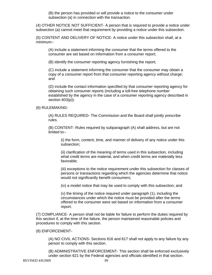(B) the person has provided or will provide a notice to the consumer under subsection (a) in connection with the transaction.

(4) OTHER NOTICE NOT SUFFICIENT- A person that is required to provide a notice under subsection (a) cannot meet that requirement by providing a notice under this subsection.

(5) CONTENT AND DELIVERY OF NOTICE- A notice under this subsection shall, at a minimum--

(A) include a statement informing the consumer that the terms offered to the consumer are set based on information from a consumer report;

(B) identify the consumer reporting agency furnishing the report;

(C) include a statement informing the consumer that the consumer may obtain a copy of a consumer report from that consumer reporting agency without charge; and

(D) include the contact information specified by that consumer reporting agency for obtaining such consumer reports (including a toll-free telephone number established by the agency in the case of a consumer reporting agency described in section 603(p)).

### (6) RULEMAKING-

(A) RULES REQUIRED- The Commission and the Board shall jointly prescribe rules.

(B) CONTENT- Rules required by subparagraph (A) shall address, but are not limited to--

(i) the form, content, time, and manner of delivery of any notice under this subsection;

(ii) clarification of the meaning of terms used in this subsection, including what credit terms are material, and when credit terms are materially less favorable;

(iii) exceptions to the notice requirement under this subsection for classes of persons or transactions regarding which the agencies determine that notice would not significantly benefit consumers;

(iv) a model notice that may be used to comply with this subsection; and

(v) the timing of the notice required under paragraph (1), including the circumstances under which the notice must be provided after the terms offered to the consumer were set based on information from a consumer report.

(7) COMPLIANCE- A person shall not be liable for failure to perform the duties required by this section if, at the time of the failure, the person maintained reasonable policies and procedures to comply with this section.

(8) ENFORCEMENT-

(A) NO CIVIL ACTIONS- Sections 616 and 617 shall not apply to any failure by any person to comply with this section.

(B) ADMINISTRATIVE ENFORCEMENT- This section shall be enforced exclusively under section 621 by the Federal agencies and officials identified in that section.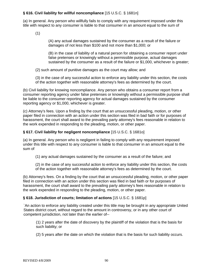# **§ 616. Civil liability for willful noncompliance** [15 U.S.C. § 1681n]

(a) In general. Any person who willfully fails to comply with any requirement imposed under this title with respect to any consumer is liable to that consumer in an amount equal to the sum of

(1)

(A) any actual damages sustained by the consumer as a result of the failure or damages of not less than \$100 and not more than \$1,000; or

(B) in the case of liability of a natural person for obtaining a consumer report under false pretenses or knowingly without a permissible purpose, actual damages sustained by the consumer as a result of the failure or \$1,000, whichever is greater;

(2) such amount of punitive damages as the court may allow; and

(3) in the case of any successful action to enforce any liability under this section, the costs of the action together with reasonable attorney's fees as determined by the court.

(b) Civil liability for knowing noncompliance. Any person who obtains a consumer report from a consumer reporting agency under false pretenses or knowingly without a permissible purpose shall be liable to the consumer reporting agency for actual damages sustained by the consumer reporting agency or \$1,000, whichever is greater.

(c) Attorney's fees. Upon a finding by the court that an unsuccessful pleading, motion, or other paper filed in connection with an action under this section was filed in bad faith or for purposes of harassment, the court shall award to the prevailing party attorney's fees reasonable in relation to the work expended in responding to the pleading, motion, or other paper.

# **§ 617. Civil liability for negligent noncompliance** [15 U.S.C. § 1681o]

(a) In general. Any person who is negligent in failing to comply with any requirement imposed under this title with respect to any consumer is liable to that consumer in an amount equal to the sum of

(1) any actual damages sustained by the consumer as a result of the failure; and

(2) in the case of any successful action to enforce any liability under this section, the costs of the action together with reasonable attorney's fees as determined by the court.

(b) Attorney's fees. On a finding by the court that an unsuccessful pleading, motion, or other paper filed in connection with an action under this section was filed in bad faith or for purposes of harassment, the court shall award to the prevailing party attorney's fees reasonable in relation to the work expended in responding to the pleading, motion, or other paper.

# **§ 618. Jurisdiction of courts; limitation of actions** [15 U.S.C. § 1681p]

`An action to enforce any liability created under this title may be brought in any appropriate United States district court, without regard to the amount in controversy, or in any other court of competent jurisdiction, not later than the earlier of--

(1) 2 years after the date of discovery by the plaintiff of the violation that is the basis for such liability; or

(2) 5 years after the date on which the violation that is the basis for such liability occurs.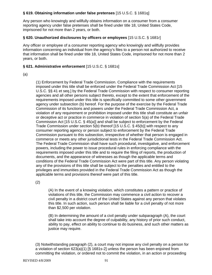# **§ 619. Obtaining information under false pretenses** [15 U.S.C. § 1681q]

Any person who knowingly and willfully obtains information on a consumer from a consumer reporting agency under false pretenses shall be fined under title 18, United States Code, imprisoned for not more than 2 years, or both.

# **§ 620. Unauthorized disclosures by officers or employees** [15 U.S.C. § 1681r]

Any officer or employee of a consumer reporting agency who knowingly and willfully provides information concerning an individual from the agency's files to a person not authorized to receive that information shall be fined under title 18, United States Code, imprisoned for not more than 2 years, or both.

# **§ 621. Administrative enforcement** [15 U.S.C. § 1681s]

(a)

(1) Enforcement by Federal Trade Commission. Compliance with the requirements imposed under this title shall be enforced under the Federal Trade Commission Act [15 U.S.C. §§ 41 et seq.] by the Federal Trade Commission with respect to consumer reporting agencies and all other persons subject thereto, except to the extent that enforcement of the requirements imposed under this title is specifically committed to some other government agency under subsection (b) hereof. For the purpose of the exercise by the Federal Trade Commission of its functions and powers under the Federal Trade Commission Act, a violation of any requirement or prohibition imposed under this title shall constitute an unfair or deceptive act or practice in commerce in violation of section 5(a) of the Federal Trade Commission Act [15 U.S.C. § 45(a)] and shall be subject to enforcement by the Federal Trade Commission under section 5(b) thereof [15 U.S.C. § 45(b)] with respect to any consumer reporting agency or person subject to enforcement by the Federal Trade Commission pursuant to this subsection, irrespective of whether that person is engaged in commerce or meets any other jurisdictional tests in the Federal Trade Commission Act. The Federal Trade Commission shall have such procedural, investigative, and enforcement powers, including the power to issue procedural rules in enforcing compliance with the requirements imposed under this title and to require the filing of reports, the production of documents, and the appearance of witnesses as though the applicable terms and conditions of the Federal Trade Commission Act were part of this title. Any person violating any of the provisions of this title shall be subject to the penalties and entitled to the privileges and immunities provided in the Federal Trade Commission Act as though the applicable terms and provisions thereof were part of this title.

(2)

(A) In the event of a knowing violation, which constitutes a pattern or practice of violations of this title, the Commission may commence a civil action to recover a civil penalty in a district court of the United States against any person that violates this title. In such action, such person shall be liable for a civil penalty of not more than \$2,500 per violation.

(B) In determining the amount of a civil penalty under subparagraph (A), the court shall take into account the degree of culpability, any history of prior such conduct, ability to pay, effect on ability to continue to do business, and such other matters as justice may require.

(3) Notwithstanding paragraph (2), a court may not impose any civil penalty on a person for a violation of section 623(a)(1) [§ 1681s-2] unless the person has been enjoined from committing the violation, or ordered not to commit the violation, in an action or proceeding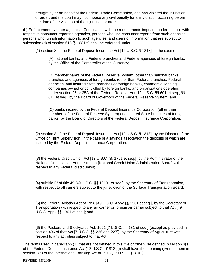brought by or on behalf of the Federal Trade Commission, and has violated the injunction or order, and the court may not impose any civil penalty for any violation occurring before the date of the violation of the injunction or order.

(b) Enforcement by other agencies. Compliance with the requirements imposed under this title with respect to consumer reporting agencies, persons who use consumer reports from such agencies, persons who furnish information to such agencies, and users of information that are subject to subsection (d) of section 615 [§ 1681m] shall be enforced under

(1) section 8 of the Federal Deposit Insurance Act [12 U.S.C. § 1818], in the case of

(A) national banks, and Federal branches and Federal agencies of foreign banks, by the Office of the Comptroller of the Currency;

(B) member banks of the Federal Reserve System (other than national banks), branches and agencies of foreign banks (other than Federal branches, Federal agencies, and insured State branches of foreign banks), commercial lending companies owned or controlled by foreign banks, and organizations operating under section 25 or 25A of the Federal Reserve Act [12 U.S.C. §§ 601 et seq., §§ 611 et seq], by the Board of Governors of the Federal Reserve System; and

(C) banks insured by the Federal Deposit Insurance Corporation (other than members of the Federal Reserve System) and insured State branches of foreign banks, by the Board of Directors of the Federal Deposit Insurance Corporation;

(2) section 8 of the Federal Deposit Insurance Act [12 U.S.C. § 1818], by the Director of the Office of Thrift Supervision, in the case of a savings association the deposits of which are insured by the Federal Deposit Insurance Corporation;

(3) the Federal Credit Union Act [12 U.S.C. §§ 1751 et seq.], by the Administrator of the National Credit Union Administration [National Credit Union Administration Board] with respect to any Federal credit union;

(4) subtitle IV of title 49 [49 U.S.C. §§ 10101 et seq.], by the Secretary of Transportation, with respect to all carriers subject to the jurisdiction of the Surface Transportation Board;

(5) the Federal Aviation Act of 1958 [49 U.S.C. Appx §§ 1301 et seq.], by the Secretary of Transportation with respect to any air carrier or foreign air carrier subject to that Act [49 U.S.C. Appx §§ 1301 et seq.]; and

(6) the Packers and Stockyards Act, 1921 [7 U.S.C. §§ 181 et seq.] (except as provided in section 406 of that Act [7 U.S.C. §§ 226 and 227]), by the Secretary of Agriculture with respect to any activities subject to that Act.

The terms used in paragraph (1) that are not defined in this title or otherwise defined in section 3(s) of the Federal Deposit Insurance Act (12 U.S.C. §1813(s)) shall have the meaning given to them in section 1(b) of the International Banking Act of 1978 (12 U.S.C. § 3101).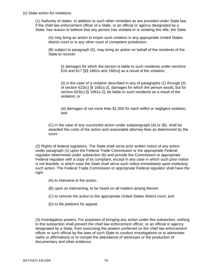(c) State action for violations.

(1) Authority of states. In addition to such other remedies as are provided under State law, if the chief law enforcement officer of a State, or an official or agency designated by a State, has reason to believe that any person has violated or is violating this title, the State

(A) may bring an action to enjoin such violation in any appropriate United States district court or in any other court of competent jurisdiction;

(B) subject to paragraph (5), may bring an action on behalf of the residents of the State to recover

(i) damages for which the person is liable to such residents under sections 616 and 617 [§§ 1681n and 1681o] as a result of the violation;

(ii) in the case of a violation described in any of paragraphs (1) through (3) of section 623(c) [§ 1681s-2], damages for which the person would, but for section 623(c) [§ 1681s-2], be liable to such residents as a result of the violation; or

(iii) damages of not more than \$1,000 for each willful or negligent violation; and

(C) in the case of any successful action under subparagraph (A) or (B), shall be awarded the costs of the action and reasonable attorney fees as determined by the court.

(2) Rights of federal regulators. The State shall serve prior written notice of any action under paragraph (1) upon the Federal Trade Commission or the appropriate Federal regulator determined under subsection (b) and provide the Commission or appropriate Federal regulator with a copy of its complaint, except in any case in which such prior notice is not feasible, in which case the State shall serve such notice immediately upon instituting such action. The Federal Trade Commission or appropriate Federal regulator shall have the right

- (A) to intervene in the action;
- (B) upon so intervening, to be heard on all matters arising therein;
- (C) to remove the action to the appropriate United States district court; and
- (D) to file petitions for appeal.

(3) Investigatory powers. For purposes of bringing any action under this subsection, nothing in this subsection shall prevent the chief law enforcement officer, or an official or agency designated by a State, from exercising the powers conferred on the chief law enforcement officer or such official by the laws of such State to conduct investigations or to administer oaths or affirmations or to compel the attendance of witnesses or the production of documentary and other evidence.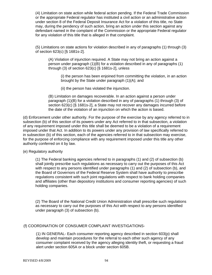(4) Limitation on state action while federal action pending. If the Federal Trade Commission or the appropriate Federal regulator has instituted a civil action or an administrative action under section 8 of the Federal Deposit Insurance Act for a violation of this title, no State may, during the pendency of such action, bring an action under this section against any defendant named in the complaint of the Commission or the appropriate Federal regulator for any violation of this title that is alleged in that complaint.

(5) Limitations on state actions for violation described in any of paragraphs (1) through (3) of section 623(c) [§ 1681s-2].

(A) Violation of injunction required. A State may not bring an action against a person under paragraph (1)(B) for a violation described in any of paragraphs (1) through (3) of section 623(c) [§ 1681s-2], unless

(i) the person has been enjoined from committing the violation, in an action brought by the State under paragraph (1)(A); and

(ii) the person has violated the injunction.

(B) Limitation on damages recoverable. In an action against a person under paragraph (1)(B) for a violation described in any of paragraphs (1) through (3) of section 623(c) [§ 1681s-2], a State may not recover any damages incurred before the date of the violation of an injunction on which the action is based.

(d) Enforcement under other authority. For the purpose of the exercise by any agency referred to in subsection (b) of this section of its powers under any Act referred to in that subsection, a violation of any requirement imposed under this title shall be deemed to be a violation of a requirement imposed under that Act. In addition to its powers under any provision of law specifically referred to in subsection (b) of this section, each of the agencies referred to in that subsection may exercise, for the purpose of enforcing compliance with any requirement imposed under this title any other authority conferred on it by law.

### (e) Regulatory authority

(1) The Federal banking agencies referred to in paragraphs (1) and (2) of subsection (b) shall jointly prescribe such regulations as necessary to carry out the purposes of this Act with respect to any persons identified under paragraphs (1) and (2) of subsection (b), and the Board of Governors of the Federal Reserve System shall have authority to prescribe regulations consistent with such joint regulations with respect to bank holding companies and affiliates (other than depository institutions and consumer reporting agencies) of such holding companies.

(2) The Board of the National Credit Union Administration shall prescribe such regulations as necessary to carry out the purposes of this Act with respect to any persons identified under paragraph (3) of subsection (b).

# (f) COORDINATION OF CONSUMER COMPLAINT INVESTIGATIONS-

(1) IN GENERAL- Each consumer reporting agency described in section 603(p) shall develop and maintain procedures for the referral to each other such agency of any consumer complaint received by the agency alleging identity theft, or requesting a fraud alert under section 605A or a block under section 605B.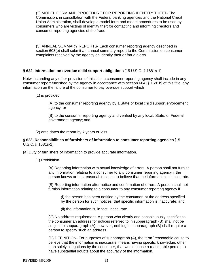(2) MODEL FORM AND PROCEDURE FOR REPORTING IDENTITY THEFT- The Commission, in consultation with the Federal banking agencies and the National Credit Union Administration, shall develop a model form and model procedures to be used by consumers who are victims of identity theft for contacting and informing creditors and consumer reporting agencies of the fraud.

(3) ANNUAL SUMMARY REPORTS- Each consumer reporting agency described in section 603(p) shall submit an annual summary report to the Commission on consumer complaints received by the agency on identity theft or fraud alerts.

# **§ 622. Information on overdue child support obligations** [15 U.S.C. § 1681s-1]

Notwithstanding any other provision of this title, a consumer reporting agency shall include in any consumer report furnished by the agency in accordance with section 604 [§ 1681b] of this title, any information on the failure of the consumer to pay overdue support which

(1) is provided

(A) to the consumer reporting agency by a State or local child support enforcement agency; or

(B) to the consumer reporting agency and verified by any local, State, or Federal government agency; and

(2) ante dates the report by 7 years or less.

### **§ 623. Responsibilities of furnishers of information to consumer reporting agencies** [15 U.S.C. § 1681s-2]

(a) Duty of furnishers of information to provide accurate information.

(1) Prohibition.

(A) Reporting information with actual knowledge of errors. A person shall not furnish any information relating to a consumer to any consumer reporting agency if the person knows or has reasonable cause to believe that the information is inaccurate.

(B) Reporting information after notice and confirmation of errors. A person shall not furnish information relating to a consumer to any consumer reporting agency if

(i) the person has been notified by the consumer, at the address specified by the person for such notices, that specific information is inaccurate; and

(ii) the information is, in fact, inaccurate.

(C) No address requirement. A person who clearly and conspicuously specifies to the consumer an address for notices referred to in subparagraph (B) shall not be subject to subparagraph (A); however, nothing in subparagraph (B) shall require a person to specify such an address.

(D) DEFINITION- For purposes of subparagraph (A), the term `reasonable cause to believe that the information is inaccurate' means having specific knowledge, other than solely allegations by the consumer, that would cause a reasonable person to have substantial doubts about the accuracy of the information.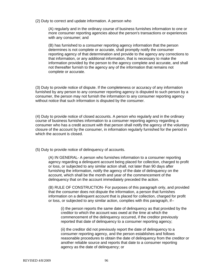(2) Duty to correct and update information. A person who

(A) regularly and in the ordinary course of business furnishes information to one or more consumer reporting agencies about the person's transactions or experiences with any consumer; and

(B) has furnished to a consumer reporting agency information that the person determines is not complete or accurate, shall promptly notify the consumer reporting agency of that determination and provide to the agency any corrections to that information, or any additional information, that is necessary to make the information provided by the person to the agency complete and accurate, and shall not thereafter furnish to the agency any of the information that remains not complete or accurate.

(3) Duty to provide notice of dispute. If the completeness or accuracy of any information furnished by any person to any consumer reporting agency is disputed to such person by a consumer, the person may not furnish the information to any consumer reporting agency without notice that such information is disputed by the consumer.

(4) Duty to provide notice of closed accounts. A person who regularly and in the ordinary course of business furnishes information to a consumer reporting agency regarding a consumer who has a credit account with that person shall notify the agency of the voluntary closure of the account by the consumer, in information regularly furnished for the period in which the account is closed.

(5) Duty to provide notice of delinquency of accounts.

(A) IN GENERAL- A person who furnishes information to a consumer reporting agency regarding a delinquent account being placed for collection, charged to profit or loss, or subjected to any similar action shall, not later than 90 days after furnishing the information, notify the agency of the date of delinquency on the account, which shall be the month and year of the commencement of the delinquency that on the account immediately preceded the action.

(B) RULE OF CONSTRUCTION- For purposes of this paragraph only, and provided that the consumer does not dispute the information, a person that furnishes information on a delinquent account that is placed for collection, charged for profit or loss, or subjected to any similar action, complies with this paragraph, if--

(i) the person reports the same date of delinquency as that provided by the creditor to which the account was owed at the time at which the commencement of the delinquency occurred, if the creditor previously reported that date of delinquency to a consumer reporting agency;

(ii) the creditor did not previously report the date of delinquency to a consumer reporting agency, and the person establishes and follows reasonable procedures to obtain the date of delinquency from the creditor or another reliable source and reports that date to a consumer reporting agency as the date of delinquency; or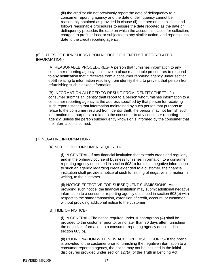(iii) the creditor did not previously report the date of delinquency to a consumer reporting agency and the date of delinquency cannot be reasonably obtained as provided in clause (ii), the person establishes and follows reasonable procedures to ensure the date reported as the date of delinquency precedes the date on which the account is placed for collection, charged to profit or loss, or subjected to any similar action, and reports such date to the credit reporting agency.

### (6) DUTIES OF FURNISHERS UPON NOTICE OF IDENTITY THEFT-RELATED INFORMATION-

(A) REASONABLE PROCEDURES- A person that furnishes information to any consumer reporting agency shall have in place reasonable procedures to respond to any notification that it receives from a consumer reporting agency under section 605B relating to information resulting from identity theft, to prevent that person from refurnishing such blocked information.

(B) INFORMATION ALLEGED TO RESULT FROM IDENTITY THEFT- If a consumer submits an identity theft report to a person who furnishes information to a consumer reporting agency at the address specified by that person for receiving such reports stating that information maintained by such person that purports to relate to the consumer resulted from identity theft, the person may not furnish such information that purports to relate to the consumer to any consumer reporting agency, unless the person subsequently knows or is informed by the consumer that the information is correct.

### (7) NEGATIVE INFORMATION-

### (A) NOTICE TO CONSUMER REQUIRED-

(i) IN GENERAL- If any financial institution that extends credit and regularly and in the ordinary course of business furnishes information to a consumer reporting agency described in section 603(p) furnishes negative information to such an agency regarding credit extended to a customer, the financial institution shall provide a notice of such furnishing of negative information, in writing, to the customer.

(ii) NOTICE EFFECTIVE FOR SUBSEQUENT SUBMISSIONS- After providing such notice, the financial institution may submit additional negative information to a consumer reporting agency described in section 603(p) with respect to the same transaction, extension of credit, account, or customer without providing additional notice to the customer.

### (B) TIME OF NOTICE-

(i) IN GENERAL- The notice required under subparagraph (A) shall be provided to the customer prior to, or no later than 30 days after, furnishing the negative information to a consumer reporting agency described in section 603(p).

(ii) COORDINATION WITH NEW ACCOUNT DISCLOSURES- If the notice is provided to the customer prior to furnishing the negative information to a consumer reporting agency, the notice may not be included in the initial disclosures provided under section 127(a) of the Truth in Lending Act.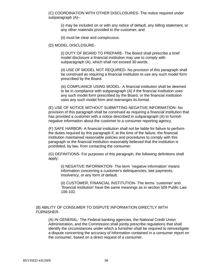(C) COORDINATION WITH OTHER DISCLOSURES- The notice required under subparagraph (A)--

(i) may be included on or with any notice of default, any billing statement, or any other materials provided to the customer; and

(ii) must be clear and conspicuous.

#### (D) MODEL DISCLOSURE-

(i) DUTY OF BOARD TO PREPARE- The Board shall prescribe a brief model disclosure a financial institution may use to comply with subparagraph (A), which shall not exceed 30 words.

(ii) USE OF MODEL NOT REQUIRED- No provision of this paragraph shall be construed as requiring a financial institution to use any such model form prescribed by the Board.

(iii) COMPLIANCE USING MODEL- A financial institution shall be deemed to be in compliance with subparagraph (A) if the financial institution uses any such model form prescribed by the Board, or the financial institution uses any such model form and rearranges its format.

(E) USE OF NOTICE WITHOUT SUBMITTING NEGATIVE INFORMATION- No provision of this paragraph shall be construed as requiring a financial institution that has provided a customer with a notice described in subparagraph (A) to furnish negative information about the customer to a consumer reporting agency.

(F) SAFE HARBOR- A financial institution shall not be liable for failure to perform the duties required by this paragraph if, at the time of the failure, the financial institution maintained reasonable policies and procedures to comply with this paragraph or the financial institution reasonably believed that the institution is prohibited, by law, from contacting the consumer.

(G) DEFINITIONS- For purposes of this paragraph, the following definitions shall apply:

(i) NEGATIVE INFORMATION- The term `negative information' means information concerning a customer's delinquencies, late payments, insolvency, or any form of default.

(ii) CUSTOMER; FINANCIAL INSTITUTION- The terms `customer' and `financial institution' have the same meanings as in section 509 Public Law 106-102.

### (8) ABILITY OF CONSUMER TO DISPUTE INFORMATION DIRECTLY WITH FURNISHER-

(A) IN GENERAL- The Federal banking agencies, the National Credit Union Administration, and the Commission shall jointly prescribe regulations that shall identify the circumstances under which a furnisher shall be required to reinvestigate a dispute concerning the accuracy of information contained in a consumer report on the consumer, based on a direct request of a consumer.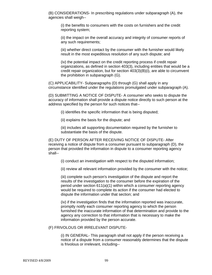(B) CONSIDERATIONS- In prescribing regulations under subparagraph (A), the agencies shall weigh--

(i) the benefits to consumers with the costs on furnishers and the credit reporting system;

(ii) the impact on the overall accuracy and integrity of consumer reports of any such requirements;

(iii) whether direct contact by the consumer with the furnisher would likely result in the most expeditious resolution of any such dispute; and

(iv) the potential impact on the credit reporting process if credit repair organizations, as defined in section 403(3), including entities that would be a credit repair organization, but for section 403(3)(B)(i), are able to circumvent the prohibition in subparagraph (G).

(C) APPLICABILITY- Subparagraphs (D) through (G) shall apply in any circumstance identified under the regulations promulgated under subparagraph (A).

(D) SUBMITTING A NOTICE OF DISPUTE- A consumer who seeks to dispute the accuracy of information shall provide a dispute notice directly to such person at the address specified by the person for such notices that--

(i) identifies the specific information that is being disputed;

(ii) explains the basis for the dispute; and

(iii) includes all supporting documentation required by the furnisher to substantiate the basis of the dispute.

(E) DUTY OF PERSON AFTER RECEIVING NOTICE OF DISPUTE- After receiving a notice of dispute from a consumer pursuant to subparagraph (D), the person that provided the information in dispute to a consumer reporting agency shall--

(i) conduct an investigation with respect to the disputed information;

(ii) review all relevant information provided by the consumer with the notice;

(iii) complete such person's investigation of the dispute and report the results of the investigation to the consumer before the expiration of the period under section 611(a)(1) within which a consumer reporting agency would be required to complete its action if the consumer had elected to dispute the information under that section; and

(iv) if the investigation finds that the information reported was inaccurate, promptly notify each consumer reporting agency to which the person furnished the inaccurate information of that determination and provide to the agency any correction to that information that is necessary to make the information provided by the person accurate.

(F) FRIVOLOUS OR IRRELEVANT DISPUTE-

(i) IN GENERAL- This paragraph shall not apply if the person receiving a notice of a dispute from a consumer reasonably determines that the dispute is frivolous or irrelevant, including--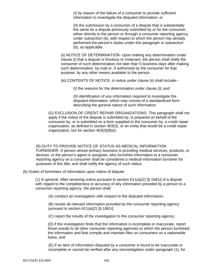(I) by reason of the failure of a consumer to provide sufficient information to investigate the disputed information; or

(II) the submission by a consumer of a dispute that is substantially the same as a dispute previously submitted by or for the consumer, either directly to the person or through a consumer reporting agency under subsection (b), with respect to which the person has already performed the person's duties under this paragraph or subsection (b), as applicable.

(ii) NOTICE OF DETERMINATION- Upon making any determination under clause (i) that a dispute is frivolous or irrelevant, the person shall notify the consumer of such determination not later than 5 business days after making such determination, by mail or, if authorized by the consumer for that purpose, by any other means available to the person.

(iii) CONTENTS OF NOTICE- A notice under clause (ii) shall include--

(I) the reasons for the determination under clause (i); and

(II) identification of any information required to investigate the disputed information, which may consist of a standardized form describing the general nature of such information.

(G) EXCLUSION OF CREDIT REPAIR ORGANIZATIONS- This paragraph shall not apply if the notice of the dispute is submitted by, is prepared on behalf of the consumer by, or is submitted on a form supplied to the consumer by, a credit repair organization, as defined in section 403(3), or an entity that would be a credit repair organization, but for section 403(3)(B)(i).

(9) DUTY TO PROVIDE NOTICE OF STATUS AS MEDICAL INFORMATION FURNISHER- A person whose primary business is providing medical services, products, or devices, or the person's agent or assignee, who furnishes information to a consumer reporting agency on a consumer shall be considered a medical information furnisher for purposes of this title, and shall notify the agency of such status.

(b) Duties of furnishers of information upon notice of dispute.

(1) In general. After receiving notice pursuant to section 611(a)(2) [§ 1681i] of a dispute with regard to the completeness or accuracy of any information provided by a person to a consumer reporting agency, the person shall

(A) conduct an investigation with respect to the disputed information;

(B) review all relevant information provided by the consumer reporting agency pursuant to section 611(a)(2) [§ 1681i];

(C) report the results of the investigation to the consumer reporting agency;

(D) if the investigation finds that the information is incomplete or inaccurate, report those results to all other consumer reporting agencies to which the person furnished the information and that compile and maintain files on consumers on a nationwide basis; and

(E) if an item of information disputed by a consumer is found to be inaccurate or incomplete or cannot be verified after any reinvestigation under paragraph (1), for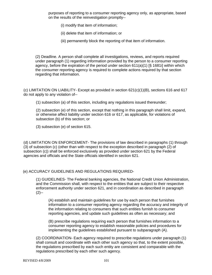purposes of reporting to a consumer reporting agency only, as appropriate, based on the results of the reinvestigation promptly--

- (i) modify that item of information;
- (ii) delete that item of information; or
- (iii) permanently block the reporting of that item of information.

(2) Deadline. A person shall complete all investigations, reviews, and reports required under paragraph (1) regarding information provided by the person to a consumer reporting agency, before the expiration of the period under section 611(a)(1) [§ 1681i] within which the consumer reporting agency is required to complete actions required by that section regarding that information.

(c) LIMITATION ON LIABILITY- Except as provided in section 621(c)(1)(B), sections 616 and 617 do not apply to any violation of--

(1) subsection (a) of this section, including any regulations issued thereunder;

(2) subsection (e) of this section, except that nothing in this paragraph shall limit, expand, or otherwise affect liability under section 616 or 617, as applicable, for violations of subsection (b) of this section; or

(3) subsection (e) of section 615.

(d) LIMITATION ON ENFORCEMENT- The provisions of law described in paragraphs (1) through (3) of subsection (c) (other than with respect to the exception described in paragraph (2) of subsection (c)) shall be enforced exclusively as provided under section 621 by the Federal agencies and officials and the State officials identified in section 621.

### (e) ACCURACY GUIDELINES AND REGULATIONS REQUIRED-

(1) GUIDELINES- The Federal banking agencies, the National Credit Union Administration, and the Commission shall, with respect to the entities that are subject to their respective enforcement authority under section 621, and in coordination as described in paragraph (2)--

(A) establish and maintain guidelines for use by each person that furnishes information to a consumer reporting agency regarding the accuracy and integrity of the information relating to consumers that such entities furnish to consumer reporting agencies, and update such guidelines as often as necessary; and

(B) prescribe regulations requiring each person that furnishes information to a consumer reporting agency to establish reasonable policies and procedures for implementing the guidelines established pursuant to subparagraph (A).

(2) COORDINATION- Each agency required to prescribe regulations under paragraph (1) shall consult and coordinate with each other such agency so that, to the extent possible, the regulations prescribed by each such entity are consistent and comparable with the regulations prescribed by each other such agency.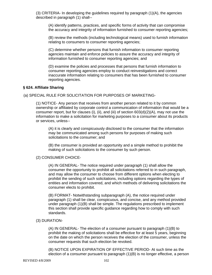(3) CRITERIA- In developing the guidelines required by paragraph (1)(A), the agencies described in paragraph (1) shall--

(A) identify patterns, practices, and specific forms of activity that can compromise the accuracy and integrity of information furnished to consumer reporting agencies;

(B) review the methods (including technological means) used to furnish information relating to consumers to consumer reporting agencies;

(C) determine whether persons that furnish information to consumer reporting agencies maintain and enforce policies to assure the accuracy and integrity of information furnished to consumer reporting agencies; and

(D) examine the policies and processes that persons that furnish information to consumer reporting agencies employ to conduct reinvestigations and correct inaccurate information relating to consumers that has been furnished to consumer reporting agencies.

### **§ 624. Affiliate Sharing**

(a) SPECIAL RULE FOR SOLICITATION FOR PURPOSES OF MARKETING-

(1) NOTICE- Any person that receives from another person related to it by common ownership or affiliated by corporate control a communication of information that would be a consumer report, but for clauses (i), (ii), and (iii) of section 603(d)(2)(A), may not use the information to make a solicitation for marketing purposes to a consumer about its products or services, unless--

(A) it is clearly and conspicuously disclosed to the consumer that the information may be communicated among such persons for purposes of making such solicitations to the consumer; and

(B) the consumer is provided an opportunity and a simple method to prohibit the making of such solicitations to the consumer by such person.

### (2) CONSUMER CHOICE-

(A) IN GENERAL- The notice required under paragraph (1) shall allow the consumer the opportunity to prohibit all solicitations referred to in such paragraph, and may allow the consumer to choose from different options when electing to prohibit the sending of such solicitations, including options regarding the types of entities and information covered, and which methods of delivering solicitations the consumer elects to prohibit.

(B) FORMAT- Notwithstanding subparagraph (A), the notice required under paragraph (1) shall be clear, conspicuous, and concise, and any method provided under paragraph (1)(B) shall be simple. The regulations prescribed to implement this section shall provide specific guidance regarding how to comply with such standards.

#### (3) DURATION-

(A) IN GENERAL- The election of a consumer pursuant to paragraph (1)(B) to prohibit the making of solicitations shall be effective for at least 5 years, beginning on the date on which the person receives the election of the consumer, unless the consumer requests that such election be revoked.

(B) NOTICE UPON EXPIRATION OF EFFECTIVE PERIOD- At such time as the election of a consumer pursuant to paragraph (1)(B) is no longer effective, a person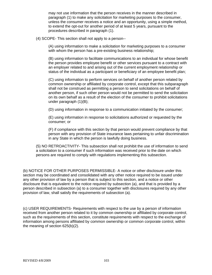may not use information that the person receives in the manner described in paragraph (1) to make any solicitation for marketing purposes to the consumer, unless the consumer receives a notice and an opportunity, using a simple method, to extend the opt-out for another period of at least 5 years, pursuant to the procedures described in paragraph (1).

(4) SCOPE- This section shall not apply to a person--

(A) using information to make a solicitation for marketing purposes to a consumer with whom the person has a pre-existing business relationship;

(B) using information to facilitate communications to an individual for whose benefit the person provides employee benefit or other services pursuant to a contract with an employer related to and arising out of the current employment relationship or status of the individual as a participant or beneficiary of an employee benefit plan;

(C) using information to perform services on behalf of another person related by common ownership or affiliated by corporate control, except that this subparagraph shall not be construed as permitting a person to send solicitations on behalf of another person, if such other person would not be permitted to send the solicitation on its own behalf as a result of the election of the consumer to prohibit solicitations under paragraph (1)(B);

(D) using information in response to a communication initiated by the consumer;

(E) using information in response to solicitations authorized or requested by the consumer; or

(F) if compliance with this section by that person would prevent compliance by that person with any provision of State insurance laws pertaining to unfair discrimination in any State in which the person is lawfully doing business.

(5) NO RETROACTIVITY- This subsection shall not prohibit the use of information to send a solicitation to a consumer if such information was received prior to the date on which persons are required to comply with regulations implementing this subsection.

(b) NOTICE FOR OTHER PURPOSES PERMISSIBLE- A notice or other disclosure under this section may be coordinated and consolidated with any other notice required to be issued under any other provision of law by a person that is subject to this section, and a notice or other disclosure that is equivalent to the notice required by subsection (a), and that is provided by a person described in subsection (a) to a consumer together with disclosures required by any other provision of law, shall satisfy the requirements of subsection (a).

(c) USER REQUIREMENTS- Requirements with respect to the use by a person of information received from another person related to it by common ownership or affiliated by corporate control, such as the requirements of this section, constitute requirements with respect to the exchange of information among persons affiliated by common ownership or common corporate control, within the meaning of section 625(b)(2).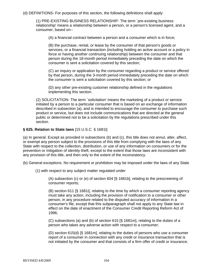(d) DEFINITIONS- For purposes of this section, the following definitions shall apply:

(1) PRE-EXISTING BUSINESS RELATIONSHIP- The term `pre-existing business relationship' means a relationship between a person, or a person's licensed agent, and a consumer, based on--

(A) a financial contract between a person and a consumer which is in force;

(B) the purchase, rental, or lease by the consumer of that person's goods or services, or a financial transaction (including holding an active account or a policy in force or having another continuing relationship) between the consumer and that person during the 18-month period immediately preceding the date on which the consumer is sent a solicitation covered by this section;

(C) an inquiry or application by the consumer regarding a product or service offered by that person, during the 3-month period immediately preceding the date on which the consumer is sent a solicitation covered by this section; or

(D) any other pre-existing customer relationship defined in the regulations implementing this section.

(2) SOLICITATION- The term `solicitation' means the marketing of a product or service initiated by a person to a particular consumer that is based on an exchange of information described in subsection (a), and is intended to encourage the consumer to purchase such product or service, but does not include communications that are directed at the general public or determined not to be a solicitation by the regulations prescribed under this section.

### **§ 625. Relation to State laws** [15 U.S.C. § 1681t]

(a) In general. Except as provided in subsections (b) and (c), this title does not annul, alter, affect, or exempt any person subject to the provisions of this title from complying with the laws of any State with respect to the collection, distribution, or use of any information on consumers or for the prevention or mitigation of identity theft, except to the extent that those laws are inconsistent with any provision of this title, and then only to the extent of the inconsistency.

(b) General exceptions. No requirement or prohibition may be imposed under the laws of any State

(1) with respect to any subject matter regulated under

(A) subsection (c) or (e) of section 604 [§ 1681b], relating to the prescreening of consumer reports;

(B) section 611 [§ 1681i], relating to the time by which a consumer reporting agency must take any action, including the provision of notification to a consumer or other person, in any procedure related to the disputed accuracy of information in a consumer's file, except that this subparagraph shall not apply to any State law in effect on the date of enactment of the Consumer Credit Reporting Reform Act of 1996;

(C) subsections (a) and (b) of section 615 [§ 1681m], relating to the duties of a person who takes any adverse action with respect to a consumer;

(D) section 615(d) [§ 1681m], relating to the duties of persons who use a consumer report of a consumer in connection with any credit or insurance transaction that is not initiated by the consumer and that consists of a firm offer of credit or insurance;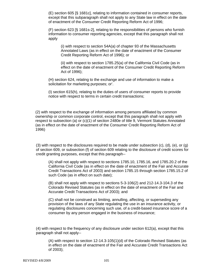(E) section 605 [§ 1681c], relating to information contained in consumer reports, except that this subparagraph shall not apply to any State law in effect on the date of enactment of the Consumer Credit Reporting Reform Act of 1996;

(F) section 623 [§ 1681s-2], relating to the responsibilities of persons who furnish information to consumer reporting agencies, except that this paragraph shall not apply

(i) with respect to section 54A(a) of chapter 93 of the Massachusetts Annotated Laws (as in effect on the date of enactment of the Consumer Credit Reporting Reform Act of 1996); or

(ii) with respect to section 1785.25(a) of the California Civil Code (as in effect on the date of enactment of the Consumer Credit Reporting Reform Act of 1996);

(H) section 624, relating to the exchange and use of information to make a solicitation for marketing purposes; or'.

(I) section 615(h), relating to the duties of users of consumer reports to provide notice with respect to terms in certain credit transactions;

(2) with respect to the exchange of information among persons affiliated by common ownership or common corporate control, except that this paragraph shall not apply with respect to subsection (a) or (c)(1) of section 2480e of title 9, Vermont Statutes Annotated (as in effect on the date of enactment of the Consumer Credit Reporting Reform Act of 1996)

(3) with respect to the disclosures required to be made under subsection  $(c)$ ,  $(d)$ ,  $(e)$ , or  $(q)$ of section 609, or subsection (f) of section 609 relating to the disclosure of credit scores for credit granting purposes, except that this paragraph--

(A) shall not apply with respect to sections 1785.10, 1785.16, and 1785.20.2 of the California Civil Code (as in effect on the date of enactment of the Fair and Accurate Credit Transactions Act of 2003) and section 1785.15 through section 1785.15.2 of such Code (as in effect on such date);

(B) shall not apply with respect to sections 5-3-106(2) and 212-14.3-104.3 of the Colorado Revised Statutes (as in effect on the date of enactment of the Fair and Accurate Credit Transactions Act of 2003); and

(C) shall not be construed as limiting, annulling, affecting, or superseding any provision of the laws of any State regulating the use in an insurance activity, or regulating disclosures concerning such use, of a credit-based insurance score of a consumer by any person engaged in the business of insurance;

(4) with respect to the frequency of any disclosure under section 612(a), except that this paragraph shall not apply--

(A) with respect to section 12-14.3-105(1)(d) of the Colorado Revised Statutes (as in effect on the date of enactment of the Fair and Accurate Credit Transactions Act of 2003);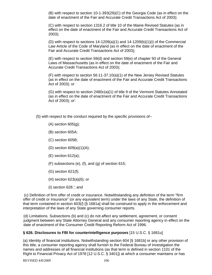(B) with respect to section 10-1-393(29)(C) of the Georgia Code (as in effect on the date of enactment of the Fair and Accurate Credit Transactions Act of 2003);

(C) with respect to section 1316.2 of title 10 of the Maine Revised Statutes (as in effect on the date of enactment of the Fair and Accurate Credit Transactions Act of 2003);

(D) with respect to sections  $14-1209(a)(1)$  and  $14-1209(b)(1)(i)$  of the Commercial Law Article of the Code of Maryland (as in effect on the date of enactment of the Fair and Accurate Credit Transactions Act of 2003);

(E) with respect to section 59(d) and section 59(e) of chapter 93 of the General Laws of Massachusetts (as in effect on the date of enactment of the Fair and Accurate Credit Transactions Act of 2003);

(F) with respect to section 56:11-37.10(a)(1) of the New Jersey Revised Statutes (as in effect on the date of enactment of the Fair and Accurate Credit Transactions Act of 2003); or

(G) with respect to section 2480c(a)(1) of title 9 of the Vermont Statutes Annotated (as in effect on the date of enactment of the Fair and Accurate Credit Transactions Act of 2003); or'.

(5) with respect to the conduct required by the specific provisions of--

- (A) section 605(g);
- (B) section 605A;
- (C) section 605B;
- (D) section 609(a)(1)(A);
- $(E)$  section 612(a);
- (F) subsections (e), (f), and (g) of section 615;
- (G) section 621(f);
- (H) section 623(a)(6); or
- (I) section 628.'; and

 (c) Definition of firm offer of credit or insurance. Notwithstanding any definition of the term "firm offer of credit or insurance" (or any equivalent term) under the laws of any State, the definition of that term contained in section 603(*l*) [§ 1681a] shall be construed to apply in the enforcement and interpretation of the laws of any State governing consumer reports.

(d) Limitations. Subsections (b) and (c) do not affect any settlement, agreement, or consent judgment between any State Attorney General and any consumer reporting agency in effect on the date of enactment of the Consumer Credit Reporting Reform Act of 1996.

### **§ 626. Disclosures to FBI for counterintelligence purposes** [15 U.S.C. § 1681u]

(a) Identity of financial institutions. Notwithstanding section 604 [§ 1681b] or any other provision of this title, a consumer reporting agency shall furnish to the Federal Bureau of Investigation the names and addresses of all financial institutions (as that term is defined in section 1101 of the Right to Financial Privacy Act of 1978 [12 U.S.C. § 3401]) at which a consumer maintains or has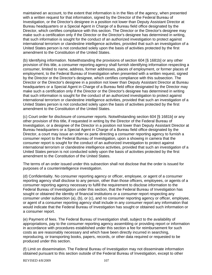maintained an account, to the extent that information is in the files of the agency, when presented with a written request for that information, signed by the Director of the Federal Bureau of Investigation, or the Director's designee in a position not lower than Deputy Assistant Director at Bureau headquarters or a Special Agent in Charge of a Bureau field office designated by the Director, which certifies compliance with this section. The Director or the Director's designee may make such a certification only if the Director or the Director's designee has determined in writing, that such information is sought for the conduct of an authorized investigation to protect against international terrorism or clandestine intelligence activities, provided that such an investigation of a United States person is not conducted solely upon the basis of activities protected by the first amendment to the Constitution of the United States.

(b) Identifying information. Notwithstanding the provisions of section 604 [§ 1681b] or any other provision of this title, a consumer reporting agency shall furnish identifying information respecting a consumer, limited to name, address, former addresses, places of employment, or former places of employment, to the Federal Bureau of Investigation when presented with a written request, signed by the Director or the Director's designee, which certifies compliance with this subsection. The Director or the Director's designee in a position not lower than Deputy Assistant Director at Bureau headquarters or a Special Agent in Charge of a Bureau field office designated by the Director may make such a certification only if the Director or the Director's designee has determined in writing that such information is sought for the conduct of an authorized investigation to protect against international terrorism or clandestine intelligence activities, provided that such an investigation of a United States person is not conducted solely upon the basis of activities protected by the first amendment to the Constitution of the United States.

(c) Court order for disclosure of consumer reports. Notwithstanding section 604 [§ 1681b] or any other provision of this title, if requested in writing by the Director of the Federal Bureau of Investigation, or a designee of the Director in a position not lower than Deputy Assistant Director at Bureau headquarters or a Special Agent in Charge of a Bureau field office designated by the Director, a court may issue an order ex parte directing a consumer reporting agency to furnish a consumer report to the Federal Bureau of Investigation, upon a showing in camera that the consumer report is sought for the conduct of an authorized investigation to protect against international terrorism or clandestine intelligence activities, provided that such an investigation of a United States person is not conducted solely upon the basis of activities protected by the first amendment to the Constitution of the United States.

The terms of an order issued under this subsection shall not disclose that the order is issued for purposes of a counterintelligence investigation.

(d) Confidentiality. No consumer reporting agency or officer, employee, or agent of a consumer reporting agency shall disclose to any person, other than those officers, employees, or agents of a consumer reporting agency necessary to fulfill the requirement to disclose information to the Federal Bureau of Investigation under this section, that the Federal Bureau of Investigation has sought or obtained the identity of financial institutions or a consumer report respecting any consumer under subsection (a), (b), or (c), and no consumer reporting agency or officer, employee, or agent of a consumer reporting agency shall include in any consumer report any information that would indicate that the Federal Bureau of Investigation has sought or obtained such information or a consumer report.

(e) Payment of fees. The Federal Bureau of Investigation shall, subject to the availability of appropriations, pay to the consumer reporting agency assembling or providing report or information in accordance with procedures established under this section a fee for reimbursement for such costs as are reasonably necessary and which have been directly incurred in searching, reproducing, or transporting books, papers, records, or other data required or requested to be produced under this section.

(f) Limit on dissemination. The Federal Bureau of Investigation may not disseminate information obtained pursuant to this section outside of the Federal Bureau of Investigation, except to other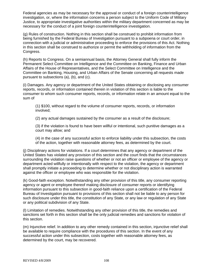Federal agencies as may be necessary for the approval or conduct of a foreign counterintelligence investigation, or, where the information concerns a person subject to the Uniform Code of Military Justice, to appropriate investigative authorities within the military department concerned as may be necessary for the conduct of a joint foreign counterintelligence investigation.

(g) Rules of construction. Nothing in this section shall be construed to prohibit information from being furnished by the Federal Bureau of Investigation pursuant to a subpoena or court order, in connection with a judicial or administrative proceeding to enforce the provisions of this Act. Nothing in this section shall be construed to authorize or permit the withholding of information from the Congress.

(h) Reports to Congress. On a semiannual basis, the Attorney General shall fully inform the Permanent Select Committee on Intelligence and the Committee on Banking, Finance and Urban Affairs of the House of Representatives, and the Select Committee on Intelligence and the Committee on Banking, Housing, and Urban Affairs of the Senate concerning all requests made pursuant to subsections (a), (b), and (c).

(i) Damages. Any agency or department of the United States obtaining or disclosing any consumer reports, records, or information contained therein in violation of this section is liable to the consumer to whom such consumer reports, records, or information relate in an amount equal to the sum of

(1) \$100, without regard to the volume of consumer reports, records, or information involved;

(2) any actual damages sustained by the consumer as a result of the disclosure;

(3) if the violation is found to have been willful or intentional, such punitive damages as a court may allow; and

(4) in the case of any successful action to enforce liability under this subsection, the costs of the action, together with reasonable attorney fees, as determined by the court.

(j) Disciplinary actions for violations. If a court determines that any agency or department of the United States has violated any provision of this section and the court finds that the circumstances surrounding the violation raise questions of whether or not an officer or employee of the agency or department acted willfully or intentionally with respect to the violation, the agency or department shall promptly initiate a proceeding to determine whether or not disciplinary action is warranted against the officer or employee who was responsible for the violation.

(k) Good-faith exception. Notwithstanding any other provision of this title, any consumer reporting agency or agent or employee thereof making disclosure of consumer reports or identifying information pursuant to this subsection in good-faith reliance upon a certification of the Federal Bureau of Investigation pursuant to provisions of this section shall not be liable to any person for such disclosure under this title, the constitution of any State, or any law or regulation of any State or any political subdivision of any State.

(l) Limitation of remedies. Notwithstanding any other provision of this title, the remedies and sanctions set forth in this section shall be the only judicial remedies and sanctions for violation of this section.

(m) Injunctive relief. In addition to any other remedy contained in this section, injunctive relief shall be available to require compliance with the procedures of this section. In the event of any successful action under this subsection, costs together with reasonable attorney fees, as determined by the court, may be recovered.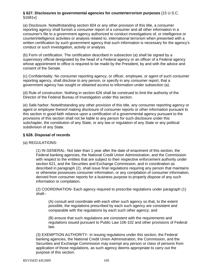#### **§ 627. Disclosures to governmental agencies for counterterrorism purposes** [15 U.S.C. §1681v]

(a) Disclosure. Notwithstanding section 604 or any other provision of this title, a consumer reporting agency shall furnish a consumer report of a consumer and all other information in a consumer's file to a government agency authorized to conduct investigations of, or intelligence or counterintelligence activities or analysis related to, international terrorism when presented with a written certification by such government agency that such information is necessary for the agency's conduct or such investigation, activity or analysis.

(b) Form of certification. The certification described in subsection (a) shall be signed by a supervisory official designated by the head of a Federal agency or an officer of a Federal agency whose appointment to office is required to be made by the President, by and with the advice and consent of the Senate.

(c) Confidentiality. No consumer reporting agency, or officer, employee, or agent of such consumer reporting agency, shall disclose to any person, or specify in any consumer report, that a government agency has sought or obtained access to information under subsection (a).

(d) Rule of construction. Nothing in section 626 shall be construed to limit the authority of the Director of the Federal Bureau of Investigation under this section.

(e) Safe harbor. Notwithstanding any other provision of this title, any consumer reporting agency or agent or employee thereof making disclosure of consumer reports or other information pursuant to this section in good-faith reliance upon a certification of a governmental agency pursuant to the provisions of this section shall not be liable to any person for such disclosure under this subchapter, the constitution of any State, or any law or regulation of any State or any political subdivision of any State.

#### **§ 628. Disposal of records**

(a) REGULATIONS-

(1) IN GENERAL- Not later than 1 year after the date of enactment of this section, the Federal banking agencies, the National Credit Union Administration, and the Commission with respect to the entities that are subject to their respective enforcement authority under section 621, and the Securities and Exchange Commission, and in coordination as described in paragraph (2), shall issue final regulations requiring any person that maintains or otherwise possesses consumer information, or any compilation of consumer information, derived from consumer reports for a business purpose to properly dispose of any such information or compilation.

(2) COORDINATION- Each agency required to prescribe regulations under paragraph (1) shall--

(A) consult and coordinate with each other such agency so that, to the extent possible, the regulations prescribed by each such agency are consistent and comparable with the regulations by each such other agency; and

(B) ensure that such regulations are consistent with the requirements and regulations issued pursuant to Public Law 106-102 and other provisions of Federal law.

(3) EXEMPTION AUTHORITY- In issuing regulations under this section, the Federal banking agencies, the National Credit Union Administration, the Commission, and the Securities and Exchange Commission may exempt any person or class of persons from application of those regulations, as such agency deems appropriate to carry out the purpose of this section.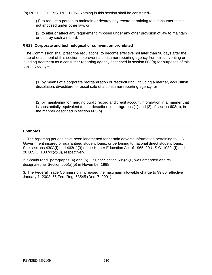(b) RULE OF CONSTRUCTION- Nothing in this section shall be construed--

(1) to require a person to maintain or destroy any record pertaining to a consumer that is not imposed under other law; or

(2) to alter or affect any requirement imposed under any other provision of law to maintain or destroy such a record.

#### **§ 629. Corporate and technological circumvention prohibited**

`The Commission shall prescribe regulations, to become effective not later than 90 days after the date of enactment of this section, to prevent a consumer reporting agency from circumventing or evading treatment as a consumer reporting agency described in section 603(p) for purposes of this title, including--

(1) by means of a corporate reorganization or restructuring, including a merger, acquisition, dissolution, divestiture, or asset sale of a consumer reporting agency; or

(2) by maintaining or merging public record and credit account information in a manner that is substantially equivalent to that described in paragraphs (1) and (2) of section 603(p), in the manner described in section 603(p).

#### **Endnotes:**

1. The reporting periods have been lengthened for certain adverse information pertaining to U.S. Government insured or guaranteed student loans, or pertaining to national direct student loans. See sections 430A(f) and 463(c)(3) of the Higher Education Act of 1965, 20 U.S.C. 1080a(f) and 20 U.S.C. 1087cc(c)(3), respectively.

2. Should read "paragraphs (4) and (5)...." Prior Section 605(a)(6) was amended and redesignated as Section 605(a)(5) in November 1998.

3. The Federal Trade Commission increased the maximum allowable charge to \$9.00, effective January 1, 2002. 66 Fed. Reg. 63545 (Dec. 7, 2001).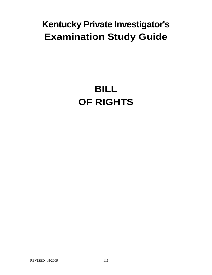# **Kentucky Private Investigator's Examination Study Guide**

# **BILL OF RIGHTS**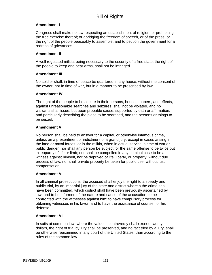#### **Amendment I**

Congress shall make no law respecting an establishment of religion, or prohibiting the free exercise thereof; or abridging the freedom of speech, or of the press; or the right of the people peaceably to assemble, and to petition the government for a redress of grievances.

#### **Amendment II**

A well regulated militia, being necessary to the security of a free state, the right of the people to keep and bear arms, shall not be infringed.

#### **Amendment III**

No soldier shall, in time of peace be quartered in any house, without the consent of the owner, nor in time of war, but in a manner to be prescribed by law.

#### **Amendment IV**

The right of the people to be secure in their persons, houses, papers, and effects, against unreasonable searches and seizures, shall not be violated, and no warrants shall issue, but upon probable cause, supported by oath or affirmation, and particularly describing the place to be searched, and the persons or things to be seized.

#### **Amendment V**

No person shall be held to answer for a capital, or otherwise infamous crime, unless on a presentment or indictment of a grand jury, except in cases arising in the land or naval forces, or in the militia, when in actual service in time of war or public danger; nor shall any person be subject for the same offense to be twice put in jeopardy of life or limb; nor shall be compelled in any criminal case to be a witness against himself, nor be deprived of life, liberty, or property, without due process of law; nor shall private property be taken for public use, without just compensation.

#### **Amendment VI**

In all criminal prosecutions, the accused shall enjoy the right to a speedy and public trial, by an impartial jury of the state and district wherein the crime shall have been committed, which district shall have been previously ascertained by law, and to be informed of the nature and cause of the accusation; to be confronted with the witnesses against him; to have compulsory process for obtaining witnesses in his favor, and to have the assistance of counsel for his defense.

#### **Amendment VII**

In suits at common law, where the value in controversy shall exceed twenty dollars, the right of trial by jury shall be preserved, and no fact tried by a jury, shall be otherwise reexamined in any court of the United States, than according to the rules of the common law.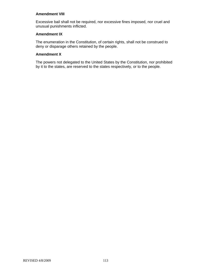#### **Amendment VIII**

Excessive bail shall not be required, nor excessive fines imposed, nor cruel and unusual punishments inflicted.

#### **Amendment IX**

The enumeration in the Constitution, of certain rights, shall not be construed to deny or disparage others retained by the people.

#### **Amendment X**

The powers not delegated to the United States by the Constitution, nor prohibited by it to the states, are reserved to the states respectively, or to the people.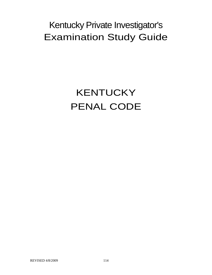# Kentucky Private Investigator's Examination Study Guide

# KENTUCKY PENAL CODE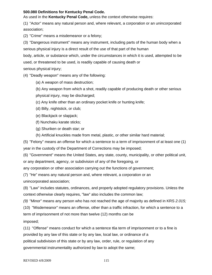#### **500.080 Definitions for Kentucky Penal Code.**

As used in the **Kentucky Penal Code,** unless the context otherwise requires:

(1) "Actor" means any natural person and, where relevant, a corporation or an unincorporated association;

(2) "Crime" means a misdemeanor or a felony;

(3) "Dangerous instrument" means any instrument, including parts of the human body when a serious physical injury is a direct result of the use of that part of the human

body, article, or substance which, under the circumstances in which it is used, attempted to be used, or threatened to be used, is readily capable of causing death or

serious physical injury;

(4) "Deadly weapon" means any of the following:

(a) A weapon of mass destruction;

(b) Any weapon from which a shot, readily capable of producing death or other serious physical injury, may be discharged;

(c) Any knife other than an ordinary pocket knife or hunting knife;

(d) Billy, nightstick, or club;

(e) Blackjack or slapjack;

(f) Nunchaku karate sticks;

(g) Shuriken or death star; or

(h) Artificial knuckles made from metal, plastic, or other similar hard material;

(5) "Felony" means an offense for which a sentence to a term of imprisonment of at least one (1) year in the custody of the Department of Corrections may be imposed;

(6) "Government" means the United States, any state, county, municipality, or other political unit, or any department, agency, or subdivision of any of the foregoing, or

any corporation or other association carrying out the functions of government;

(7) "He" means any natural person and, where relevant, a corporation or an unincorporated association;

(8) "Law" includes statutes, ordinances, and properly adopted regulatory provisions. Unless the context otherwise clearly requires, "law" also includes the common law;

*(9)* "Minor" means any person who has not reached the age of majority as defined in KRS *2.015;* 

(10) "Misdemeanor" means an offense, other than a traffic infraction, for which a sentence to a term of imprisonment of not more than twelve (12) months can be

imposed;

(11) "Offense" means conduct for which a sentence t6a term of imprisonment or to a fine is provided by any law of this state or by any law, local law, or ordinance of a political subdivision of this state or by any law, order, rule, or regulation of any governmental instrumentality authorized by law to adopt the same;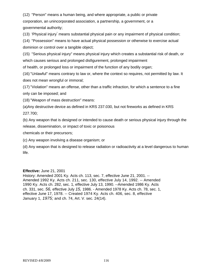(12) "Person" means a human being, and where appropriate, a public or private corporation, an unincorporated association, a partnership, a government, or a governmental authority;

(13) 'Physical injury" means substantial physical pain or any impairment of physical condition;

(14) "Possession" means to have actual physical possession or otherwise to exercise actual dominion or control over a tangible object;

(15) "Serious physical injury" means physical injury which creates a substantial risk of death, or which causes serious and prolonged disfigurement, prolonged impairment

of health, or prolonged loss or impairment of the function of any bodily organ;

(16) "Unlawful" means contrary to law or, where the context so requires, not permitted by law. It does not mean wrongful or immoral;

(17) "Violation" means an offense, other than a traffic infraction, for which a sentence to a fine only can be imposed; and

(18) "Weapon of mass destruction" means:

(a)Any destructive device as defined in KRS 237.030, but not fireworks as defined in KRS 227.700;

(b) Any weapon that is designed or intended to cause death or serious physical injury through the

release, dissemination, or impact of toxic or poisonous

chemicals or their precursors;

(c) Any weapon involving a disease organism; or

(d) Any weapon that is designed to release radiation or radioactivity at a level dangerous to human life.

#### **Effective:** June 21, 2001

History: Amended 2001 Ky. Acts ch. 113, sec. 7, effective June 21, 2001. -- Amended 1992 Ky. Acts ch. 211, sec. 130, effective July 14, 1992. -- Amended 1990 Ky. Acts ch. 282, sec. 1, effective July 13, 1990. --Amended 1986 Ky. Acts ch. 331, sec. *56,* effective July *15,* 1986. - Amended 1978 Ky. Acts ch. 78, sec. 1, effective June 17, 1978. -- Created 1974 Ky. Acts ch. 406, sec. 8, effective January 1, *1975;* and ch. 74, Art. V. sec. 24(14).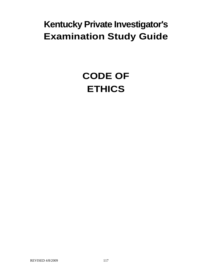# **Kentucky Private Investigator's Examination Study Guide**

# **CODE OF ETHICS**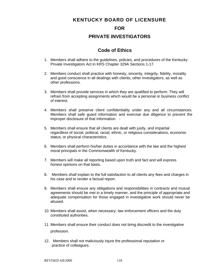### **KENTUCKY BOARD OF LICENSURE**

### **FOR**

### **PRIVATE INVESTIGATORS**

## **Code of Ethics**

- 1. Members shall adhere to the guidelines, policies, and procedures of the Kentucky Private Investigators Act in KRS Chapter 329A Sections 1-17.
- 2. Members conduct shall practice with honesty, sincerity, integrity, fidelity, morality and good conscience in all dealings with clients, other investigators, as well as other professions.
- 3. Members shall provide services in which they are qualified to perform. They will refrain from accepting assignments which would be a personal or business conflict of interest.
- 4. Members shall preserve client confidentiality under any and all circumstances. Members shall safe guard information and exercise due diligence to prevent the improper disclosure of that information. -
- 5. Members shall ensure that all clients are dealt with justly, and impartial regardless of social, political, racial, ethnic, or religious considerations, economic status, or physical characteristics.
- 6. Members shall perform his/her duties in accordance with the law and the highest moral principals in the Commonwealth of Kentucky.
- 7. Members will make all reporting based upon truth and fact and will express honest opinions on that basis.
- 8. Members shall explain to the full satisfaction to all clients any fees and charges in his case and to render a factual report.
- 9. Members shall ensure any obligations and responsibilities in contracts and mutual agreements should be met in a timely manner, and the principle of appropriate and adequate compensation for those engaged in investigative work should never be abused.
- 10. Members shall assist, when necessary, law enforcement officers and the duty constituted authorities.
- 11. Members shall ensure their conduct does not bring discredit to the investigative profession.
- 12. Members shall not maliciously injure the professional reputation or practice of colleagues.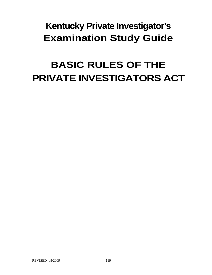# **Kentucky Private Investigator's Examination Study Guide**

# **BASIC RULES OF THE PRIVATE INVESTIGATORS ACT**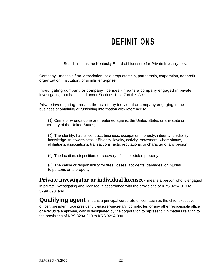# **DEFINITIONS**

Board - means the Kentucky Board of Licensure for Private Investigators;

Company - means a firm, association, sole proprietorship, partnership, corporation, nonprofit organization, institution, or similar enterprise; I

Investigating company or company licensee - means a company engaged in private investigating that is licensed under Sections 1 to 17 of this Act;

Private investigating - means the act of any individual or company engaging in the business of obtaining or furnishing information with reference to:

(a) Crime or wrongs done or threatened against the United States or any state or territory of the United States;

(b) The identity, habits, conduct, business, occupation, honesty, integrity, credibility, knowledge, trustworthiness, efficiency, loyalty, activity, movement, whereabouts, affiliations, associations, transactions, acts, reputations, or character of any person;

(c) The location, disposition, or recovery of lost or stolen property;

(d) The cause or responsibility for fires, losses, accidents, damages, or injuries to persons or to property;

**Private investigator or individual licensee-** means a person who is engaged in private investigating and licensed in accordance with the provisions of KRS 329A.010 to 329A.090; and

**Qualifying agent** -means a principal corporate officer, such as the chief executive officer, president, vice president, treasurer-secretary, comptroller, or any other responsible officer or executive employee, who is designated by the corporation to represent it in matters relating to the provisions of KRS 329A.010 to KRS 329A.090.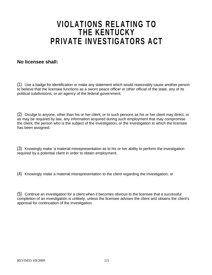# **VIOLATIONS RELATING TO THE KENTUCKY PRIVATE INVESTIGATORS ACT**

### **No licensee shall:**

(1) Use a badge for identification or make any statement which would reasonably cause another person to believe that the licensee functions as a sworn peace officer or other official of the state, any of its political subdivisions, or an agency of the federal government;

(2) Divulge to anyone, other than his or her client, or to such persons as his or her client may direct, or as may be required by law, any information acquired during such employment that may compromise the client, the person who is the subject of the investigation, or the investigation to which the licensee has been assigned;

(3) Knowingly make 'a material misrepresentation as to his or her ability to perform the investigation required by a potential client in order to obtain employment;

(4) Knowingly make a material misrepresentation to the client regarding the investigation; or

(5) Continue an investigation for a client when it becomes obvious to the licensee that a successful completion of an investigation is unlikely, unless the licensee advises the client and obtains the client's approval for continuation of the investigation.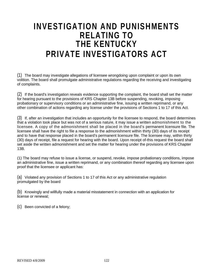# **INVESTIGATION AND PUNISHMENTS RELATING TO THE KENTUCKY PRIVATE INVESTIGATORS ACT**

(1) The board may investigate allegations of licensee wrongdoing upon complaint or upon its own volition. The board shall promulgate administrative regulations regarding the receiving and investigating of complaints.

(2) If the board's investigation reveals evidence supporting the complaint, the board shall set the matter for hearing pursuant to the provisions of KRS Chapter 13B before suspending, revoking, imposing probationary or supervisory conditions or an administrative fine, issuing a written reprimand, or any other combination of actions regarding any license under the provisions of Sections 1 to 17 of this Act.

(3) If, after an investigation that includes an opportunity for the licensee to respond, the board determines that a violation took place but was not of a serious nature, it may issue a written admonishment to the licensee. A copy of the admonishment shall be placed in the board's permanent licensure file. The licensee shall have the right to file a response to the admonishment within thirty (30) days of its receipt and to have that response placed in the board's permanent licensure file. The licensee may, within thirty (30) days of receipt, file a request for hearing with the board. Upon receipt of-this request the board shall set aside the written admonishment and set the matter for hearing under the provisions of KRS Chapter 13B.

(1) The board may refuse to issue a license, or suspend, revoke, impose probationary conditions, impose an administrative fine, issue a written reprimand, or any combination thereof regarding any licensee upon proof that the licensee or applicant has:

(a) Violated any provision of Sections 1 to 17 of this Act or any administrative regulation promulgated by the board

(b) Knowingly and willfully made a material misstatement in connection with an application for license or renewal;

(c) Been convicted of a felony;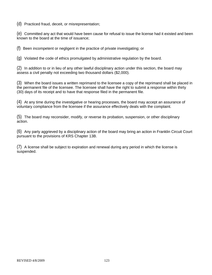(d) Practiced fraud, deceit, or misrepresentation;

(e) Committed any act that would have been cause for refusal to issue the license had it existed and been known to the board at the time of issuance;

(f) Been incompetent or negligent in the practice of private investigating; or

(g) Violated the code of ethics promulgated by administrative regulation by the board.

(2) In addition to or in lieu of any other lawful disciplinary action under this section, the board may assess a civil penalty not exceeding two thousand dollars (\$2,000).

(3) When the board issues a written reprimand to the licensee a copy of the reprimand shall be placed in the permanent file of the licensee. The licensee shall have the right to submit a response within thirty (30) days of its receipt and to have that response filed in the permanent file.

(4) At any time during the investigative or hearing processes, the board may accept an assurance of voluntary compliance from the licensee if the assurance effectively deals with the complaint.

(5) The board may reconsider, modify, or reverse its probation, suspension, or other disciplinary action.

(6) Any party aggrieved by a disciplinary action of the board may bring an action in Franklin Circuit Court pursuant to the provisions of KRS Chapter 13B.

(7) A license shall be subject to expiration and renewal during any period in which the license is suspended.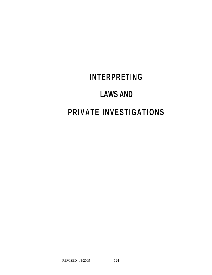# **INTERPRETING LAWS AND PRIVATE INVESTIGATIONS**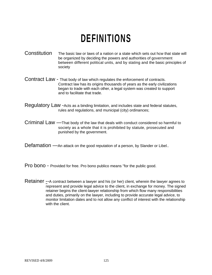# **DEFINITIONS**

- Constitution The basic law or laws of a nation or a state which sets out hcw that state will be organized by deciding the powers and authorities of government between different political units, and by stating and the basic principles of society
- Contract Law That body of law which regulates the enforcement of contracts. Contract law has its origins thousands of years as the early civilizations began to trade with each other, a legal system was created to support and to facilitate that trade.
- Regulatory Law -Acts as a binding limitation, and includes state and federal statutes, rules and regulations, and municipal (city) ordinances;
- Criminal Law —That body of the law that deals with conduct considered so harmful to society as a whole that it is prohibited by statute, prosecuted and punished by the government.

Defamation - An attack on the good reputation of a person, by Slander or Libel..

- Pro bono Provided for free. Pro bono publico means "for the public good.
- Retainer --A contract between a lawyer and his (or her) client, wherein the lawyer agrees to represent and provide legal advice to the client, in exchange for money. The signed retainer begins the client-lawyer relationship from which flow many responsibilities and duties, primarily on the lawyer, including to provide accurate legal advice, to monitor limitation dates and to not allow any conflict of interest with the relationship with the client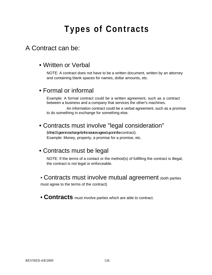# **Types of Contracts**

# A Contract can be:

# • Written or Verbal

NOTE: A contract does not have to be a written document, written by an attorney and containing blank spaces for names, dollar amounts, etc.

# • Formal or informal

Example: A formal contract could be a written agreement, such as a contract between a business and a company that services the other's machines.

An information contract could be a verbal agreement, such as a promise to do something in exchange for something else.

# • Contracts must involve "legal consideration"

(What 15 given in exchange for the services agreed upon in the contract). Example: Money, property, a promise for a promise, etc.

# • Contracts must be legal

NOTE: If the terms of a contact or the method(s) of fulfilling the contract is illegal, the contract is not legal or enforceable.

# • Contracts must involve mutual agreement (both parties

must agree to the terms of the contract)

**• Contracts** must involve parties which are able to contract.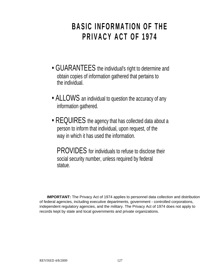# **BASIC INFORMATION OF THE PRIVACY ACT OF 1974**

- GUARANTEES the individual's right to determine and obtain copies of information gathered that pertains to the individual.
- ALLOWS an individual to question the accuracy of any information gathered.
- REQUIRES the agency that has collected data about a person to inform that individual, upon request, of the way in which it has used the information.

PROVIDES for individuals to refuse to disclose their social security number, unless required by federal statue.

**IMPORTANT:** The Privacy Act of 1974 applies to personnel data collection and distribution of federal agencies, including executive departments, government - controlled corporations, independent regulatory agencies, and the military. The Privacy Act of 1974 does not apply to records kept by state and local governments and private organizations.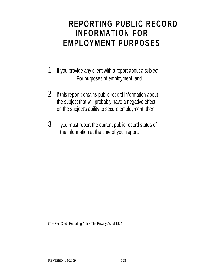# **REPORTING PUBLIC RECORD INFORMATION FOR EMPLOYMENT PURPOSES**

- 1. If you provide any client with a report about a subject For purposes of employment, and
- 2. if this report contains public record information about the subject that will probably have a negative effect on the subject's ability to secure employment, then
- 3. you must report the current public record status of the information at the time of your report.

(The Fair Credit Reporting Act) & The Privacy Act of 1974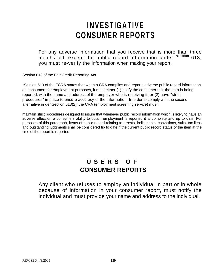# **INVESTIGATIVE CONSUMER REPORTS**

For any adverse information that you receive that is more than three months old, except the public record information under \*Section 613, you must re-verify the information when making your report.

Section 613 of the Fair Credit Reporting Act

\*Section 613 of the FCRA states that when a CRA compiles and reports adverse public record information on consumers for employment purposes, it must either (1) notify the consumer that the data is being reported, with the name and address of the employer who is receiving it, or (2) have "strict procedures" in place to ensure accuracy of the information. In order to comply with the second alternative under Section 613(2), the CRA (employment screening service) must:

maintain strict procedures designed to insure that whenever public record information which is likely to have an adverse effect on a consumers ability to obtain employment is reported it is complete and up to date. For purposes of this paragraph, items of public record relating to arrests, indictments, convictions, suits, tax liens and outstanding judgments shall be considered tip to date if the current public record status of the item at the time of the report is reported.

# **USERS OF CONSUMER REPORTS**

Any client who refuses to employ an individual in part or in whole because of information in your consumer report, must notify the individual and must provide your name and address to the individual.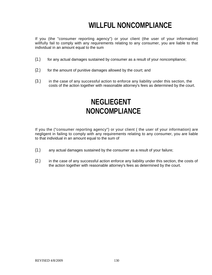# **WILLFUL NONCOMPLIANCE**

If you (the "consumer reporting agency") or your client (the user of your information) willfully fail to comply with any requirements relating to any consumer, you are liable to that individual in an amount equal to the sum

- (1.) for any actual damages sustained by consumer as a result of your noncompliance;
- (2.) for the amount of punitive damages allowed by the court; and
- $(3.)$  in the case of any successful action to enforce any liability under this section, the costs of the action together with reasonable attorney's fees as determined by the court.

# **NEGLIEGENT NONCOMPLIANCE**

If you the ("consumer reporting agency") or your client ( the user of your information) are negligent in failing to comply with any requirements relating to any consumer, you are liable to that individual in an amount equal to the sum of

- (1.) any actual damages sustained by the consumer as a result of your failure;
- $(2)$  in the case of any successful action enforce any liability under this section, the costs of the action together with reasonable attorney's fees as determined by the court.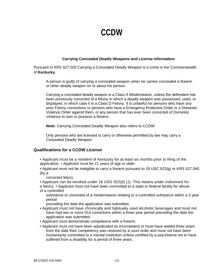# **CCDW**

#### **Carrying Concealed Deadly Weapons and License Information**

Pursuant to KRS *527.020* Carrying a Concealed Deadly Weapon is a crime in the Commonwealth of **Kentucky.** 

A person is guilty of carrying a concealed weapon when he carries concealed a firearm or other deadly weapon on or about his person.

Carrying a concealed deadly weapon is a Class A Misdemeanor, unless the defendant has been previously convicted of a felony in which a deadly weapon was possessed, used, or displayed, in which case it is a Class D Felony. It is unlawful for persons who have any prior Felony convictions or persons who have a Emergency Protective Order or a Domestic Violence Order against them, or any person that has ever been convicted of Domestic Violence to own or possess a firearm.

**Note:** Carrying Concealed Deadly Weapon also refers to CCDW

Only persons who are licensed to carry or otherwise permitted by law may carry a Concealed Deadly Weapon

### **Qualifications for a CCDW License**

• Applicant must be a resident of Kentucky for at least six months prior to filing of the application. • Applicant must be 21 years of age or older.

• Applicant must not be ineligible to carry a firearm pursuant to 18 USC 922(g) or KRS 527.040 (by a

convicted felon).

• Applicant can be revoked under 18 USG 922(d) (1). This means under indictment for a felony. • Applicant must not have been committed to a state or federal facility for abuse of a controlled

substance or convicted of a misdemeanor relating to a controlled substance within a 3 year period

preceding the date the application was submitted.

- Applicant must not have chronically and habitually used alcoholic beverages and must not have had two or more DUI convictions within a three year period preceding the date the application was submitted.
- Applicant must demonstrate competence with a firearm.
- Applicant must not have been adjudicated as incompetent or must have waited three years from the date their competency was restored by a court order and must not have been involuntarily committed to a mental institution unless certified by a psychiatrist not to have suffered from a disability for a period of three years.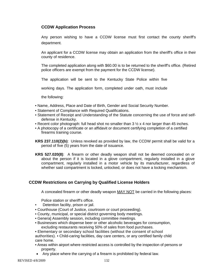### **CCDW Application Process**

Any person wishing to have a CCDW license must first contact the county sheriff's department.

An applicant for a CCDW license may obtain an application from the sheriff's office in their county of residence.

The completed application along with \$60.00 is to be returned to the sheriff's office. (Retired police officers are exempt from the payment for the CCDW license).

The application will be sent to the Kentucky State Police within five

working days. The application form, completed under oath, must include

the following:

- Name, Address, Place and Date of Birth, Gender and Social Security Number.
- Statement of Compliance with Required Qualifications.
- Statement of Receipt and Understanding of the Statute concerning the use of force and selfdefense in Kentucky.
- Recent color photograph: full head shot no smaller than  $3 \frac{1}{2} \times 4$  nor larger than 45 inches.
- A photocopy of a certificate or an affidavit or document certifying completion of a certified firearms training course.
- **KRS 237.110(2)(b)**: Unless revoked as provided by law, the CCDW permit shall be valid for a period of five (5) years from the date of issuance.
- **KRS 527.020(8)**: A firearm or other deadly weapon shall not be deemed concealed on or about the person if it is located in a glove compartment, regularly installed in a glove compartment, regularly installed in a motor vehicle by its manufacturer, regardless of whether said compartment is locked, unlocked, or does not have a locking mechanism.

### **CCDW Restrictions on Carrying by Qualified License Holders**

A concealed firearm or other deadly weapon MAY NOT be carried in the following places:

Police station or sheriff's office.

- Detention facility, prison or jail.
- Courthouse (Court of Justice, courtroom or court proceeding).
- County, municipal, or special district governing body meetings.
- Genera] Assembly session, including committee meetings.
- Businesses which dispense beer or other alcoholic beverages for consumption, excluding restaurants receiving 50% of sales from food purchases.
- Elementary or secondary school facilities (without the consent of school authorities). • Child-caring facilities, day care centers, or any certified family child care home.
- Areas within airport where restricted access is controlled by the inspection of persons or property.
- Any place where the carrying of a firearm is prohibited by federal law.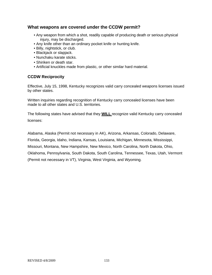### **What weapons are covered under the CCDW permit?**

- Any weapon from which a shot, readily capable of producing death or serious physical injury, may be discharged.
- Any knife other than an ordinary pocket knife or hunting knife.
- Billy, nightstick, or club.
- Blackjack or slapjack.
- Nunchaku karate sticks.
- Shiriken or death star.
- Artificial knuckles made from plastic, or other similar hard material.

### **CCDW Reciprocity**

Effective, July 15, 1998, Kentucky recognizes valid carry concealed weapons licenses issued by other states.

Written inquiries regarding recognition of Kentucky carry concealed licenses have been made to all other states and U.S. territories.

The following states have advised that they **WILL** recognize valid Kentucky carry concealed licenses:

Alabama, Alaska (Permit not necessary in AK), Arizona, Arkansas, Colorado, Delaware, Florida, Georgia, Idaho, Indiana, Kansas, Louisiana, Michigan, Minnesota, Mississippi, Missouri, Montana, New Hampshire, New Mexico, North Carolina, North Dakota, Ohio, Oklahoma, Pennsylvania, South Dakota, South Carolina, Tennessee, Texas, Utah, Vermont (Permit not necessary in VT), Virginia, West Virginia, and Wyoming.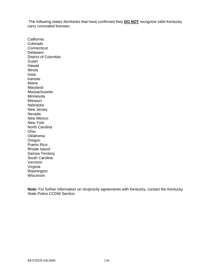The following states /territories that have confirmed they **DO NOT** recognize valid Kentucky carry concealed licenses:

**California** Colorado **Connecticut** Delaware District of Columbia Guam Hawaii Illinois Iowa Kansas Maine Maryland **Massachusetts** Minnesota Missouri Nebraska New Jersey Nevada New Mexico New York North Carolina Ohio Oklahoma Oregon Puerto Rico Rhode Island Samoa Territory South Carolina Vermont Virginia Washington Wisconsin

**Note:** For further information on reciprocity agreements with Kentucky, contact the Kentucky State Police CCDW Section.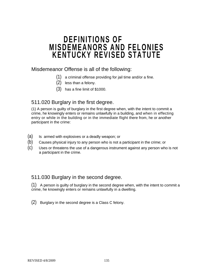# **DEFINITIONS OF MISDEMEANORS AND FELONIES KENTUCKY REVISED STATUTE**

## Misdemeanor Offense is all of the following:

- (1) a criminal offense providing for jail time and/or a fine.
- (2) less than a felony.
- (3) has a fine limit of \$1000.

## 511.020 Burglary in the first degree.

(1) A person is guilty of burglary in the first degree when, with the intent to commit a crime, he knowingly enters or remains unlawfully in a building, and when in effecting entry or while in the building or in the immediate flight there from, he or another participant in the crime:

- (a) Is armed with explosives or a deadly weapon; or
- (b) Causes physical injury to any person who is not a participant in the crime; or
- (c) Uses or threatens the use of a dangerous instrument against any person who is not a participant in the crime.

## 511.030 Burglary in the second degree.

(1) A person is guilty of burglary in the second degree when, with the intent to commit a crime, he knowingly enters or remains unlawfully in a dwelling.

(2) Burglary in the second degree is a Class C felony.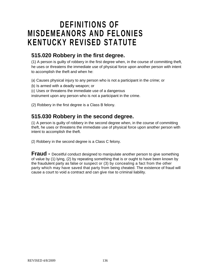# **DEFINITIONS OF MISDEMEANORS AND FELONIES KENTUCKY REVISED STATUTE**

## **515.020 Robbery in the first degree.**

(1) A person is guilty of robbery in the first degree when, in the course of committing theft, he uses or threatens the immediate use of physical force upon another person with intent to accomplish the theft and when he:

(a) Causes physical injury to any person who is not a participant in the crime; or

- (b) Is armed with a deadly weapon; or
- (c) Uses or threatens the immediate use of a dangerous

instrument upon any person who is not a participant in the crime.

(2) Robbery in the first degree is a Class B felony.

# **515.030 Robbery in the second degree.**

(1) A person is guilty of robbery in the second degree when, in the course of committing theft, he uses or threatens the immediate use of physical force upon another person with intent to accomplish the theft.

(2) Robbery in the second degree is a Class C felony.

**Fraud -** Deceitful conduct designed to manipulate another person to give something of value by (1) lying, (2) by repeating something that is or ought to have been known by the fraudulent party as false or suspect or (3) by concealing a fact from the other party which may have saved that party from being cheated. The existence of fraud will cause a court to void a contract and can give rise to criminal liability.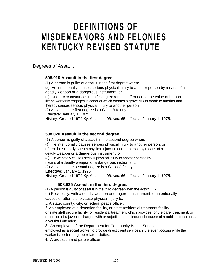# **DEFINITIONS OF MISDEMEANORS AND FELONIES KENTUCKY REVISED STATUTE**

Degrees of Assault

### **508.010 Assault in the first degree.**

(1) A person is guilty of assault in the first degree when:

(a) He intentionally causes serious physical injury to another person by means of a deadly weapon or a dangerous instrument; or

(b) Under circumstances manifesting extreme indifference to the value of human life he wantonly engages in conduct which creates a grave risk of death to another and thereby causes serious physical injury to another person.

(2) Assault in the first degree is a Class B felony.

Effective: January 1, 1975

History: Created 1974 Ky. Acts ch. 406, sec. 65, effective January 1, 1975,

#### **508.020 Assault in the second degree.**

(1) A person is guilty of assault in the second degree when:

(a) He intentionally causes serious physical injury to another person; or

(b) He intentionally causes physical injury to another person by means of a deadly weapon or a dangerous instrument; or

(c) He wantonly causes serious physical injury to another person by

means of a deadly weapon or a dangerous instrument. (2) Assault in the second degree is a Class C felony.

**Effective:** January 1, 1975

History: Created 1974 Ky. Acts ch. 406, sec. 66, effective January 1, *1975.* 

#### **508.025 Assault in the third degree.**

(1) A person is guilty of assault in the third degree when the actor: -

(a) Recklessly, with a deadly weapon or dangerous instrument, or intentionally

causes or attempts to cause physical injury to:

1. A state, county, city, or federal peace officer;

2. An employee of a detention facility, or state residential treatment facility

or state staff secure facility for residential treatment which provides for the care, treatment, or detention of a juvenile charged with or adjudicated delinquent because of a public offense or as a youthful offender;

3. An employee of the Department for Community Based Services employed as a social worker to provide direct client services, if the event occurs while the worker is performing job related-duties;

4. A probation and parole officer;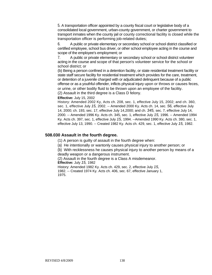5. A transportation officer appointed by a county fiscal court or legislative body of a consolidated local government, urban-county government, or charter government to transport inmates when the county jail or county correctional facility is closed while the transportation officer is performing job-related duties;

6. A public or private elementary or secondary school or school district classified or certified employee, school bus driver, or other school employee acting in the course and scope of the employee's employment; or

7. A public or private elementary or secondary school or school district volunteer acting in the course and scope of that person's volunteer service for the school or school district; or

(b) Being a person confined in a detention facility, or state residential treatment facility or state staff secure facility for residential treatment which provides for the care, treatment, or detention of a juvenile charged with or adjudicated delinquent because of a public offense or as a youthful offender, inflicts physical injury upon or throws or causes feces, or urine, or other bodily fluid to be thrown upon an employee of the facility. (2) Assault in the third degree is a Class D felony.

**Effective:** July 15, 2002

History: Amended 2002 Ky, Acts ch. 208, sec. 1, effective July 15, 2002; and ch. 360, sec. 1, effective July *15,* 2002. -- Amended 2000 Ky. Acts ch. 14, sec. *56,* effective July 14, 2000; ch. 193, sec. 17, effective July 14,2000; and ch. *345,* sec. 7, effective July 14, 2000. -- Amended 1996 Ky. Acts ch. 345, sec. 1, effective July *15,* 1996. -- Amended 1994 Ky. Acts ch. 397, sec. 1, effective July *15,* 1994. --Amended 1990 Ky. Acts ch. 380, sec. 1, effective July 13, 1990. -- Created 1982 Ky. Acts ch. 429, sec. 1, effective July *15,* 1982.

#### **508.030 Assault in the fourth degree.**

(1) A person is guilty of assault in the fourth degree when:

(a) He intentionally or wantonly causes physical injury to another person; or

(b) With recklessness he causes physical injury to another person by means of a deadly weapon or a dangerous instrument.

(2) Assault in the fourth degree is a Class A misdemeanor. **Effective:** July *15,* 1982

History: Amended 1982 Ky. Acts ch. 429, sec. 2, effective July *15,*  1982. -- Created 1974 Ky. Acts ch. 406, sec. 67, effective January 1, 1975.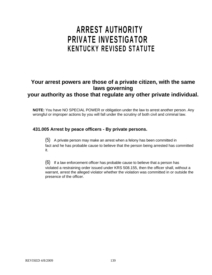# **ARREST AUTHORITY PRIVATE INVESTIGATOR KENTUCKY REVISED STATUTE**

# **Your arrest powers are those of a private citizen, with the same laws governing**

## **your authority as those that regulate any other private individual.**

**NOTE:** You have NO SPECIAL POWER or obligation under the law to arrest another person. Any wrongful or improper actions by you will fall under the scrutiny of both civil and criminal law.

### **431.005 Arrest by peace officers - By private persons.**

(5) A private person may make an arrest when a felony has been committed in fact and he has probable cause to believe that the person being arrested has committed it.

(6) If a law enforcement officer has probable cause to believe that a person has violated a restraining order issued under KRS 508.155, then the officer shall, without a warrant, arrest the alleged violator whether the violation was committed in or outside the presence of the officer.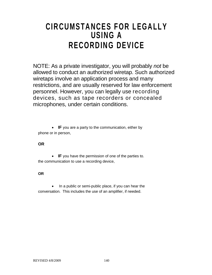# **CIRCUMSTANCES FOR LEGALLY USING A RECORDING DEVICE**

NOTE: As a private investigator, you will probably *not* be allowed to conduct an authorized wiretap. Such authorized wiretaps involve an application process and many restrictions, and are usually reserved for law enforcement personnel. However, you can legally use recording devices, such as tape recorders or concealed microphones, under certain conditions.

• **IF** you are a party to the communication, either by phone or in person,

### **OR**

• **IF** you have the permission of one of the parties to. the communication to use a recording device,

### **OR**

• In a public or semi-public place, if you can hear the conversation. This includes the use of an amplifier, if needed.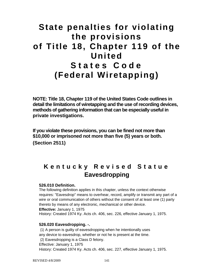# **State penalties for violating the provisions of Title 18, Chapter 119 of the United States Code (Federal Wiretapping)**

**NOTE: Title 18, Chapter 119 of the United States Code outlines in detail the limitations of wiretapping and the use of recording devices, methods of gathering information that can be especially useful in private investigations.** 

**If you violate these provisions, you can be fined not more than \$10,000 or imprisoned not more than five (5) years or both. (Section 2511)** 

# **Kentucky Revised Statue Eavesdropping**

#### **526.010 Definition.**

The following definition applies in this chapter, unless the context otherwise requires: "Eavesdrop" means to overhear, record, amplify or transmit any part of a wire or oral communication of others without the consent of at least one (1) party thereto by means of any electronic, mechanical or other device. **Effective:** January 1, 1975 History: Created 1974 Ky. Acts ch. 406, sec. 226, effective January 1, 1975.

#### **526.020 Eavesdropping. -.**

(1) A person is guilty of eavesdropping when he intentionally uses any device to eavesdrop, whether or not he is present at the time. (2) Eavesdropping is a Class D felony. Effective: January 1, 1975 History: Created 1974 Ky. Acts ch. 406, sec. 227, effective January 1, 1975.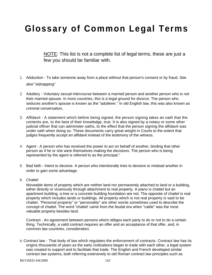# **Glossary of Common Legal Terms**

NOTE: This list is not a complete list of legal terms, these are just a few you should be familiar with.

- 1. Abduction To take someone away from a place without that person's consent or by fraud. See also" kidnapping"
- 2. Adultery Voluntary sexual intercourse between a married person and another person who is not their married spouse. In most countries, this is a legal ground for divorce. The person who seduces another's spouse is known as the "adulterer." In old English law, this was also known as criminal conversation,
- 3. Affidavit A statement which before being signed, the person signing takes an oath that the contents are, to the best of their knowledge, true. It is also signed by a notary or some other judicial officer that can administer oaths, to the effect that the person signing the affidavit was under oath when doing so. These documents carry great weight in Courts to the extent that judges frequently accept an affidavit instead of the testimony of the witness.
- 4. Agent A person who has received the power to act on behalf of another, binding that other person as if he or she were themselves making the decisions. The person who is being represented by the agent is referred to as the principal."
- 5. Bad faith Intent to deceive. A person who intentionally tries to deceive or mislead another in order to gain some advantage.
- 6. Chattel

Moveable items of property which are neither land nor permanently attached to land or a building, either directly or vicariously through attachment to real property. A piano is chattel but an apartment building, a tree or a concrete building foundation are not. The opposite of chattel is real property which includes lands or buildings. All property which is not real property is said to be chattel. "Personal property" or "personality" are other words sometimes used to describe the concept of chattel. The word "chattel' came from the feudal era when "cattle" was the most valuable property besides land.

Contract - An agreement between persons which obliges each party to do or not to do a certain thing. Technically, a valid contract requires an offer and an acceptance of that offer, and, in common law countries, consideration.

8. Contract law - That body of law which regulates the enforcement of contracts. Contract law has its origins thousands of years as the early civilizations began to trade with each other, a legal system was created to support and to facilitate that trade. The English and French developed similar contract law systems, both referring extensively to old Roman contract law principles such as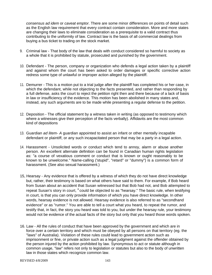*consensus ad idem* or *caveat emptor*. There are some minor differences on points of detail such as the English law requirement that every contract contain consideration. More and more states are changing their laws to eliminate consideration as a prerequisite to a valid contract thus contributing to the uniformity of law. Contract law is the basis of all commercial dealings from buying a bus ticket to trading on the stock market.

- 9. Criminal law That body of the law that deals with conduct considered so harmful to society as a whole that it is prohibited by statute, prosecuted and punished by the government.
- 10. Defendant The person, company or organization who defends a legal action taken by a plaintiff and against whom the court has been asked to order damages or specific corrective action redress some type of unlawful or improper action alleged by the plaintiff.
- 11. Demurrer This is a motion put to a trial judge after the plaintiff has completed his or her case, in which the defendant, while not objecting to the facts presented, and rather than responding by a full defense, asks the court to reject the petition right then and there because of a lack of basis in law or insufficiency of the evidence. This motion has been abolished in many states and, instead, any such arguments are to be made while presenting a regular defense to the petition.
- 12. Deposition The official statement by a witness taken in writing (as opposed to testimony which where a witnesses give their perception of the facts verbally). Affidavits are the most common kind of depositions
- 13. Guardian *ad litem- A* guardian appointed to assist an infant or other mentally incapable defendant or plaintiff, or any such incapacitated person that may be a party in a legal action.
- 14. Harassment Unsolicited words or conduct which tend to annoy, alarm or abuse another person. An excellent alternate definition can be found in Canadian human rights legislation as: "a course of vexatious comment or conduct that is known or ought reasonably to be known to be unwelcome." Name-calling ('stupid", "retard" or "dummy") is a common form of harassment. (See also sexual harassment.)
- 15, Hearsay Any evidence that is offered by a witness of which they do not have direct knowledge but, rather, their testimony is based on what others have said to them. For example, if Bob heard from Susan about an accident that Susan witnessed but that Bob had not, and Bob attempted to repeat Susan's story in court, <sup>it</sup> could be objected to as "hearsay." The basic rule, when testifying in court, is that you can only provide information of which you have direct knowledge. In other words, hearsay evidence is not allowed. Hearsay evidence is also referred to as "secondhand evidence" or as "rumor." You are able to tell a court what you heard, to repeat the rumor, and testify that, in fact, the story you heard was told to you, but under the hearsay rule, your testimony would not be evidence of the actual facts of the story but only that you heard those words spoken.
- 16. Law All the rules of conduct that have been approved by the government and which are in force over a certain territory and which must be obeyed by all persons on that territory (eg. the "laws" of Australia). Violation of these rules could lead to government action such as imprisonment or fine, or private action such as a legal judgment against the offender obtained by the person injured by the action prohibited by law. Synonymous to act or statute although in common usage, "law" refers not only to legislation or statutes but also to the body of unwritten law in those states which recognize common law.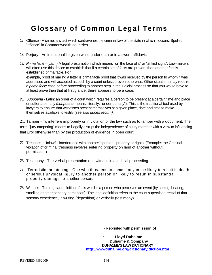# **Glossary of Common Legal Terms**

- 17. Offense A crime; any act which contravenes the criminal law of the state in which it occurs. Spelled "offence" in Commonwealth countries.
- 18. Perjury An intentional lie given while under oath or in a sworn affidavit.
- *19. Prima facie* (Latin) A legal presumption which means "on the face of it" or "at first sight". Law-makers will often use this device to establish that if a certain set of facts are proven, then another fact is established prima facie. For example, proof of mailing a letter is prima facie proof that it was received by the person to whom it was addressed and will accepted as such by a court unless proven otherwise. Other situations may require a *prima facie* case before proceeding to another step in the judicial process so that you would have to at least prove then that at first glance, there appears to be a case.
- *20. Subpoena* Latin: an order of a court which requires a person to be present at a certain time and place or suffer a penalty *(subpoena* means, literally, "under penalty"). This is the traditional tool used by lawyers to ensure that witnesses present themselves at a given place, date and time to make themselves available to testify (see also *duces tecum).*

21, Tamper - To interfere improperly or in violation of the law such as to tamper with a document. The term "jury tampering" means to illegally disrupt the independence of a jury member with a view to influencing that juror otherwise than by the production of evidence in open court.

- 22. Trespass Unlawful interference with another's person<sup>\*</sup>, property or rights. (Example: the Criminal violation of criminal trespass involves entering property on land of another without permission.)
- 23. Testimony The verbal presentation of a witness in a judicial proceeding.
- **24.** Terroristic threateningOne who threatens to commit any crime likely to result in death or serious physical injury to another person or likely to result in substantial property damage to another person;
- 25. Witness The regular definition of this word is a person who perceives an event (by seeing, hearing, smelling or other sensory perception). The legal definition refers to the court-supervised recital of that sensory experience, in writing (deposition) or verbally (testimony).
	- Reprinted with **permission of**

**- • Lloyd Duhaime Duhaime & Company DUHA1ME'S LAW DICTIONARY http://wwwduhaime.org/dictionary/diction.htm**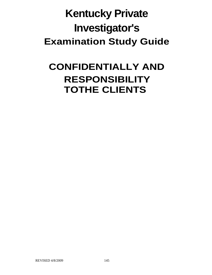# **Kentucky Private Investigator's Examination Study Guide**

#### **CONFIDENTIALLY AND RESPONSIBILITY TOTHE CLIENTS**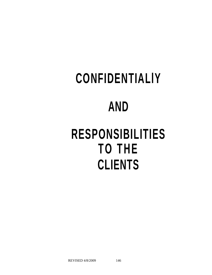# **CONFIDENTIALlY AND RESPONSIBILITIES TO THE CLIENTS**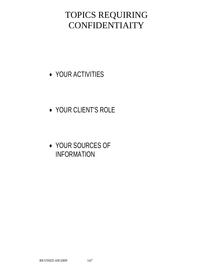#### TOPICS REQUIRING **CONFIDENTIAITY**

- YOUR ACTIVITIES
- YOUR CLIENT'S ROLE
- YOUR SOURCES OF INFORMATION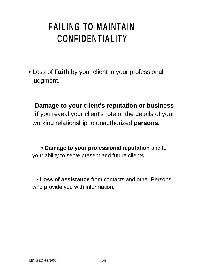### **FAILING TO MAINTAIN CONFIDENTIALITY**

• Loss of **Faith** by your client in your professional judgment.

**Damage to your client's reputation or business if** you reveal your client's rote or the details of your working relationship to unauthorized **persons.** 

**• Damage to your professional reputation** and to your ability to serve present and future clients.

• **Loss of assistance** from contacts and other Persons who provide you with information.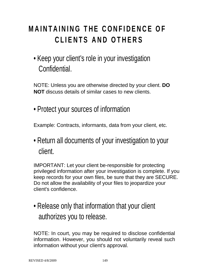#### **MAINTAINING THE CONFIDENCE OF CLIENTS AND OTHERS**

• Keep your client's role in your investigation Confidential.

NOTE: Unless you are otherwise directed by your client. **DO NOT** discuss details of similar cases to new clients.

• Protect your sources of information

Example: Contracts, informants, data from your client, etc.

• Return all documents of your investigation to your client.

IMPORTANT: Let your client be-responsible for protecting privileged information after your investigation is complete. If you keep records for your own files, be sure that they are SECURE. Do not allow the availability of your files to jeopardize your client's confidence.

• Release only that information that your client authorizes you to release.

NOTE: In court, you may be required to disclose confidential information. However, you should not voluntarily reveal such information without your client's approval.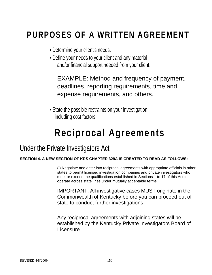#### **PURPOSES OF A WRITTEN AGREEMENT**

- Determine your client's needs.
- Define your needs to your client and any material and/or financial support needed from your client.

EXAMPLE: Method and frequency of payment, deadlines, reporting requirements, time and expense requirements, and others.

• State the possible restraints on your investigation, including cost factors.

### **Reciprocal Agreements**

#### Under the Private Investigators Act

#### **SECTION 4. A NEW SECTION OF KRS CHAPTER 329A IS CREATED TO READ AS FOLLOWS:**

(I) Negotiate and enter into reciprocal agreements with appropriate officials in other states to permit licensed investigation companies and private investigators who meet or exceed the qualifications established in Sections 1 to 17 of this Act to operate across state lines under mutually acceptable terms.

IMPORTANT: All investigative cases MUST originate in the Commonwealth of Kentucky before you can proceed out of state to conduct further investigations.

Any reciprocal agreements with adjoining states will be established by the Kentucky Private Investigators Board of **Licensure**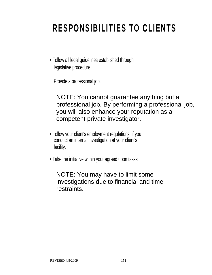# **RESPONSIBILITIES TO CLIENTS**

• Follow all legal guidelines established through legislative procedure.

Provide a professional job.

NOTE: You cannot guarantee anything but a professional job. By performing a professional job, you will also enhance your reputation as a competent private investigator.

- Follow your client's employment regulations, if you conduct an internal investigation at your client's facility.
- Take the initiative within your agreed upon tasks.

NOTE: You may have to limit some investigations due to financial and time restraints.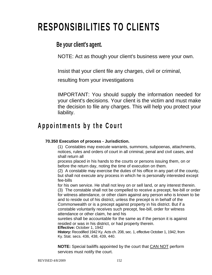# **RESPONSIBILITIES TO CLIENTS**

#### **Be your client's agent.**

NOTE: Act as though your client's business were your own.

Insist that your client file any charges, civil or criminal,

resulting from your investigations

IMPORTANT: You should supply the information needed for your client's decisions. Your client is the victim and must make the decision to file any charges. This will help you protect your liability.

#### **Appointments by the Court**

#### **70.350 Execution of process - Jurisdiction.**

(1) Constables may execute warrants, summons, subpoenas, attachments, notices, rules and orders of court in all criminal, penal and civil cases, and shall return all

process placed in his hands to the courts or persons issuing them, on or before the return day, noting the time of execution on them.

(2) A constable may exercise the duties of his office in any part of the county, but shall not execute any process in which he is personally interested except fee-bills

for his own service. He shall not levy on or sell land, or any interest therein. (3) The constable shall not be compelled to receive a precept, fee-bill or order for witness attendance, or other claim against any person who is known to be and to reside out of his district, unless the precept is in behalf of the Commonwealth or is a precept against property in his district. But if a constable voluntarily receives such precept, fee-bill, order for witness attendance or other claim, he and his

sureties shall be accountable for the same as if the person it is against resided or was in his district, or had property therein.

**Effective:** October 1, 1942

**History:** Recodified 1942 Ky. Acts ch. 208, sec. 1, effective October 1, 1942, from Ky. Stat. secs. 436, 438, 439, 440.

**NOTE:** Special bailiffs appointed by the court that CAN NOT perform services must notify the court.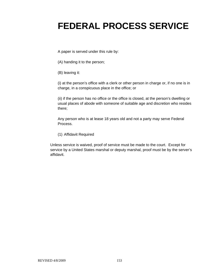#### **FEDERAL PROCESS SERVICE**

A paper is served under this rule by:

- (A) handing it to the person;
- (B) leaving it:

(i) at the person's office with a clerk or other person in charge or, if no one is in charge, in a conspicuous place in the office; or

(ii) if the person has no office or the office is closed, at the person's dwelling or usual places of abode with someone of suitable age and discretion who resides there;

Any person who is at lease 18 years old and not a party may serve Federal Process.

(1) Affidavit Required

Unless service is waived, proof of service must be made to the court. Except for service by a United States marshal or deputy marshal, proof must be by the server's affidavit.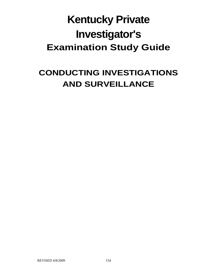# **Kentucky Private Investigator's Examination Study Guide**

#### **CONDUCTING INVESTIGATIONS AND SURVEILLANCE**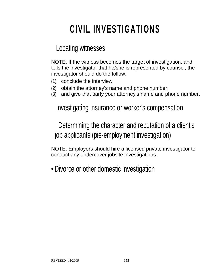# **CIVIL INVESTIGATIONS**

#### Locating witnesses

NOTE: If the witness becomes the target of investigation, and tells the investigator that he/she is represented by counsel, the investigator should do the follow:

- (1) conclude the interview
- (2) obtain the attorney's name and phone number.
- (3) and give that party your attorney's name and phone number.

Investigating insurance or worker's compensation

Determining the character and reputation of a client's job applicants (pie-employment investigation)

NOTE: Employers should hire a licensed private investigator to conduct any undercover jobsite investigations.

• Divorce or other domestic investigation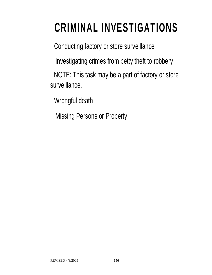# **CRIMINAL INVESTIGATIONS**

Conducting factory or store surveillance

Investigating crimes from petty theft to robbery

NOTE: This task may be a part of factory or store surveillance.

Wrongful death

Missing Persons or Property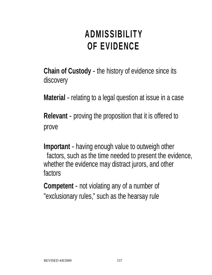### **ADMISSIBILITY OF EVIDENCE**

**Chain of Custody** - the history of evidence since its discovery

**Material** - relating to a legal question at issue in a case

**Relevant** - proving the proposition that it is offered to prove

**Important** - having enough value to outweigh other factors, such as the time needed to present the evidence, whether the evidence may distract jurors, and other factors

**Competent** - not violating any of a number of "exclusionary rules," such as the hearsay rule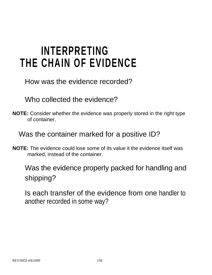# **INTERPRETING THE CHAIN OF EVIDENCE**

How was the evidence recorded?

Who collected the evidence?

**NOTE:** Consider whether the evidence was properly stored in the right type of container.

Was the container marked for a positive ID?

**NOTE:** The evidence could lose some of its value it the evidence itself was marked, instead of the container.

Was the evidence properly packed for handling and shipping?

Is each transfer of the evidence from one handler to another recorded in some way?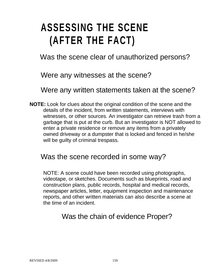# **ASSESSING THE SCENE (AFTER THE FACT)**

Was the scene clear of unauthorized persons?

Were any witnesses at the scene?

Were any written statements taken at the scene?

**NOTE:** Look for clues about the original condition of the scene and the details of the incident, from written statements, interviews with witnesses, or other sources. An investigator can retrieve trash from a garbage that is put at the curb. But an investigator is NOT allowed to enter a private residence or remove any items from a privately owned driveway or a dumpster that is locked and fenced in he/she will be guilty of criminal trespass.

#### Was the scene recorded in some way?

NOTE: A scene could have been recorded using photographs, videotape, or sketches. Documents such as blueprints, road and construction plans, public records, hospital and medical records, newspaper articles, letter, equipment inspection and maintenance reports, and other written materials can also describe a scene at the time of an incident.

#### Was the chain of evidence Proper?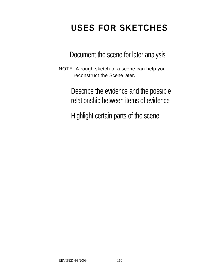### **USES FOR SKETCHES**

Document the scene for later analysis

NOTE: A rough sketch of a scene can help you reconstruct the Scene later.

> Describe the evidence and the possible relationship between items of evidence

Highlight certain parts of the scene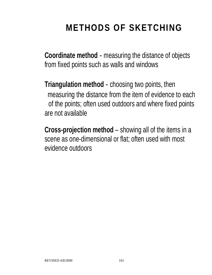### **METHODS OF SKETCHING**

**Coordinate method** - measuring the distance of objects from fixed points such as walls and windows

**Triangulation method** - choosing two points, then measuring the distance from the item of evidence to each of the points; often used outdoors and where fixed points are not available

**Cross-projection method** – showing all of the items in a scene as one-dimensional or flat; often used with most evidence outdoors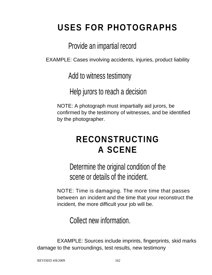### **USES FOR PHOTOGRAPHS**

Provide an impartial record

EXAMPLE: Cases involving accidents, injuries, product liability

Add to witness testimony

Help jurors to reach a decision

NOTE: A photograph must impartially aid jurors, be confirmed by the testimony of witnesses, and be identified by the photographer.

#### **RECONSTRUCTING A SCENE**

Determine the original condition of the scene or details of the incident.

NOTE: Time is damaging. The more time that passes between an incident and the time that your reconstruct the incident, the more difficult your job will be.

Collect new information.

EXAMPLE: Sources include imprints, fingerprints, skid marks damage to the surroundings, test results, new testimony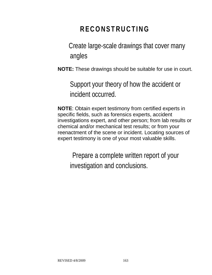#### **RECONSTRUCTING**

Create large-scale drawings that cover many angles

**NOTE:** These drawings should be suitable for use in court.

Support your theory of how the accident or incident occurred.

**NOTE**: Obtain expert testimony from certified experts in specific fields, such as forensics experts, accident investigations expert, and other person; from lab results or chemical and/or mechanical test results; or from your reenactment of the scene or incident. Locating sources of expert testimony is one of your most valuable skills.

Prepare a complete written report of your investigation and conclusions.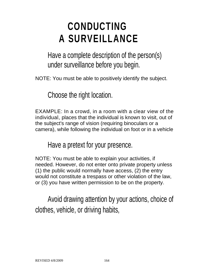### **CONDUCTING A SURVEILLANCE**

Have a complete description of the person(s) under surveillance before you begin.

NOTE: You must be able to positively identify the subject.

Choose the right location.

EXAMPLE: In a crowd, in a room with a clear view of the individual, places that the individual is known to visit, out of the subject's range of vision (requiring binoculars or a camera), while following the individual on foot or in a vehicle

Have a pretext for your presence.

NOTE: You must be able to explain your activities, if needed. However, do not enter onto private property unless (1) the public would normally have access, (2) the entry would not constitute a trespass or other violation of the law, or (3) you have written permission to be on the property.

Avoid drawing attention by your actions, choice of clothes, vehicle, or driving habits,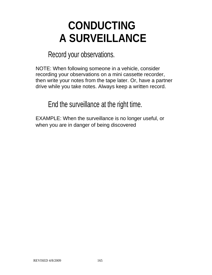# **CONDUCTING A SURVEILLANCE**

Record your observations.

NOTE: When following someone in a vehicle, consider recording your observations on a mini cassette recorder, then write your notes from the tape later. Or, have a partner drive while you take notes. Always keep a written record.

End the surveillance at the right time.

EXAMPLE: When the surveillance is no longer useful, or when you are in danger of being discovered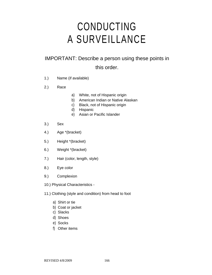### CONDUCTING A SURVEILLANCE

#### IMPORTANT: Describe a person using these points in

#### this order.

- 1.) Name (if available)
- 2.) Race
- a) White, not of Hispanic origin
- b) American Indian or Native Alaskan
- c) Black, not of Hispanic origin
- d) Hispanic
- e) Asian or Pacific Islander
- 3.) Sex
- 4.) Age \*(bracket)
- 5.) Height \*(bracket)
- 6.) Weight \*(bracket)
- 7.) Hair (color, length, style)
- 8.) Eye color
- 9.) Complexion
- 10.) Physical Characteristics -
- 11.) Clothing (style and condition) from head to foot
	- a) Shirt or tie
	- b) Coat or jacket
	- c) Slacks
	- d) Shoes
	- e) Socks
	- f) Other items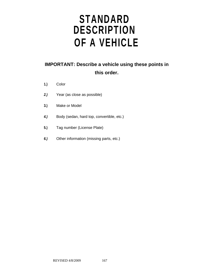### **STANDARD DESCRIPTION OF A VEHICLE**

#### **IMPORTANT: Describe a vehicle using these points in this order.**

- **1.)** Color
- *2.)* Year (as close as possible)
- **3.)** Make or Model
- *4.)* Body (sedan, hard top, convertible, etc.)
- **5.)** Tag number (License Plate)
- *6.)* Other information (missing parts, etc.)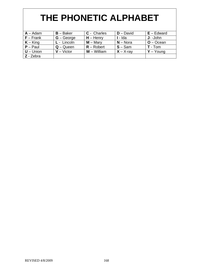### **THE PHONETIC ALPHABET**

| $A - Adam$  | $B - Baker$  | C - Charles   | $D - David$  | $E -$ Edward   |
|-------------|--------------|---------------|--------------|----------------|
| $F -$ Frank | $G - George$ | $H -$ Henry   | $I - Ida$    | $J -$ -John    |
| $K - King$  | L - Lincoln  | $M -$ Mary    | $N - N$ ora  | $O$ – Ocean    |
| $P - Paul$  | $Q - Q$ ueen | $R - Robert$  | $S - Sam$    | <b>T</b> - Tom |
| $U -$ Union | $V - Victor$ | $W -$ William | $X - X$ -ray | $Y - Young$    |
| Z - Zebra   |              |               |              |                |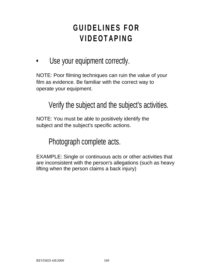#### **GUIDELINES FOR VIDEOTAPING**

Use your equipment correctly.

NOTE: Poor filming techniques can ruin the value of your film as evidence. Be familiar with the correct way to operate your equipment.

Verify the subject and the subject's activities.

NOTE: You must be able to positively identify the subject and the subject's specific actions.

Photograph complete acts.

EXAMPLE: Single or continuous acts or other activities that are inconsistent with the person's allegations (such as heavy lifting when the person claims a back injury)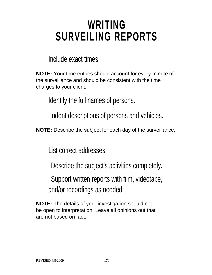# **WRITING SURVEILING REPORTS**

Include exact times.

**NOTE:** Your time entries should account for every minute of the surveillance and should be consistent with the time charges to your client.

Identify the full names of persons.

Indent descriptions of persons and vehicles.

**NOTE:** Describe the subject for each day of the surveillance.

List correct addresses.

Describe the subject's activities completely.

Support written reports with film, videotape, and/or recordings as needed.

**NOTE:** The details of your investigation should not be open to interpretation. Leave all opinions out that are not based on fact.

.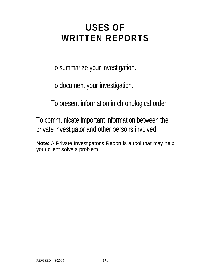#### **USES OF WRITTEN REPORTS**

To summarize your investigation.

To document your investigation.

To present information in chronological order.

To communicate important information between the private investigator and other persons involved.

**Note**: A Private Investigator's Report is a tool that may help your client solve a problem.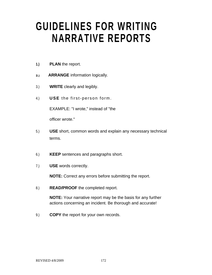### **GUIDELINES FOR WRITING NARRATIVE REPORTS**

- **1.) PLAN** the report.
- **2.) ARRANGE** information logically.
- 3.) **WRITE** clearly and legibly.
- 4.) **USE** the first-person form.

EXAMPLE: "I wrote," instead of "the

officer wrote."

- 5.) **USE** short, common words and explain any necessary technical terms.
- 6.) **KEEP** sentences and paragraphs short.
- 7.) **USE** words correctly.

**NOTE:** Correct any errors before submitting the report.

8.) **READ/PROOF** the completed report.

**NOTE:** Your narrative report may be the basis for any further actions concerning an incident. Be thorough and accurate!

9.) **COPY** the report for your own records.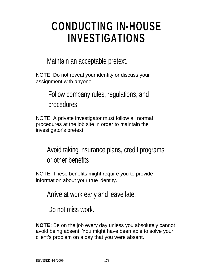# **CONDUCTING IN-HOUSE INVESTIGATIONS**

Maintain an acceptable pretext.

NOTE: Do not reveal your identity or discuss your assignment with anyone.

> Follow company rules, regulations, and procedures.

NOTE: A private investigator must follow all normal procedures at the job site in order to maintain the investigator's pretext.

Avoid taking insurance plans, credit programs, or other benefits

NOTE: These benefits might require you to provide information about your true identity.

Arrive at work early and leave late.

Do not miss work.

**NOTE:** Be on the job every day unless you absolutely cannot avoid being absent. You might have been able to solve your client's problem on a day that you were absent.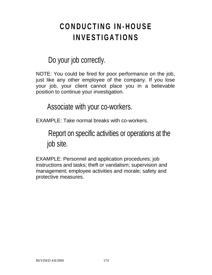#### **CONDUCTING IN-HOUSE INVESTIGATIONS**

Do your job correctly.

NOTE: You could be fired for poor performance on the job, just like any other employee of the company. If you lose your job, your client cannot place you in a believable position to continue your investigation.

Associate with your co-workers.

EXAMPLE: Take normal breaks with co-workers.

Report on specific activities or operations at the job site.

EXAMPLE: Personnel and application procedures; job instructions and tasks; theft or vandalism; supervision and management; employee activities and morale; safety and protective measures.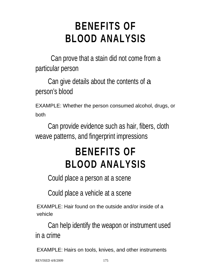# **BENEFITS OF BLOOD ANALYSIS**

Can prove that a stain did not come from a particular person

Can give details about the contents of a person's blood

EXAMPLE: Whether the person consumed alcohol, drugs, or both

Can provide evidence such as hair, fibers, cloth weave patterns, and fingerprint impressions

# **BENEFITS OF BLOOD ANALYSIS**

Could place a person at a scene

Could place a vehicle at a scene

EXAMPLE: Hair found on the outside and/or inside of a vehicle

Can help identify the weapon or instrument used in a crime

EXAMPLE: Hairs on tools, knives, and other instruments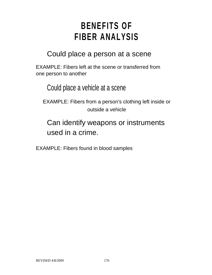### **BENEFITS OF FIBER ANALYSIS**

#### Could place a person at a scene

EXAMPLE: Fibers left at the scene or transferred from one person to another

Could place a vehicle at a scene

EXAMPLE: Fibers from a person's clothing left inside or outside a vehicle

#### Can identify weapons or instruments used in a crime.

EXAMPLE: Fibers found in blood samples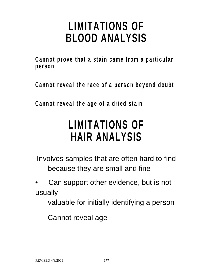## **LIMITATIONS OF BLOOD ANALYSIS**

**Cannot prove that a stain came from a particular person** 

**Cannot reveal the race of a person beyond doubt** 

**Cannot reveal the age of a dried stain** 

# **LIMITATIONS OF HAIR ANALYSIS**

Involves samples that are often hard to find because they are small and fine

• Can support other evidence, but is not usually

valuable for initially identifying a person

Cannot reveal age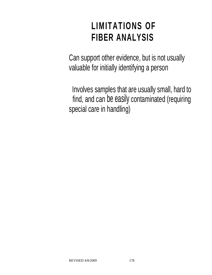### **LIMITATIONS OF FIBER ANALYSIS**

Can support other evidence, but is not usually valuable for initially identifying a person

Involves samples that are usually small, hard to find, and can be easily contaminated (requiring special care in handling)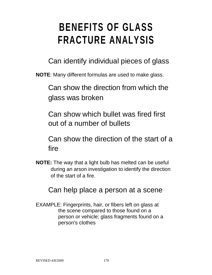# **BENEFITS OF GLASS FRACTURE ANALYSIS**

Can identify individual pieces of glass

**NOTE**: Many different formulas are used to make glass.

Can show the direction from which the glass was broken

Can show which bullet was fired first out of a number of bullets

Can show the direction of the start of a fire

**NOTE:** The way that a light bulb has melted can be useful during an arson investigation to identify the direction of the start of a fire.

#### Can help place a person at a scene

EXAMPLE: Fingerprints, hair, or fibers left on glass at the scene compared to those found on a person or vehicle; glass fragments found on a person's clothes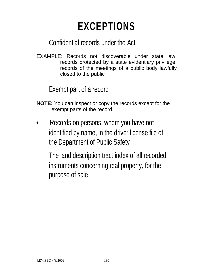# **EXCEPTIONS**

#### Confidential records under the Act

EXAMPLE: Records not discoverable under state law; records protected by a state evidentiary privilege; records of the meetings of a public body lawfully closed to the public

Exempt part of a record

- **NOTE:** You can inspect or copy the records except for the exempt parts of the record.
- Records on persons, whom you have not identified by name, in the driver license file of the Department of Public Safety

The land description tract index of all recorded instruments concerning real property, for the purpose of sale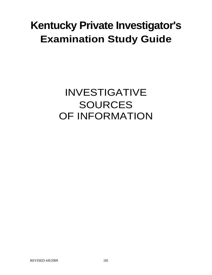## **Kentucky Private Investigator's Examination Study Guide**

### INVESTIGATIVE SOURCES OF INFORMATION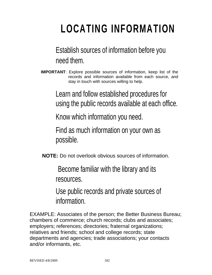# **LOCATING INFORMATION**

Establish sources of information before you need them.

**IMPORTANT**: Explore possible sources of information, keep list of the records and information available from each source, and stay in touch with sources willing to help.

> Learn and follow established procedures for using the public records available at each office.

Know which information you need.

Find as much information on your own as possible.

**NOTE:** Do not overlook obvious sources of information.

Become familiar with the library and its resources.

Use public records and private sources of information.

EXAMPLE: Associates of the person; the Better Business Bureau; chambers of commerce; church records; clubs and associates; employers; references; directories; fraternal organizations; relatives and friends; school and college records; state departments and agencies; trade associations; your contacts and/or informants, etc.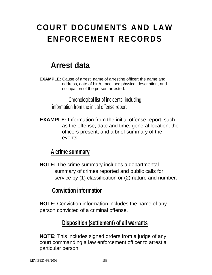### **COURT DOCUMENTS AND LAW ENFORCEMENT RECORDS**

### **Arrest data**

**EXAMPLE:** Cause of arrest; name of arresting officer; the name and address, date of birth, race, sec physical description, and occupation of the person arrested.

Chronological list of incidents, including information from the initial offense report

**EXAMPLE:** Information from the initial offense report, such as the offense; date and time; general location; the officers present; and a brief summary of the events.

#### **A crime summary**

**NOTE:** The crime summary includes a departmental summary of crimes reported and public calls for service by (1) classification or (2) nature and number.

### **Conviction information**

**NOTE:** Conviction information includes the name of any person convicted of a criminal offense.

### **Disposition (settlement) of all warrants**

**NOTE:** This includes signed orders from a judge of any court commanding a law enforcement officer to arrest a particular person.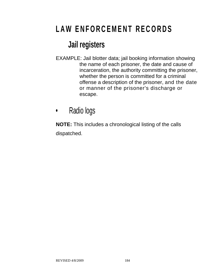### **LAW ENFORCEMENT RECORDS**

### **Jail registers**

- EXAMPLE: Jail blotter data; jail booking information showing the name of each prisoner, the date and cause of incarceration, the authority committing the prisoner, whether the person is committed for a criminal offense a description of the prisoner, and the date or manner of the prisoner's discharge or escape.
- Radio logs

**NOTE:** This includes a chronological listing of the calls dispatched.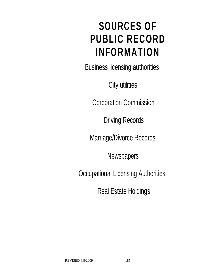# **SOURCES OF PUBLIC RECORD INFORMATION**

Business licensing authorities

City utilities

Corporation Commission

Driving Records

Marriage/Divorce Records

**Newspapers** 

Occupational Licensing Authorities

Real Estate Holdings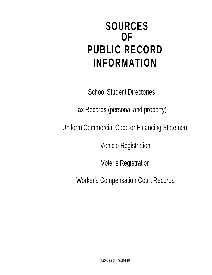## **SOURCES OF PUBLIC RECORD INFORMATION**

School Student Directories

Tax Records (personal and property)

Uniform Commercial Code or Financing Statement

Vehicle Registration

Voter's Registration

Worker's Compensation Court Records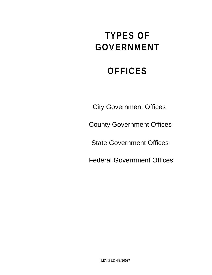### **TYPES OF GOVERNMENT**

### **OFFICES**

City Government Offices

County Government Offices

State Government Offices

Federal Government Offices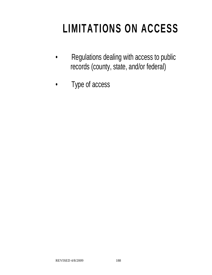# **LIMITATIONS ON ACCESS**

- Regulations dealing with access to public records (county, state, and/or federal)
- Type of access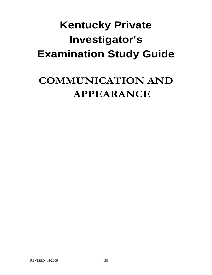# **Kentucky Private Investigator's Examination Study Guide**

## **COMMUNICATION AND APPEARANCE**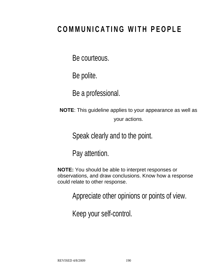### **COMMUNICATING WITH PEOPLE**

Be courteous.

Be polite.

Be a professional.

**NOTE**: This guideline applies to your appearance as well as your actions.

Speak clearly and to the point.

Pay attention.

**NOTE:** You should be able to interpret responses or observations, and draw conclusions. Know how a response could relate to other response.

Appreciate other opinions or points of view.

Keep your self-control.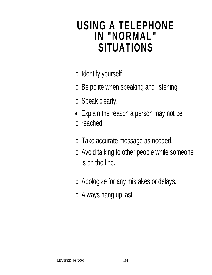## **USING A TELEPHONE IN "NORMAL" SITUATIONS**

- o Identify yourself.
- o Be polite when speaking and listening.
- o Speak clearly.
- Explain the reason a person may not be o reached.
- o Take accurate message as needed.
- o Avoid talking to other people while someone is on the line.
- o Apologize for any mistakes or delays.
- o Always hang up last.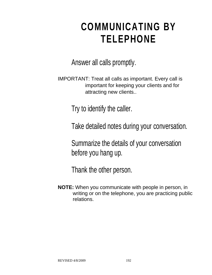# **COMMUNICATING BY TELEPHONE**

Answer all calls promptly.

IMPORTANT: Treat all calls as important. Every call is important for keeping your clients and for attracting new clients..

Try to identify the caller.

Take detailed notes during your conversation.

Summarize the details of your conversation before you hang up.

Thank the other person.

**NOTE:** When you communicate with people in person, in writing or on the telephone, you are practicing public relations.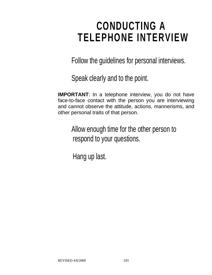# **CONDUCTING A TELEPHONE INTERVIEW**

Follow the guidelines for personal interviews.

Speak clearly and to the point.

**IMPORTANT**: In a telephone interview, you do not have face-to-face contact with the person you are interviewing and cannot observe the attitude, actions, mannerisms, and other personal traits of that person.

Allow enough time for the other person to respond to your questions.

Hang up last.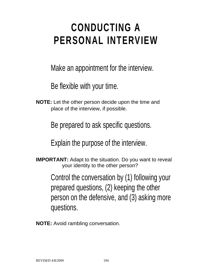# **CONDUCTING A PERSONAL INTERVIEW**

Make an appointment for the interview.

Be flexible with your time.

**NOTE:** Let the other person decide upon the time and place of the interview, if possible.

Be prepared to ask specific questions.

Explain the purpose of the interview.

**IMPORTANT:** Adapt to the situation. Do you want to reveal your identity to the other person?

Control the conversation by (1) following your prepared questions, (2) keeping the other person on the defensive, and (3) asking more questions.

**NOTE:** Avoid rambling conversation.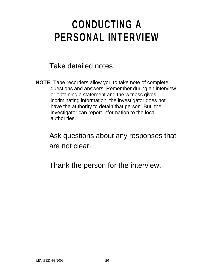# **CONDUCTING A PERSONAL INTERVIEW**

Take detailed notes.

**NOTE:** Tape recorders allow you to take note of complete questions and answers. Remember during an interview or obtaining a statement and the witness gives incriminating information, the investigator does not have the authority to detain that person. But, the investigator can report information to the local authorities.

Ask questions about any responses that are not clear.

Thank the person for the interview.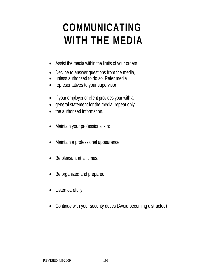# **COMMUNICATING WITH THE MEDIA**

- Assist the media within the limits of your orders
- Decline to answer questions from the media,
- unless authorized to do so. Refer media
- representatives to your supervisor.
- If your employer or client provides your with a
- general statement for the media, repeat only
- the authorized information.
- Maintain your professionalism:
- Maintain a professional appearance.
- Be pleasant at all times.
- Be organized and prepared
- Listen carefully
- Continue with your security duties (Avoid becoming distracted)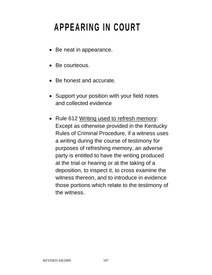## **APPEARING IN COURT**

- Be neat in appearance.
- Be courteous.
- Be honest and accurate.
- Support your position with your field notes and collected evidence
- Rule 612 Writing used to refresh memory: Except as otherwise provided in the Kentucky Rules of Criminal Procedure, if a witness uses a writing during the course of testimony for purposes of refreshing memory, an adverse party is entitled to have the writing produced at the trial or hearing or at the taking of a deposition, to inspect it, to cross examine the witness thereon, and to introduce in evidence those portions which relate to the testimony of the witness.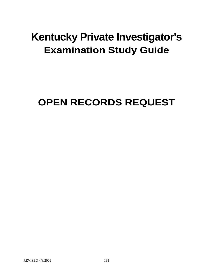### **Kentucky Private Investigator's Examination Study Guide**

### **OPEN RECORDS REQUEST**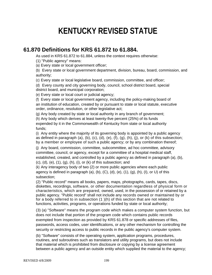### **KENTUCKY REVISED STATUE**

#### **61.870 Definitions for KRS 61.872 to 61.884.**

As used in KRS 61.872 to 61.884, unless the context requires otherwise:

(1) "Public agency" means:

(a) Every state or local government officer;

(b) Every state or local government department, division, bureau, board, commission, and authority;

(c) Every state or local legislative board, commission, committee, and officer;

(d) Every county and city governing body, council, school district board, special district board, and municipal corporation;

(e) Every state or local court or judicial agency;

(f) Every state or local government agency, including the policy-making board of an institution of education, created by or pursuant to state or local statute, executive order, ordinance, resolution, or other legislative act;

(g) Any body created by state or local authority in any branch of government;

(h) Any body which derives at least twenty-five percent (25%) of its funds

expended by it in the Commonwealth of Kentucky from state or local authority funds;

(i) Any entity where the majority of its governing body is appointed by a public agency as defined in paragraph  $(a)$ ,  $(b)$ ,  $(c)$ ,  $(d)$ ,  $(e)$ ,  $(f)$ ,  $(g)$ ,  $(h)$ ,  $(i)$ , or  $(k)$  of this subsection; by a member or employee of such a public agency; or by any combination thereof;

(j) Any board, commission, committee, subcommittee, ad hoc committee, advisory committee, council, or agency, except for a committee of a hospital medical staff, established, created, and controlled by a public agency as defined in paragraph (a), (b), (c), (d), (e), (1), (g), (h), (i), or (k) of this subsection; and

(k) Any interagency body of two (2) or more public agencies where each public agency is defined in paragraph  $(a)$ ,  $(b)$ ,  $(C)$ ,  $(d)$ ,  $(e)$ ,  $(1)$ ,  $(q)$ ,  $(h)$ ,  $(l)$ , or U) of this subsection;

(2) "Public record" means all books, papers, maps, photographs, cards, tapes, discs, diskettes, recordings, software, or other documentation regardless of physical form or characteristics, which are prepared, owned, used, in the possession of or retained by a public agency. "Public record" shall not include any records owned or maintained by or for a body referred to in subsection (1 )(h) of this section that are not related to functions, activities, programs, or operations funded by state or local authority;

(3) (a) "Software" means the program code which makes a computer system function, but does not include that portion of the program code which contains public records exempted from inspection as provided by KRS 61.878 or specific addresses of files, passwords, access codes, user identifications, or any other mechanism for controlling the security or restricting access to public records in the public agency's computer system.

(b) "Software" consists of the operating system, application programs, procedures, routines, and subroutines such as translators and utility programs, but does not include that material which is prohibited from disclosure or copying by a license agreement between a public agency and an outside entity which supplied the material to the agency;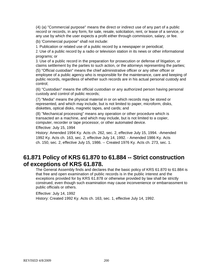(4) (a) "Commercial purpose" means the direct or indirect use of any part of a public record or records, in any form, for sale, resale, solicitation, rent, or lease of a service, or any use by which the user expects a profit either through commission, salary, or fee.

(b) 'Commercial purpose" shall not include:

1. Publication or related use of a public record by a newspaper or periodical;

2. Use of a public record by a radio or television station in its news or other informational programs; or

3. Use of a public record in the preparation for prosecution or defense of litigation, or claims settlement by the parties to such action, or the attorneys representing the parties;

(5) "Official custodian" means the chief administrative officer or any other officer or employee of a public agency who is responsible for the maintenance, care and keeping of public records, regardless of whether such records are in his actual personal custody and control;

(6) "Custodian" means the official custodian or any authorized person having personal custody and control of public records;

(7) "Media" means the physical material in or on which records may be stored or represented, and which may include, but is not limited to paper, microform, disks, diskettes, optical disks, magnetic tapes, and cards; and

(8) "Mechanical processing" means any operation or other procedure which is transacted an a machine, and which may include, but is not limited to a copier, computer, recorder or tape processor, or other automated device.

Effective: July 15, 1994

History: Amended 1994 Ky. Acts ch. 262, sec. 2, effective July 15, 1994. -Amended 1992 Ky. Acts ch. 163, sec. 2, effective July 14, 1992. - Amended 1986 Ky. Acts ch. 150, sec. 2, effective July 15, 1986. -- Created 1976 Ky. Acts ch. 273, sec. 1.

#### **61.871 Policy of KRS 61.870 to 61.884 -- Strict construction of exceptions of KRS 61.878.**

The General Assembly finds and declares that the basic policy of KRS 61.870 to 61.884 is that free and open examination of public records is in the public interest and the exceptions provided for by KRS 61.878 or otherwise provided by law shall be strictly construed, even though such examination may cause inconvenience or embarrassment to public officials or others.

Effective: July 14, 1992 History: Created 1992 Ky. Acts ch. 163, sec. 1, effective July 14, 1992.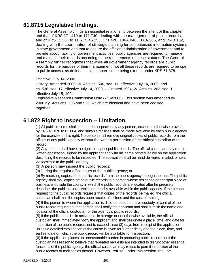#### **61.8715 Legislative findings.**

The General Assembly finds an essential relationship between the intent of this chapter and that of KRS 171.410 to 171.740, dealing with the management of public records, and of KRS 11.501 to 11.517, 45.253, 171.420, 186A.040, 186A.285, and 194B.102, dealing with the coordination of strategic planning for computerized information systems in state government; and that to ensure the efficient administration of government and to provide accountability of government activities, public agencies are required to manage and maintain their records according to the requirements of these statutes. The General Assembly further recognizes that while all government agency records are public records for the purpose of their management, not all these records are required to be open to public access, as defined in this chapter, some being exempt under KRS 61.878.

Effective: July 14, 2000

History: Amended 2000 Ky. Acts ch. 506, sec. 17, effective July 14, 2000; and ch. 536, sec. 17, effective July 14, 2000,— Created 1994 Ky. Acts ch. 262, sec. 1, effective July 15, 1994,

Legislative Research Commission Note (7/14/2000). This section was amended by 2000 Ky. Acts chs. 506 and 536, which are identical and have been codified together.

#### **61.872 Right to inspection -- Limitation.**

(1) All public records shall be open for inspection by any person, except as otherwise provided by KRS 61.870 to 61.884, and suitable facilities shall be made available by each public agency for the exercise of this right. No person shall remove original copies of public records from the offices of any public agency without the written permission of the official custodian of the record.

(2) Any person shall have the right to inspect public records. The official custodian may require written application, signed by the applicant and with his name printed legibly on the application, describing the records to be inspected. The application shall be hand delivered, mailed, or sent via facsimile to the public agency.

(3) A person may inspect the public records:

(a) During the regular office hours of the public agency; or

(b) By receiving copies of the public records from the public agency through the mail. The public agency shall mail copies of the public records to a person whose residence or principal place of business is outside the county in which the public records are located after he precisely describes the public records which are readily available within the public agency. If the person requesting the public records requests that copies of the records be mailed, the official custodian shall mail the copies upon receipt of all fees and the cost of mailing.

(4) If the person to whom the application is directed does not have custody or control of the public record requested, that person shall notify the applicant and shall furnish the name and location of the official custodian of the agency's public records.

(5) If the public record is in active use, in storage or not otherwise available, the official custodian shall immediately notify the applicant and shall designate a place, time, and date for inspection of the public records, not to exceed three (3) days from receipt of the application, unless a detailed explanation of the cause is given for further delay and the place, time, and earliest date on which the public record will be available for inspection.

(6) If the application places an unreasonable burden in producing public records or if the custodian has reason to believe that repeated requests are intended to disrupt other essential functions of the public agency, the official custodian may refuse to permit inspection of the public records or mail copies thereof. However, refusal under this section shall be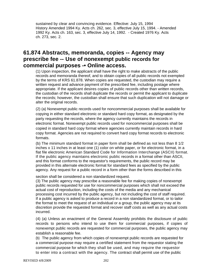sustained by clear and convincing evidence. Effective: July 15, 1994 History Amended 1994 Ky. Acts ch. 262, sec. 3, effective July 15, 1994. - Amended 1992 Ky. Acts ch. 163, sec. 3, effective July 14, 1992. - Created 1976 Ky. Acts ch. 273, sec. 2.

#### **61.874 Abstracts, memoranda, copies -- Agency may prescribe fee -- Use of nonexempt public records for commercial purposes -• Online access.**

(1) Upon inspection, the applicant shall have the right to make abstracts of the public records and memoranda thereof, and to obtain copies of all public records not exempted by the terms of KRS 61.878. When copies are requested, the custodian may require a written request and advance payment of the prescribed fee, including postage where appropriate. If the applicant desires copies of public records other than written records, the custodian of the records shall duplicate the records or permit the applicant to duplicate the records; however, the custodian shall ensure that such duplication will not damage or alter the original records.

(2) (a) Nonexempt public records used for noncommercial purposes shall be available for copying in either standard electronic or standard hard copy format, as designated by the party requesting the records, where the agency currently maintains the records in electronic format. Nonexempt public records used for noncommercial purposes shall be copied in standard hard copy format where agencies currently maintain records in hard copy format. Agencies are not required to convert hard copy format records to electronic formats.

(b) The minimum standard format in paper form shall be defined as not less than 8 1/2 inches x 11 inches in at least one (1) color on white paper, or for electronic format, in a flat file electronic American Standard Code for Information Interchange (ASCII) format. If the public agency maintains electronic public records in a format other than ASCII, and this format conforms to the requestor's requirements, the public record may be provided in this alternate electronic format for standard fees as specified by the public agency. Any request for a public record in a form other than the forms described in this

section shall be considered a non standardized request.

(3) The public agency may prescribe a reasonable fee for making copies of nonexempt public records requested for use for noncommercial purposes which shall not exceed the actual cost of reproduction, including the costs of the media and any mechanical processing cost incurred by the public agency, but not including the cost of staff required. If a public agency is asked to produce a record in a non standardized format, or to tailor the format to meet the request of an individual or a group, the public agency may at its discretion provide the requested format and recover staff costs as well as any actual costs incurred.

(4) (a) Unless an enactment of the General Assembly prohibits the disclosure of public records to persons who intend to use them for commercial purposes, if copies of nonexempt public records are requested for commercial purposes, the public agency may establish a reasonable fee.

(b) The public agency from which copies of nonexempt public records are requested for a commercial purpose may require a certified statement from the requestor stating the commercial purpose for which they shall be used, and may require the requestor to enter into a contract with the agency. The contract shall permit use of the public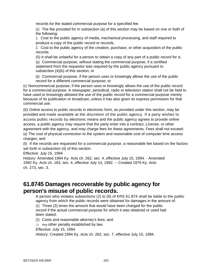records for the stated commercial purpose for a specified fee.

(c) The fee provided for in subsection (a) of this section may be based on one or both of the following:

1. Cost to the public agency of media, mechanical processing, and staff required to produce a copy of the public record or records;

2. Cost to the public agency of the creation, purchase, or other acquisition of the public records.

(5) It shall be unlawful for a person to obtain a copy of any part of a public record for a: (a) Commercial purpose, without stating the commercial purpose, if a certified statement from the requestor was required by the public agency pursuant to subsection (4)(b) of this section; or

(b) Commercial purpose, if the person uses or knowingly allows the use of the public record for a different commercial purpose; or

(c) Noncommercial purpose, if the person uses or knowingly allows the use of the public record for a commercial purpose. A newspaper, periodical, radio or television station shall not be held to have used or knowingly allowed the use of the public record for a commercial purpose merely because of its publication or broadcast, unless it has also given its express permission for that commercial use.

(6) Online access to public records in electronic form, as provided under this section, may be provided and made available at the discretion of the public agency. If a party wishes to access public records by electronic means and the public agency agrees to provide online access, a public agency may require that the party enter into a contract, License, or other agreement with the agency, and may charge fees for these agreements. Fees shall not exceed: (a) The cost of physical connection to the system and reasonable cost of computer time access charges; and

(b) If the records are requested for a commercial purpose, a reasonable fee based on the factors set forth in subsection (4) of this section.

Effective: July 15, 1994

History: Amended 1994 Ky. Acts ch. 262, sec. 4, effective July 15, 1994. - Amended 1992 Ky. Acts ch. 163, sec. 4, effective July 14, 1992. -- Created 1976 Ky. Acts ch. 273, sec. 3.

#### **61.8745 Damages recoverable by public agency for person's misuse of public records.**

A person who violates subsections (2) to (6) of KRS 61.874 shall be liable to the public agency from which the public records were obtained for damages in the amount of:

(1) Three (3) times the amount that would have been charged for the public record if the actual commercial purpose for which it was obtained or used had been stated;

(2) Costs and reasonable attorney's fees; and

(3) Any other penalty established by law.

Effective: July 15, 1994

History: Created 1994 Ky. Acts ch. 262, sec. 7, effective July 15, 1994.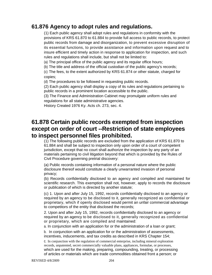#### **61.876 Agency to adopt rules and regulations.**

(1) Each public agency shall adopt rules and regulations in conformity with the provisions of KRS 61.870 to 61.884 to provide full access to public records, to protect public records from damage and disorganization, to prevent excessive disruption of its essential functions, to provide assistance and information upon request and to insure efficient and timely action in response to application for inspection, and such rules and regulations shall include, but shall not be limited to:

(a) The principal office of the public agency and its regular office hours;

(b) The title and address of the official custodian of the public agency's records;

(c) The fees, to the extent authorized by KRS 61.874 or other statute, charged for copies;

(d) The procedures to be followed in requesting public records.

(2) Each public agency shall display a copy of its rules and regulations pertaining to public records in a prominent location accessible to the public.

(3) The Finance and Administration Cabinet may promulgate uniform rules and regulations for all state administrative agencies.

History Created 1976 Ky. Acts ch. 273, sec. 4.

#### **61.878 Certain public records exempted from inspection except on order of court --Restriction of state employees to inspect personnel files prohibited.**

(1) The following public records are excluded from the application of KRS 61.870 to 61.884 and shall be subject to inspection only upon order of a court of competent jurisdiction, except that no court shall authorize the inspection by any party of an materials pertaining to civil litigation beyond that which is provided by the Rules of Civil Procedure governing pretrial discovery:

(a) Public records containing information of a personal nature where the public disclosure thereof would constitute a clearly unwarranted invasion of personal privacy;

(b) Records confidentially disclosed to an agency and compiled and maintained for scientific research. This exemption shall not, however, apply to records the disclosure or publication of which is directed by another statute;

(c) 1. Upon and after July 15, 1992, records confidentially disclosed to an agency or required by an agency to be disclosed to it, generally recognized as confidential or proprietary, which if openly disclosed would permit an unfair commercial advantage to competitors of the entity that disclosed the records;

2. Upon and after July 15, 1992, records confidentially disclosed to an agency or required by an agency to be disclosed to it, generally recognized as confidential or proprietary, which are compiled and maintained:

a. In conjunction with an application for or the administration of a loan or grant;

b. In conjunction with an application for or the administration of assessments, incentives, inducements, and tax credits as described in KRS Chapter 154;

c. In conjunction with the regulation of commercial enterprise, including mineral exploration records, unpatented, secret commercially valuable plans, appliances, formulae, or processes, which are used for the making, preparing, compounding, treating, or processing of articles or materials which are trade commodities obtained front a person; or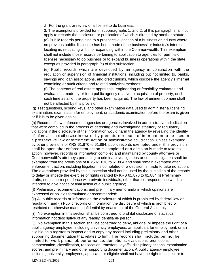d. For the grant or review of a license to do business.

3. The exemptions provided for in subparagraphs 1. and 2. of this paragraph shall not apply to records the disclosure or publication of which is directed by another statute; (d) Public records pertaining to a prospective location of a business or industry where no previous public disclosure has been made of the business' or industry's interest in locating in, relocating within or expanding within the Commonwealth. This exemption shall not include those records pertaining to application to agencies for permits or licenses necessary to do business or to expand business operations within the state, except as provided in paragraph (c) of this subsection;

(e) Public records which are developed by an agency in conjunction with the regulation or supervision of financial institutions, including but not limited to, banks, savings and loan associations, and credit unions, which disclose the agency's internal examining or audit criteria and related analytical methods;

(f) The contents of real estate appraisals, engineering or feasibility estimates and evaluations made by or for a public agency relative to acquisition of property, until such time as all of the property has been acquired. The law of eminent domain shall not be affected by this provision;

(g) Test questions, scoring keys, and other examination data used to administer a licensing examination, examination for employment, or academic examination before the exam is given or if it is to be given again;

(h) Records of law enforcement agencies or agencies Involved in administrative adjudication that were compiled in the process of detecting and investigating statutory or regulatory violations if the disclosure of the information would harm the agency by revealing the identity of informants not otherwise known or by premature release of information to be used in a prospective law enforcement action or administrative adjudication. Unless exempted by other provisions of KRS 61.870 to 61.884, public records exempted under this provision shall be open after enforcement action is completed or a decision is made to take no action; however, records or information compiled and maintained by county attorneys or Commonwealth's attorneys pertaining to criminal investigations or criminal litigation shall be exempted from the provisions of KRS 61.870 to 61.884 and shall remain exempted after enforcement action, including litigation, is completed or a decision is made to take no action. The exemptions provided by this subsection shall not be used by the custodian of the records to delay or impede the exercise of rights granted by KRS 61.870 to 61.884;(i) Preliminary drafts, notes, correspondence with private individuals, other than correspondence which is intended to give notice of final action of a public agency;

(j) Preliminary recommendations, and preliminary memoranda in which opinions are expressed or policies formulated or recommended;

(k) All public records or information the disclosure of which is prohibited by federal law or regulation; and (I) Public records or information the disclosure of which is prohibited or restricted or otherwise made confidential by enactment of the General Assembly.

(2) No exemption in this section shall be construed to prohibit disclosure of statistical information not descriptive of any readily identifiable person.

(3) No exemption in this section shall be construed to deny, abridge, or impede the right of a public agency employee, including university employees, an applicant for employment, or an eligible on a register to inspect and to copy any record including preliminary and other supporting documentation that relates to him. The records shall include, but not be limited to, work plans, job performance, demotions, evaluations, promotions, compensation, classification, reallocation, transfers, layoffs, disciplinary actions, examination scores, and preliminary and other supporting documentation, A public agency employee, including university employees, applicant, or eligible shall not have the right to inspect or to

REVISED 4/8/2009 205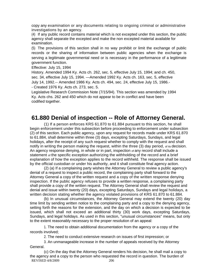copy any examination or any documents relating to ongoing criminal or administrative investigations by an agency.

(4) If any public record contains material which is not excepted under this section, the public agency shall separate the excepted and make the non excepted material available for examination.

(5) The provisions of this section shall in no way prohibit or limit the exchange of public records or the sharing of information between public agencies when the exchange is serving a legitimate governmental need or is necessary in the performance of a legitimate government function.

Effective: July 15, 1994

History. Amended 1994 Ky. Acts ch. 262, sec. 5, effective July 15, 1994; and ch. 450, sec. 34, effective July 15, 1994. —Amended 1992 Ky. Acts ch. 163, sec. 5, effective July 14, 1992.-- Amended 1986 Ky. Acts ch. 494, sec. 24, effective July 15, 1986.- - Created 1976 Ky. Acts ch. 273, sec. 5.

Legislative Research Commission Note (7/15/94). This section was amended by 1994 Ky. Acts chs. 262 and 450 which do not appear to be in conflict and have been codified together.

#### **61.880 Denial of inspection -- Role of Attorney General.**

(1) If a person enforces KRS 61.870 to 61.884 pursuant to this section, he shall begin enforcement under this subsection before proceeding to enforcement under subsection (2) of this section. Each public agency, upon any request for records made under KRS 61.870 to 61.884, shall determine within three (3) days, excepting Saturdays, Sundays, and legal holidays, after the receipt of any such request whether to comply with the request and shall notify in writing the person making the request, within the three (3) day period, of its decision. An agency response denying, in whole or in part, inspection of any record shall include a statement of the specific exception authorizing the withholding of the record and a brief explanation of how the exception applies to the record withheld. The response shall be issued by the official custodian or under his authority, and it shall constitute final agency action.

(2) (a) If a complaining party wishes the Attorney General to review a public agency's denial of a request to inspect a public record, the complaining party shall forward to the Attorney General a copy of the written request and a copy of the written response denying inspection. If the public agency refuses to provide a written response, a complaining party shall provide a copy of the written request. The Attorney General shall review the request and denial and issue within twenty (20) days, excepting Saturdays, Sundays and legal holidays, a written decision stating whether the agency violated provisions of KRS 61.870 to 61.884.

(b) In unusual circumstances, the Attorney General may extend the twenty (20) day time limit by sending written notice to the complaining party and a copy to the denying agency, setting forth the reasons for the extension, and the day on which a decision is expected to be issued, which shall not exceed an additional thirty (30) work days, excepting Saturdays, Sundays, and legal holidays. As used in this section, "unusual circumstances" means, but only to the extent reasonably necessary to the proper resolution of an appeal:

1. The need to obtain additional documentation from the agency or a copy of the records involved;

2. The need to conduct extensive research on issues of first impression; or

3. An unmanageable increase in the number of appeals received by the Attorney General.

REVISED 4/8/2009 206 (c) On the day that the Attorney General renders his decision, he shall mail a copy to the agency and a copy to the person who requested the record in question. The burden of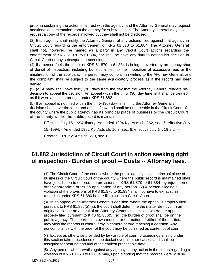proof in sustaining the action shall rest with the agency, and the Attorney General may request additional documentation from the agency for substantiation. The Attorney General may also request a copy of the records involved but they shall not be disclosed.

(3) Each agency shall notify the Attorney General of any actions filed against that agency in Circuit Court regarding the enforcement of KRS 61.870 to 61.884. The Attorney General shall not, however, be named as a party in any Circuit Court actions regarding the enforcement of KRS 61.870 to 61.884, nor shall he have any duty to defend his decision in Circuit Court or any subsequent proceedings.

(4) If a person feels the intent of KRS 61.870 to 61.884 is being subverted by an agency short of denial of inspection, including but not limited to the imposition of excessive fees or the misdirection of the applicant, the person may complain in writing to the Attorney General, and the complaint shall be subject to the same adjudicatory process as if the record had been denied.

(5) (a) A party shall have thirty (30) days from the day that the Attorney General renders his decision to appeal the decision. An appeal within the thirty (30) day time limit shall be treated as if it were an action brought under KRS 61.882.

(b) If an appeal is not filed within the thirty (30) day time limit, the Attorney General's decision shall have the force and effect of law and shall be enforceable in the Circuit Court of the county where the public agency has its principal place of business or the Circuit Court of the county where the public record is maintained.

Effective: July 15, 1994History: Amended 1994 Ky. Acts ch, 262, sec. 6, effective July

15, 1994. - Amended 1992 Ky. Acts ch. 16 3, sec. 6, effective July 14, 19 9 2. --

Created 1976 Ky. Acts ch. 273, sec. 6.

#### **61.882 Jurisdiction of Circuit Court in action seeking right of inspection - Burden of proof -- Costs -- Attorney fees.**

(1) The Circuit Court of the county where the public agency has its principal place of business or the Circuit Court of the county where the public record is maintained shall have jurisdiction to enforce the provisions of KRS 61.870 to 61.884, by injunction or other appropriate order on application of any person. (2).A person alleging a violation of the provisions of KRS 61.870 to 61.884 shall not have to exhaust his remedies under KRS 61.880 before filing suit in a Circuit Court.

(3) In an appeal of an Attorney General's decision, where the appeal is properly filed pursuant to KRS 61.880(5) (a), the court shall determine the matter de riovo. In an original action or an appeal of an Attorney General's decision, where the appeal is properly filed pursuant to KRS 61.880(5) (a), the burden of proof shall be on the public agency. The court on its own motion, or on motion of either of the parties, may view the records in controversy in camera before reaching a decision. Any noncompliance with the order of the court may be punished as contempt of court.

(4) Except as otherwise provided by law or rule of court, proceedings arising under this section take precedence on the docket over all other causes and shall be assigned for hearing and trial at the earliest practicable date.

(5) Any person who prevails against any agency in any action in the courts regarding a violation of KRS 61.870 to 61.884 may, upon a finding that the records were willfully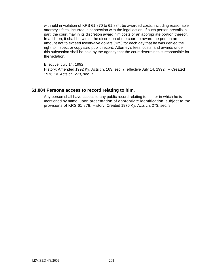withheld in violation of KRS 61.870 to 61.884, be awarded costs, including reasonable attorney's fees, incurred in connection with the legal action. If such person prevails in part, the court may in its discretion award him costs or an appropriate portion thereof. In addition, it shall be within the discretion of the court to award the person an amount not to exceed twenty-five dollars (\$25) for each day that he was denied the right to inspect or copy said public record. Attorney's fees, costs, and awards under this subsection shall be paid by the agency that the court determines is responsible for the violation.

Effective: July 14, 1992 History: Amended 1992 Ky. Acts ch. 163, sec. 7, effective July 14, 1992. -- Created 1976 Ky. Acts ch. 273, sec. 7.

#### **61.884 Persons access to record relating to him.**

Any person shall have access to any public record relating to him or in which he is mentioned by name, upon presentation of appropriate identification, subject to the provisions of KRS 61.878. History: Created 1976 Ky. Acts ch. 273, sec. 8.